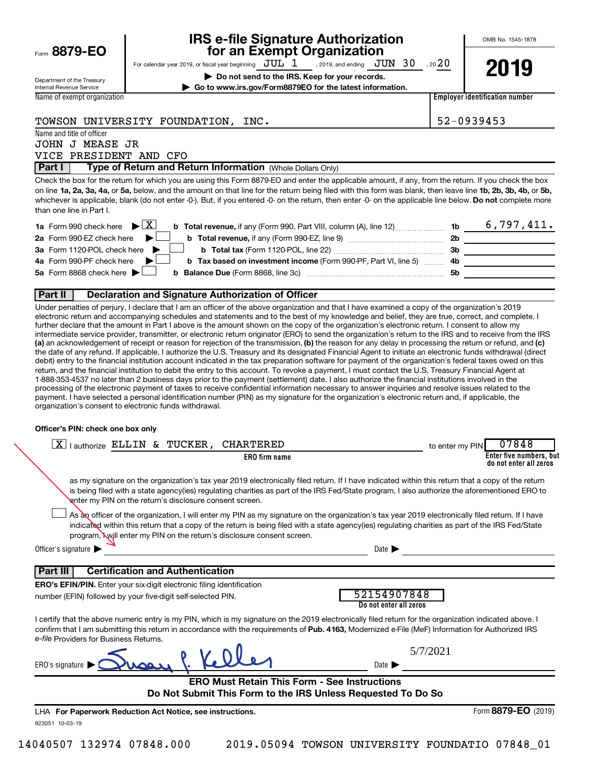|  |  | Form 8879-EO |
|--|--|--------------|
|--|--|--------------|

## **IRS e-file Signature Authorization**<br>**687 for an Exempt Organization**

OMB No. 1545-1878

For calendar year 2019, or fiscal year beginning  $JUL_1$ , 2019, and ending  $JUN_30$ , 20 20 , 2019, and ending  $\rm\,JUN$   $\rm\,30$ 

**| Do not send to the IRS. Keep for your records. | Go to www.irs.gov/Form8879EO for the latest information.**



Department of the Treasury Internal Revenue Service Name of exempt organization

**Employer identification number**

### TOWSON UNIVERSITY FOUNDATION, INC. 52-0939453

Name and title of officer JOHN J MEASE JR VICE PRESIDENT AND CFO

**Part I** | Type of Return and Return Information (Whole Dollars Only)

on line 1a, 2a, 3a, 4a, or 5a, below, and the amount on that line for the return being filed with this form was blank, then leave line 1b, 2b, 3b, 4b, or 5b, whichever is applicable, blank (do not enter -0-). But, if you entered -0- on the return, then enter -0- on the applicable line below. **Do not** complete more Check the box for the return for which you are using this Form 8879-EO and enter the applicable amount, if any, from the return. If you check the box than one line in Part I.

| <b>1a</b> Form 990 check here $\triangleright \boxed{X}$<br><b>b</b> Total revenue, if any (Form 990, Part VIII, column (A), line 12) $\ldots$ 1b |     | 6,797,411. |
|---------------------------------------------------------------------------------------------------------------------------------------------------|-----|------------|
| 2a Form 990-EZ check here $\blacktriangleright$<br><b>b</b> Total revenue, if any (Form 990-EZ, line 9)                                           | 2b  |            |
| 3a Form 1120-POL check here $\blacktriangleright$ $\Box$<br><b>b</b> Total tax (Form 1120-POL, line 22)                                           | 3b  |            |
| 4a Form 990-PF check here $\blacktriangleright$<br><b>b</b> Tax based on investment income (Form 990-PF, Part VI, line 5) 4b                      |     |            |
| 5a Form 8868 check here $\blacktriangleright$                                                                                                     | .5b |            |
|                                                                                                                                                   |     |            |

### **Part II Declaration and Signature Authorization of Officer**

(a) an acknowledgement of receipt or reason for rejection of the transmission, (b) the reason for any delay in processing the return or refund, and (c) Under penalties of perjury, I declare that I am an officer of the above organization and that I have examined a copy of the organization's 2019 electronic return and accompanying schedules and statements and to the best of my knowledge and belief, they are true, correct, and complete. I further declare that the amount in Part I above is the amount shown on the copy of the organization's electronic return. I consent to allow my intermediate service provider, transmitter, or electronic return originator (ERO) to send the organization's return to the IRS and to receive from the IRS the date of any refund. If applicable, I authorize the U.S. Treasury and its designated Financial Agent to initiate an electronic funds withdrawal (direct debit) entry to the financial institution account indicated in the tax preparation software for payment of the organization's federal taxes owed on this return, and the financial institution to debit the entry to this account. To revoke a payment, I must contact the U.S. Treasury Financial Agent at 1-888-353-4537 no later than 2 business days prior to the payment (settlement) date. I also authorize the financial institutions involved in the processing of the electronic payment of taxes to receive confidential information necessary to answer inquiries and resolve issues related to the payment. I have selected a personal identification number (PIN) as my signature for the organization's electronic return and, if applicable, the organization's consent to electronic funds withdrawal.

### **Officer's PIN: check one box only**

| lauthorize ELLIN & TUCKER,<br><b>CHARTERED</b><br>  X                                                                                                                                                                                                                                                                                                                          | 07848<br>to enter my PIN                          |
|--------------------------------------------------------------------------------------------------------------------------------------------------------------------------------------------------------------------------------------------------------------------------------------------------------------------------------------------------------------------------------|---------------------------------------------------|
| <b>ERO</b> firm name                                                                                                                                                                                                                                                                                                                                                           | Enter five numbers, but<br>do not enter all zeros |
| as my signature on the organization's tax year 2019 electronically filed return. If I have indicated within this return that a copy of the return<br>is being filed with a state agency(ies) regulating charities as part of the IRS Fed/State program, I also authorize the aforementioned ERO to<br>enter my PIN on the return's disclosure consent screen.                  |                                                   |
| As an officer of the organization, I will enter my PIN as my signature on the organization's tax year 2019 electronically filed return. If I have<br>indicated within this return that a copy of the return is being filed with a state agency(ies) regulating charities as part of the IRS Fed/State<br>program, Will enter my PIN on the return's disclosure consent screen. |                                                   |
| Officer's signature                                                                                                                                                                                                                                                                                                                                                            | Date $\blacktriangleright$                        |
| <b>Certification and Authentication</b><br>Part III                                                                                                                                                                                                                                                                                                                            |                                                   |
| <b>ERO's EFIN/PIN.</b> Enter your six-digit electronic filing identification                                                                                                                                                                                                                                                                                                   |                                                   |
| number (EFIN) followed by your five-digit self-selected PIN.                                                                                                                                                                                                                                                                                                                   | 52154907848<br>Do not enter all zeros             |
| I certify that the above numeric entry is my PIN, which is my signature on the 2019 electronically filed return for the organization indicated above. I<br>confirm that I am submitting this return in accordance with the requirements of Pub. 4163, Modernized e-File (MeF) Information for Authorized IRS<br>e-file Providers for Business Returns.                         |                                                   |
| ERO's signature                                                                                                                                                                                                                                                                                                                                                                | 5/7/2021<br>Date $\blacktriangleright$            |
| <b>ERO Must Retain This Form - See Instructions</b>                                                                                                                                                                                                                                                                                                                            |                                                   |
| Do Not Submit This Form to the IRS Unless Requested To Do So                                                                                                                                                                                                                                                                                                                   |                                                   |
| LHA For Paperwork Reduction Act Notice, see instructions.                                                                                                                                                                                                                                                                                                                      | Form 8879-EO (2019)                               |
| 923051 10-03-19                                                                                                                                                                                                                                                                                                                                                                |                                                   |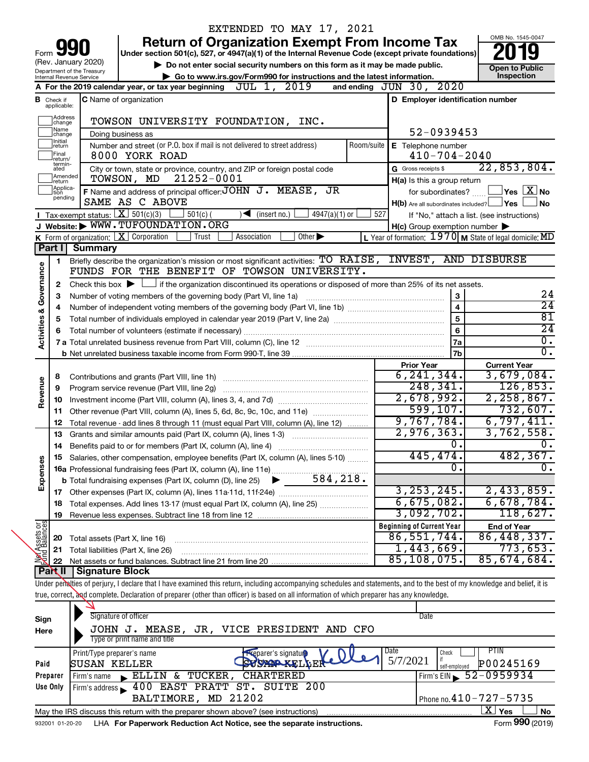|                         |                                                                                                                                  |                                            | EXTENDED TO MAY 17, 2021                                                                                                                                                   |                                                                   |                                            |  |
|-------------------------|----------------------------------------------------------------------------------------------------------------------------------|--------------------------------------------|----------------------------------------------------------------------------------------------------------------------------------------------------------------------------|-------------------------------------------------------------------|--------------------------------------------|--|
|                         |                                                                                                                                  |                                            | <b>Return of Organization Exempt From Income Tax</b>                                                                                                                       |                                                                   | OMB No. 1545-0047                          |  |
| Form                    |                                                                                                                                  |                                            | Under section 501(c), 527, or 4947(a)(1) of the Internal Revenue Code (except private foundations)                                                                         |                                                                   |                                            |  |
|                         |                                                                                                                                  | (Rev. January 2020)                        | Do not enter social security numbers on this form as it may be made public.                                                                                                |                                                                   | <b>Open to Public</b>                      |  |
|                         | Department of the Treasury<br>Internal Revenue Service<br>Go to www.irs.gov/Form990 for instructions and the latest information. |                                            |                                                                                                                                                                            |                                                                   |                                            |  |
|                         |                                                                                                                                  |                                            | JUL 1, 2019<br>A For the 2019 calendar year, or tax year beginning                                                                                                         | 2020<br>and ending $JUN$ 30,                                      |                                            |  |
|                         | <b>B</b> Check if applicable:                                                                                                    |                                            | <b>C</b> Name of organization                                                                                                                                              | D Employer identification number                                  |                                            |  |
|                         | Address<br>change                                                                                                                |                                            | TOWSON UNIVERSITY FOUNDATION, INC.                                                                                                                                         |                                                                   |                                            |  |
|                         | Name<br>change]                                                                                                                  |                                            | Doing business as                                                                                                                                                          | 52-0939453                                                        |                                            |  |
|                         | Initial<br> return                                                                                                               |                                            | Number and street (or P.O. box if mail is not delivered to street address)<br>Room/suite                                                                                   | E Telephone number                                                |                                            |  |
|                         | lFinal<br>return/<br>termin-                                                                                                     |                                            | 8000 YORK ROAD                                                                                                                                                             | $410 - 704 - 2040$                                                |                                            |  |
|                         | ated<br>Amended                                                                                                                  |                                            | City or town, state or province, country, and ZIP or foreign postal code<br>21252-0001<br>TOWSON, MD                                                                       | G Gross receipts \$                                               | 22,853,804.                                |  |
|                         | Ireturn<br>Applica-                                                                                                              |                                            | F Name and address of principal officer: JOHN J. MEASE, JR                                                                                                                 | H(a) Is this a group return<br>for subordinates?                  | $\,$ Yes $\,$ $\rm X$ $\,$ No $\,$         |  |
|                         | ltion<br>pending                                                                                                                 |                                            | SAME AS C ABOVE                                                                                                                                                            | $H(b)$ Are all subordinates included? $\Box$ Yes                  | ∣No                                        |  |
|                         |                                                                                                                                  |                                            | Tax-exempt status: $X \over 301(c)(3)$<br>$501(c)$ (<br>$\sqrt{\bullet}$ (insert no.)<br>$4947(a)(1)$ or                                                                   | 527                                                               | If "No," attach a list. (see instructions) |  |
|                         |                                                                                                                                  |                                            | J Website: WWW.TUFOUNDATION.ORG                                                                                                                                            | $H(c)$ Group exemption number $\blacktriangleright$               |                                            |  |
|                         |                                                                                                                                  |                                            | K Form of organization:   X Corporation<br>Other $\blacktriangleright$<br>Association<br>Trust                                                                             | L Year of formation: $1970 \text{ m}$ State of legal domicile: MD |                                            |  |
|                         | Part I                                                                                                                           | <b>Summary</b>                             |                                                                                                                                                                            |                                                                   |                                            |  |
|                         | 1                                                                                                                                |                                            | Briefly describe the organization's mission or most significant activities: TO RAISE, INVEST, AND DISBURSE                                                                 |                                                                   |                                            |  |
| Governance              |                                                                                                                                  |                                            | FUNDS FOR THE BENEFIT OF TOWSON UNIVERSITY.                                                                                                                                |                                                                   |                                            |  |
|                         | 2                                                                                                                                |                                            | Check this box $\blacktriangleright$ $\Box$ if the organization discontinued its operations or disposed of more than 25% of its net assets.                                |                                                                   |                                            |  |
|                         | 3                                                                                                                                |                                            | Number of voting members of the governing body (Part VI, line 1a)                                                                                                          | 3                                                                 | 24                                         |  |
|                         | 4                                                                                                                                |                                            |                                                                                                                                                                            | $\overline{\mathbf{4}}$                                           | $\overline{24}$<br>$\overline{81}$         |  |
|                         | 5                                                                                                                                |                                            |                                                                                                                                                                            | 5                                                                 | $\overline{24}$                            |  |
| <b>Activities &amp;</b> | 6                                                                                                                                |                                            | Total number of volunteers (estimate if necessary)                                                                                                                         | $6\phantom{1}$                                                    | $\overline{0}$ .                           |  |
|                         |                                                                                                                                  |                                            |                                                                                                                                                                            | 7a<br><b>7b</b>                                                   | $\overline{0}$ .                           |  |
|                         |                                                                                                                                  |                                            |                                                                                                                                                                            |                                                                   | <b>Current Year</b>                        |  |
|                         | 8                                                                                                                                |                                            |                                                                                                                                                                            | <b>Prior Year</b><br>6, 241, 344.                                 | 3,679,084.                                 |  |
| Revenue                 | 9                                                                                                                                |                                            | Program service revenue (Part VIII, line 2g)                                                                                                                               | 248, 341.                                                         | 126,853.                                   |  |
|                         | 10                                                                                                                               |                                            |                                                                                                                                                                            | 2,678,992.                                                        | 2,258,867.                                 |  |
|                         | 11                                                                                                                               |                                            | Other revenue (Part VIII, column (A), lines 5, 6d, 8c, 9c, 10c, and 11e)                                                                                                   | 599, 107.                                                         | 732,607.                                   |  |
|                         | 12                                                                                                                               |                                            | Total revenue - add lines 8 through 11 (must equal Part VIII, column (A), line 12)                                                                                         | 9,767,784.                                                        | 6,797,411.                                 |  |
|                         | 13                                                                                                                               |                                            | Grants and similar amounts paid (Part IX, column (A), lines 1-3)                                                                                                           | 2,976,363.                                                        | 3,762,558.                                 |  |
|                         |                                                                                                                                  |                                            |                                                                                                                                                                            | $\overline{0}$ .                                                  | $0$ .                                      |  |
|                         |                                                                                                                                  |                                            | 15 Salaries, other compensation, employee benefits (Part IX, column (A), lines 5-10)                                                                                       | 445,474.                                                          | 482,367.                                   |  |
|                         |                                                                                                                                  |                                            | 16a Professional fundraising fees (Part IX, column (A), line 11e)                                                                                                          | 0                                                                 | σ.                                         |  |
| Expenses                |                                                                                                                                  |                                            | 584,218.<br><b>b</b> Total fundraising expenses (Part IX, column (D), line 25)                                                                                             |                                                                   |                                            |  |
|                         |                                                                                                                                  |                                            |                                                                                                                                                                            | 3, 253, 245.                                                      | 2,433,859.                                 |  |
|                         | 18                                                                                                                               |                                            | Total expenses. Add lines 13-17 (must equal Part IX, column (A), line 25) [                                                                                                | 6,675,082.                                                        | 6,678,784.                                 |  |
|                         | 19                                                                                                                               |                                            |                                                                                                                                                                            | 3,092,702.                                                        | 118,627.                                   |  |
| Net Assets or           |                                                                                                                                  |                                            |                                                                                                                                                                            | <b>Beginning of Current Year</b><br>86, 551, 744.                 | <b>End of Year</b><br>86,448,337.          |  |
|                         | 20                                                                                                                               |                                            | Total assets (Part X, line 16)                                                                                                                                             | 1,443,669.                                                        | 773,653.                                   |  |
|                         | 21<br>22                                                                                                                         |                                            | Total liabilities (Part X, line 26)                                                                                                                                        | 85,108,075.                                                       | 85,674,684.                                |  |
|                         | Part II                                                                                                                          | <b>Signature Block</b>                     |                                                                                                                                                                            |                                                                   |                                            |  |
|                         |                                                                                                                                  |                                            | Under penalties of perjury, I declare that I have examined this return, including accompanying schedules and statements, and to the best of my knowledge and belief, it is |                                                                   |                                            |  |
|                         |                                                                                                                                  |                                            | true, correct, and complete. Declaration of preparer (other than officer) is based on all information of which preparer has any knowledge.                                 |                                                                   |                                            |  |
|                         |                                                                                                                                  |                                            |                                                                                                                                                                            |                                                                   |                                            |  |
| Sign                    |                                                                                                                                  |                                            | Signature of officer                                                                                                                                                       | Date                                                              |                                            |  |
| Here                    |                                                                                                                                  |                                            | JOHN J. MEASE, JR, VICE PRESIDENT AND CFO<br>Type or print name and title                                                                                                  |                                                                   |                                            |  |
|                         |                                                                                                                                  |                                            |                                                                                                                                                                            | Date<br>Check                                                     | <b>PTIN</b>                                |  |
| Paid                    |                                                                                                                                  | Print/Type preparer's name<br>SUSAN KELLER | <b>Exeparer's signature</b><br>YOMARKELLEP                                                                                                                                 | 5/7/2021                                                          | P00245169                                  |  |
|                         | Preparer                                                                                                                         | Firm's name                                | <b>CHARTERED</b><br>ELLIN & TUCKER,                                                                                                                                        | self-employed<br>Firm's EIN                                       | $52 - 0959934$                             |  |
|                         | Use Only                                                                                                                         |                                            | Firm's address 100 EAST PRATT ST. SUITE 200                                                                                                                                |                                                                   |                                            |  |
|                         |                                                                                                                                  |                                            | BALTIMORE, MD 21202                                                                                                                                                        |                                                                   | Phone no. 410-727-5735                     |  |

|                 | May the IRS discuss this return with the preparer shown above? (see instructions) | Yes | No         |
|-----------------|-----------------------------------------------------------------------------------|-----|------------|
| 932001 01-20-20 | LHA For Paperwork Reduction Act Notice, see the separate instructions.            |     | 990 (2019) |

 $\boxed{\text{X}}$   $\text{Yes}$   $\boxed{\phantom{0}}$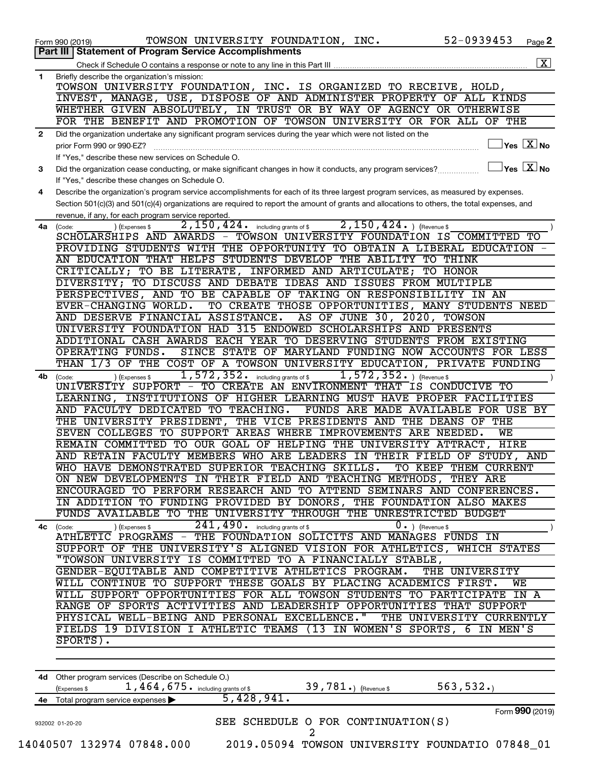|              | 52-0939453<br>TOWSON UNIVERSITY FOUNDATION, INC.<br>Form 990 (2019)                                                                                               | Page 2                  |
|--------------|-------------------------------------------------------------------------------------------------------------------------------------------------------------------|-------------------------|
|              | Part III   Statement of Program Service Accomplishments                                                                                                           |                         |
|              | Check if Schedule O contains a response or note to any line in this Part III                                                                                      | $\overline{\mathbf{X}}$ |
| 1            | Briefly describe the organization's mission:                                                                                                                      |                         |
|              | TOWSON UNIVERSITY FOUNDATION, INC. IS ORGANIZED TO RECEIVE, HOLD,                                                                                                 |                         |
|              | INVEST, MANAGE, USE, DISPOSE OF AND ADMINISTER PROPERTY OF ALL KINDS                                                                                              |                         |
|              | WHETHER GIVEN ABSOLUTELY, IN TRUST OR BY WAY OF AGENCY OR OTHERWISE<br>FOR THE BENEFIT AND PROMOTION OF TOWSON UNIVERSITY OR FOR ALL OF THE                       |                         |
|              |                                                                                                                                                                   |                         |
| $\mathbf{2}$ | Did the organization undertake any significant program services during the year which were not listed on the<br>$Yes$ $\boxed{X}$ No<br>prior Form 990 or 990-EZ? |                         |
|              | If "Yes," describe these new services on Schedule O.                                                                                                              |                         |
| 3            | $\exists$ Yes $\overline{\mathbf{X}}$ No<br>Did the organization cease conducting, or make significant changes in how it conducts, any program services?          |                         |
|              | If "Yes," describe these changes on Schedule O.                                                                                                                   |                         |
| 4            | Describe the organization's program service accomplishments for each of its three largest program services, as measured by expenses.                              |                         |
|              | Section 501(c)(3) and 501(c)(4) organizations are required to report the amount of grants and allocations to others, the total expenses, and                      |                         |
|              | revenue, if any, for each program service reported.                                                                                                               |                         |
| 4a           | $2,150,424.$ (Revenue \$)<br>$\overline{2,150}$ , $424$ . including grants of \$<br>(Expenses \$<br>(Code:                                                        |                         |
|              | SCHOLARSHIPS AND AWARDS - TOWSON UNIVERSITY FOUNDATION IS COMMITTED TO                                                                                            |                         |
|              | PROVIDING STUDENTS WITH THE OPPORTUNITY TO OBTAIN A LIBERAL EDUCATION                                                                                             |                         |
|              | AN EDUCATION THAT HELPS STUDENTS DEVELOP THE ABILITY<br>TO THINK                                                                                                  |                         |
|              | CRITICALLY; TO BE LITERATE, INFORMED AND ARTICULATE;<br>TO HONOR                                                                                                  |                         |
|              | DIVERSITY; TO DISCUSS AND DEBATE IDEAS AND ISSUES FROM MULTIPLE<br>PERSPECTIVES, AND TO BE CAPABLE OF TAKING ON RESPONSIBILITY IN AN                              |                         |
|              | TO CREATE THOSE OPPORTUNITIES, MANY STUDENTS NEED<br>EVER-CHANGING WORLD.                                                                                         |                         |
|              | AND DESERVE FINANCIAL ASSISTANCE.<br>AS OF JUNE 30, 2020, TOWSON                                                                                                  |                         |
|              | UNIVERSITY FOUNDATION HAD 315 ENDOWED SCHOLARSHIPS AND PRESENTS                                                                                                   |                         |
|              | ADDITIONAL CASH AWARDS EACH YEAR TO DESERVING STUDENTS FROM EXISTING                                                                                              |                         |
|              | SINCE STATE OF MARYLAND FUNDING NOW ACCOUNTS FOR LESS<br>OPERATING FUNDS.                                                                                         |                         |
|              | THAN 1/3 OF THE COST OF A TOWSON UNIVERSITY EDUCATION, PRIVATE FUNDING                                                                                            |                         |
| 4b           | 1,572,352.<br>$1,572,352.$ (Revenue \$<br>including grants of \$<br>(Expenses \$<br>(Code:                                                                        |                         |
|              | UNIVERSITY SUPPORT - TO CREATE AN ENVIRONMENT THAT IS CONDUCIVE TO                                                                                                |                         |
|              | LEARNING, INSTITUTIONS OF HIGHER LEARNING MUST HAVE PROPER FACILITIES                                                                                             |                         |
|              | AND FACULTY DEDICATED TO TEACHING.<br>FUNDS ARE MADE AVAILABLE FOR USE BY                                                                                         |                         |
|              | THE UNIVERSITY PRESIDENT, THE VICE PRESIDENTS AND THE DEANS OF THE                                                                                                |                         |
|              | SEVEN COLLEGES TO SUPPORT AREAS WHERE IMPROVEMENTS ARE NEEDED.<br>WE                                                                                              |                         |
|              | REMAIN COMMITTED TO OUR GOAL OF HELPING THE UNIVERSITY ATTRACT, HIRE                                                                                              |                         |
|              | AND RETAIN FACULTY MEMBERS WHO ARE LEADERS IN THEIR FIELD OF STUDY, AND                                                                                           |                         |
|              | WHO HAVE DEMONSTRATED SUPERIOR TEACHING SKILLS. TO KEEP THEM CURRENT                                                                                              |                         |
|              | ON NEW DEVELOPMENTS IN THEIR FIELD AND TEACHING METHODS, THEY ARE                                                                                                 |                         |
|              | ENCOURAGED TO PERFORM RESEARCH AND TO ATTEND SEMINARS AND CONFERENCES.                                                                                            |                         |
|              | IN ADDITION TO FUNDING PROVIDED BY DONORS, THE FOUNDATION ALSO MAKES<br>FUNDS AVAILABLE TO THE UNIVERSITY THROUGH THE UNRESTRICTED BUDGET                         |                         |
| 4с           | $241,490$ $\cdot$ including grants of \$<br>$0 \cdot$ ) (Revenue \$<br>) (Expenses \$<br>(Code:                                                                   |                         |
|              | ATHLETIC PROGRAMS - THE FOUNDATION SOLICITS AND MANAGES FUNDS IN                                                                                                  |                         |
|              | SUPPORT OF THE UNIVERSITY'S ALIGNED VISION FOR ATHLETICS, WHICH STATES                                                                                            |                         |
|              | "TOWSON UNIVERSITY IS COMMITTED TO A FINANCIALLY STABLE,                                                                                                          |                         |
|              | GENDER-EQUITABLE AND COMPETITIVE ATHLETICS PROGRAM.<br>THE UNIVERSITY                                                                                             |                         |
|              | WILL CONTINUE TO SUPPORT THESE GOALS BY PLACING ACADEMICS FIRST.<br>WE                                                                                            |                         |
|              | WILL SUPPORT OPPORTUNITIES FOR ALL TOWSON STUDENTS TO PARTICIPATE IN A                                                                                            |                         |
|              | RANGE OF SPORTS ACTIVITIES AND LEADERSHIP OPPORTUNITIES THAT SUPPORT                                                                                              |                         |
|              | PHYSICAL WELL-BEING AND PERSONAL EXCELLENCE."<br>THE UNIVERSITY CURRENTLY                                                                                         |                         |
|              | FIELDS 19 DIVISION I ATHLETIC TEAMS (13 IN WOMEN'S SPORTS, 6 IN MEN'S                                                                                             |                         |
|              | $SPORTS$ ).                                                                                                                                                       |                         |
|              |                                                                                                                                                                   |                         |
|              |                                                                                                                                                                   |                         |
|              | 4d Other program services (Describe on Schedule O.)<br>563, 532.<br>$39,781$ $\cdot$ ) (Revenue \$                                                                |                         |
|              | $1,464,675$ and including grants of \$<br>(Expenses \$<br>$\overline{5,428,941}$ .                                                                                |                         |
|              | 4e Total program service expenses ><br>Form 990 (2019)                                                                                                            |                         |
|              | SEE SCHEDULE O FOR CONTINUATION(S)<br>932002 01-20-20                                                                                                             |                         |
|              | 2                                                                                                                                                                 |                         |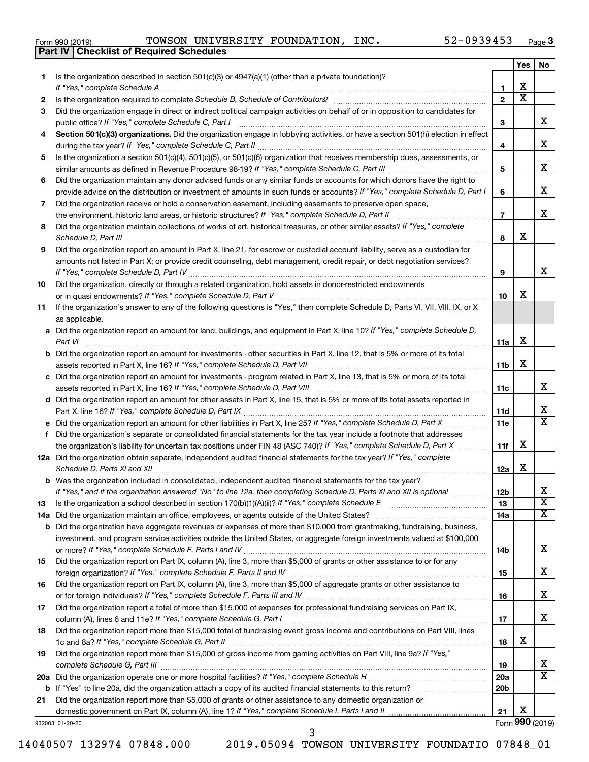|  | Form 990 (2019) |  |
|--|-----------------|--|
|  |                 |  |

**Part IV Checklist of Required Schedules**

 $\frac{1}{20}$ Form 990 (2019) TOWSON UNIVERSITY FOUNDATION, INC.  $52-0939453$  Page TOWSON UNIVERSITY FOUNDATION, INC. 52-0939453

|     |                                                                                                                                                                 |                 | <b>Yes</b>              | No                      |
|-----|-----------------------------------------------------------------------------------------------------------------------------------------------------------------|-----------------|-------------------------|-------------------------|
| 1   | Is the organization described in section $501(c)(3)$ or $4947(a)(1)$ (other than a private foundation)?                                                         |                 |                         |                         |
|     |                                                                                                                                                                 | 1               | х                       |                         |
| 2   | Is the organization required to complete Schedule B, Schedule of Contributors? [11] the organization required to complete Schedule B, Schedule of Contributors? | $\overline{2}$  | $\overline{\textbf{x}}$ |                         |
| 3   | Did the organization engage in direct or indirect political campaign activities on behalf of or in opposition to candidates for                                 |                 |                         |                         |
|     |                                                                                                                                                                 | 3               |                         | х                       |
| 4   | Section 501(c)(3) organizations. Did the organization engage in lobbying activities, or have a section 501(h) election in effect                                |                 |                         |                         |
|     |                                                                                                                                                                 | 4               |                         | х                       |
| 5   | Is the organization a section 501(c)(4), 501(c)(5), or 501(c)(6) organization that receives membership dues, assessments, or                                    |                 |                         |                         |
|     |                                                                                                                                                                 | 5               |                         | х                       |
| 6   | Did the organization maintain any donor advised funds or any similar funds or accounts for which donors have the right to                                       |                 |                         |                         |
|     | provide advice on the distribution or investment of amounts in such funds or accounts? If "Yes," complete Schedule D, Part I                                    | 6               |                         | х                       |
| 7   | Did the organization receive or hold a conservation easement, including easements to preserve open space,                                                       |                 |                         |                         |
|     |                                                                                                                                                                 | $\overline{7}$  |                         | х                       |
| 8   | Did the organization maintain collections of works of art, historical treasures, or other similar assets? If "Yes," complete                                    |                 |                         |                         |
|     | Schedule D, Part III <b>Marting Commission Commission Commission</b> Commission Commission Commission Commission                                                | 8               | х                       |                         |
| 9   | Did the organization report an amount in Part X, line 21, for escrow or custodial account liability, serve as a custodian for                                   |                 |                         |                         |
|     | amounts not listed in Part X; or provide credit counseling, debt management, credit repair, or debt negotiation services?                                       |                 |                         |                         |
|     |                                                                                                                                                                 | 9               |                         | x                       |
| 10  | Did the organization, directly or through a related organization, hold assets in donor-restricted endowments                                                    |                 |                         |                         |
|     |                                                                                                                                                                 | 10              | х                       |                         |
| 11  | If the organization's answer to any of the following questions is "Yes," then complete Schedule D, Parts VI, VII, VIII, IX, or X                                |                 |                         |                         |
|     | as applicable.                                                                                                                                                  |                 |                         |                         |
|     | a Did the organization report an amount for land, buildings, and equipment in Part X, line 10? If "Yes," complete Schedule D,                                   |                 |                         |                         |
|     | Part VI                                                                                                                                                         | 11a             | х                       |                         |
|     | <b>b</b> Did the organization report an amount for investments - other securities in Part X, line 12, that is 5% or more of its total                           |                 |                         |                         |
|     |                                                                                                                                                                 | 11b             | х                       |                         |
|     | c Did the organization report an amount for investments - program related in Part X, line 13, that is 5% or more of its total                                   |                 |                         |                         |
|     |                                                                                                                                                                 | 11c             |                         | x                       |
|     | d Did the organization report an amount for other assets in Part X, line 15, that is 5% or more of its total assets reported in                                 |                 |                         |                         |
|     |                                                                                                                                                                 | <b>11d</b>      |                         | х                       |
|     |                                                                                                                                                                 | 11e             |                         | x                       |
|     | Did the organization's separate or consolidated financial statements for the tax year include a footnote that addresses                                         |                 |                         |                         |
|     | the organization's liability for uncertain tax positions under FIN 48 (ASC 740)? If "Yes," complete Schedule D, Part X                                          | 11f             | х                       |                         |
|     | 12a Did the organization obtain separate, independent audited financial statements for the tax year? If "Yes," complete                                         |                 |                         |                         |
|     |                                                                                                                                                                 | 12a             | х                       |                         |
|     | <b>b</b> Was the organization included in consolidated, independent audited financial statements for the tax year?                                              |                 |                         |                         |
|     | If "Yes," and if the organization answered "No" to line 12a, then completing Schedule D, Parts XI and XII is optional                                           |                 |                         | Δ.                      |
| 13  |                                                                                                                                                                 | 12b<br>13       |                         | $\overline{\textbf{x}}$ |
| 14a | Did the organization maintain an office, employees, or agents outside of the United States?                                                                     | 14a             |                         | x                       |
| b   | Did the organization have aggregate revenues or expenses of more than \$10,000 from grantmaking, fundraising, business,                                         |                 |                         |                         |
|     | investment, and program service activities outside the United States, or aggregate foreign investments valued at \$100,000                                      |                 |                         |                         |
|     |                                                                                                                                                                 | 14b             |                         | x                       |
| 15  | Did the organization report on Part IX, column (A), line 3, more than \$5,000 of grants or other assistance to or for any                                       |                 |                         |                         |
|     |                                                                                                                                                                 | 15              |                         | х                       |
| 16  | Did the organization report on Part IX, column (A), line 3, more than \$5,000 of aggregate grants or other assistance to                                        |                 |                         |                         |
|     |                                                                                                                                                                 | 16              |                         | х                       |
| 17  | Did the organization report a total of more than \$15,000 of expenses for professional fundraising services on Part IX,                                         |                 |                         |                         |
|     |                                                                                                                                                                 | 17              |                         | х                       |
| 18  | Did the organization report more than \$15,000 total of fundraising event gross income and contributions on Part VIII, lines                                    |                 |                         |                         |
|     |                                                                                                                                                                 | 18              | х                       |                         |
| 19  | Did the organization report more than \$15,000 of gross income from gaming activities on Part VIII, line 9a? If "Yes,"                                          |                 |                         |                         |
|     |                                                                                                                                                                 | 19              |                         | x                       |
| 20a |                                                                                                                                                                 | 20a             |                         | x                       |
|     |                                                                                                                                                                 | 20 <sub>b</sub> |                         |                         |
| 21  | Did the organization report more than \$5,000 of grants or other assistance to any domestic organization or                                                     |                 |                         |                         |
|     |                                                                                                                                                                 | 21              | X                       |                         |
|     |                                                                                                                                                                 |                 |                         |                         |

932003 01-20-20

Form (2019) **990**

3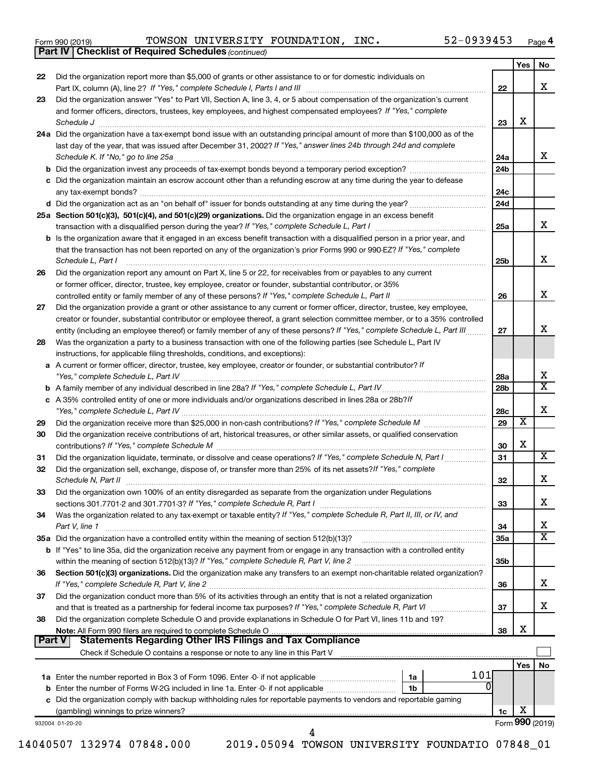|  | Form 990 (2019) |
|--|-----------------|
|  |                 |

*(continued)* **Part IV Checklist of Required Schedules**

Form 990 (2019) Page TOWSON UNIVERSITY FOUNDATION, INC. 52-0939453

|        |                                                                                                                                                                                                                                                         |                 | Yes | No                      |
|--------|---------------------------------------------------------------------------------------------------------------------------------------------------------------------------------------------------------------------------------------------------------|-----------------|-----|-------------------------|
| 22     | Did the organization report more than \$5,000 of grants or other assistance to or for domestic individuals on                                                                                                                                           |                 |     |                         |
|        |                                                                                                                                                                                                                                                         | 22              |     | x                       |
| 23     | Did the organization answer "Yes" to Part VII, Section A, line 3, 4, or 5 about compensation of the organization's current                                                                                                                              |                 |     |                         |
|        | and former officers, directors, trustees, key employees, and highest compensated employees? If "Yes," complete                                                                                                                                          |                 |     |                         |
|        | Schedule J                                                                                                                                                                                                                                              | 23              | х   |                         |
|        | 24a Did the organization have a tax-exempt bond issue with an outstanding principal amount of more than \$100,000 as of the                                                                                                                             |                 |     |                         |
|        | last day of the year, that was issued after December 31, 2002? If "Yes," answer lines 24b through 24d and complete                                                                                                                                      |                 |     |                         |
|        | Schedule K. If "No," go to line 25a                                                                                                                                                                                                                     | 24a             |     | х                       |
|        | <b>b</b> Did the organization invest any proceeds of tax-exempt bonds beyond a temporary period exception?                                                                                                                                              | 24 <sub>b</sub> |     |                         |
|        | c Did the organization maintain an escrow account other than a refunding escrow at any time during the year to defease                                                                                                                                  |                 |     |                         |
|        |                                                                                                                                                                                                                                                         | 24c             |     |                         |
|        |                                                                                                                                                                                                                                                         | 24 <sub>d</sub> |     |                         |
|        | 25a Section 501(c)(3), 501(c)(4), and 501(c)(29) organizations. Did the organization engage in an excess benefit                                                                                                                                        |                 |     |                         |
|        |                                                                                                                                                                                                                                                         | 25a             |     | x                       |
|        | b Is the organization aware that it engaged in an excess benefit transaction with a disqualified person in a prior year, and                                                                                                                            |                 |     |                         |
|        | that the transaction has not been reported on any of the organization's prior Forms 990 or 990-EZ? If "Yes," complete                                                                                                                                   |                 |     | х                       |
|        | Schedule L, Part I                                                                                                                                                                                                                                      | 25b             |     |                         |
| 26     | Did the organization report any amount on Part X, line 5 or 22, for receivables from or payables to any current                                                                                                                                         |                 |     |                         |
|        | or former officer, director, trustee, key employee, creator or founder, substantial contributor, or 35%                                                                                                                                                 |                 |     | x                       |
|        | controlled entity or family member of any of these persons? If "Yes," complete Schedule L, Part II                                                                                                                                                      | 26              |     |                         |
| 27     | Did the organization provide a grant or other assistance to any current or former officer, director, trustee, key employee,                                                                                                                             |                 |     |                         |
|        | creator or founder, substantial contributor or employee thereof, a grant selection committee member, or to a 35% controlled<br>entity (including an employee thereof) or family member of any of these persons? If "Yes," complete Schedule L, Part III | 27              |     | х                       |
| 28     | Was the organization a party to a business transaction with one of the following parties (see Schedule L, Part IV                                                                                                                                       |                 |     |                         |
|        | instructions, for applicable filing thresholds, conditions, and exceptions):                                                                                                                                                                            |                 |     |                         |
|        | a A current or former officer, director, trustee, key employee, creator or founder, or substantial contributor? If                                                                                                                                      |                 |     |                         |
|        |                                                                                                                                                                                                                                                         | 28a             |     | х                       |
|        |                                                                                                                                                                                                                                                         | 28 <sub>b</sub> |     | $\overline{\texttt{x}}$ |
|        | c A 35% controlled entity of one or more individuals and/or organizations described in lines 28a or 28b?If                                                                                                                                              |                 |     |                         |
|        |                                                                                                                                                                                                                                                         | 28c             |     | х                       |
| 29     |                                                                                                                                                                                                                                                         | 29              | х   |                         |
| 30     | Did the organization receive contributions of art, historical treasures, or other similar assets, or qualified conservation                                                                                                                             |                 |     |                         |
|        |                                                                                                                                                                                                                                                         | 30              | х   |                         |
| 31     | Did the organization liquidate, terminate, or dissolve and cease operations? If "Yes," complete Schedule N, Part I                                                                                                                                      | 31              |     | x                       |
| 32     | Did the organization sell, exchange, dispose of, or transfer more than 25% of its net assets? If "Yes," complete                                                                                                                                        |                 |     |                         |
|        | Schedule N, Part II                                                                                                                                                                                                                                     | 32              |     | х                       |
| 33     | Did the organization own 100% of an entity disregarded as separate from the organization under Regulations                                                                                                                                              |                 |     |                         |
|        |                                                                                                                                                                                                                                                         | 33              |     | х                       |
| 34     | Was the organization related to any tax-exempt or taxable entity? If "Yes," complete Schedule R, Part II, III, or IV, and                                                                                                                               |                 |     |                         |
|        | Part V, line 1                                                                                                                                                                                                                                          | 34              |     | х                       |
|        |                                                                                                                                                                                                                                                         | 35a             |     | $\overline{\mathbf{X}}$ |
|        | <b>b</b> If "Yes" to line 35a, did the organization receive any payment from or engage in any transaction with a controlled entity                                                                                                                      |                 |     |                         |
|        |                                                                                                                                                                                                                                                         | 35b             |     |                         |
| 36     | Section 501(c)(3) organizations. Did the organization make any transfers to an exempt non-charitable related organization?                                                                                                                              |                 |     |                         |
|        |                                                                                                                                                                                                                                                         | 36              |     | x                       |
| 37     | Did the organization conduct more than 5% of its activities through an entity that is not a related organization                                                                                                                                        |                 |     |                         |
|        |                                                                                                                                                                                                                                                         | 37              |     | х                       |
| 38     | Did the organization complete Schedule O and provide explanations in Schedule O for Part VI, lines 11b and 19?                                                                                                                                          |                 | х   |                         |
| Part V | <b>Statements Regarding Other IRS Filings and Tax Compliance</b>                                                                                                                                                                                        | 38              |     |                         |
|        | Check if Schedule O contains a response or note to any line in this Part V <b>Martian Check if Schedule O contains a</b>                                                                                                                                |                 |     |                         |
|        |                                                                                                                                                                                                                                                         |                 | Yes | No                      |
|        | 101<br>1a                                                                                                                                                                                                                                               |                 |     |                         |
|        | ΩI<br><b>b</b> Enter the number of Forms W-2G included in line 1a. Enter -0- if not applicable<br>1b                                                                                                                                                    |                 |     |                         |
|        | c Did the organization comply with backup withholding rules for reportable payments to vendors and reportable gaming                                                                                                                                    |                 |     |                         |
|        |                                                                                                                                                                                                                                                         | 1c              | х   |                         |
|        | 932004 01-20-20                                                                                                                                                                                                                                         |                 |     | Form 990 (2019)         |
|        | 4                                                                                                                                                                                                                                                       |                 |     |                         |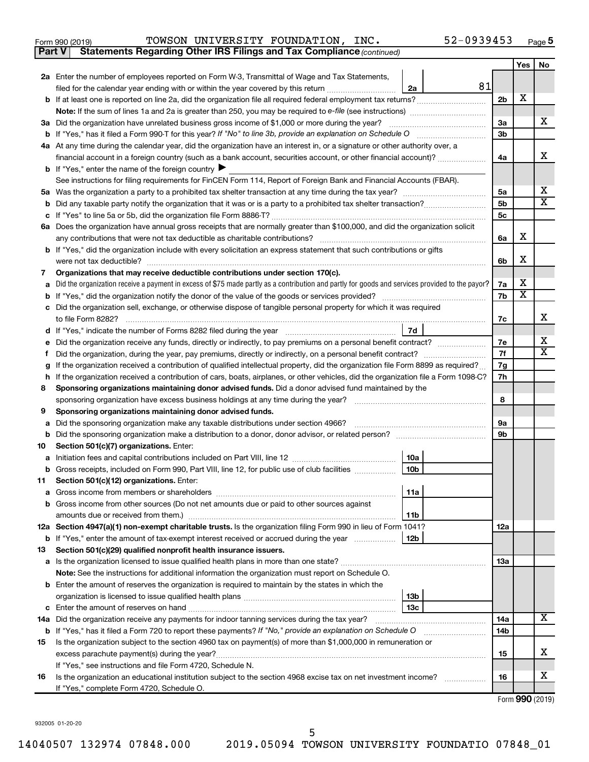| Form 990 (2019) | TOWSON UNIVERSITY FOUNDATION, |  | INC. | 52-0939453 | Page |
|-----------------|-------------------------------|--|------|------------|------|
|-----------------|-------------------------------|--|------|------------|------|

**Part V Statements Regarding Other IRS Filings and Tax Compliance**

*(continued)*

|         |                                                                                                                                                                                                                                            |                | Yes                     | No                      |  |
|---------|--------------------------------------------------------------------------------------------------------------------------------------------------------------------------------------------------------------------------------------------|----------------|-------------------------|-------------------------|--|
|         | 2a Enter the number of employees reported on Form W-3, Transmittal of Wage and Tax Statements,                                                                                                                                             |                |                         |                         |  |
|         | 81<br>filed for the calendar year ending with or within the year covered by this return<br>2a                                                                                                                                              |                |                         |                         |  |
|         |                                                                                                                                                                                                                                            | 2 <sub>b</sub> | х                       |                         |  |
|         | <b>Note:</b> If the sum of lines 1a and 2a is greater than 250, you may be required to e-file (see instructions) <i></i>                                                                                                                   |                |                         |                         |  |
|         | 3a Did the organization have unrelated business gross income of \$1,000 or more during the year?                                                                                                                                           | За             |                         | x                       |  |
|         |                                                                                                                                                                                                                                            | 3b             |                         |                         |  |
|         | 4a At any time during the calendar year, did the organization have an interest in, or a signature or other authority over, a                                                                                                               |                |                         |                         |  |
|         | financial account in a foreign country (such as a bank account, securities account, or other financial account)?                                                                                                                           | 4a             |                         | x                       |  |
|         | <b>b</b> If "Yes," enter the name of the foreign country                                                                                                                                                                                   |                |                         |                         |  |
|         | See instructions for filing requirements for FinCEN Form 114, Report of Foreign Bank and Financial Accounts (FBAR).                                                                                                                        |                |                         |                         |  |
|         |                                                                                                                                                                                                                                            | 5a             |                         | x                       |  |
|         |                                                                                                                                                                                                                                            | 5b             |                         | $\overline{\textbf{x}}$ |  |
|         |                                                                                                                                                                                                                                            | 5c             |                         |                         |  |
|         | 6a Does the organization have annual gross receipts that are normally greater than \$100,000, and did the organization solicit                                                                                                             |                |                         |                         |  |
|         | any contributions that were not tax deductible as charitable contributions?                                                                                                                                                                | 6a             | х                       |                         |  |
|         | b If "Yes," did the organization include with every solicitation an express statement that such contributions or gifts                                                                                                                     |                |                         |                         |  |
|         | were not tax deductible?                                                                                                                                                                                                                   | 6b             | х                       |                         |  |
| 7       | Organizations that may receive deductible contributions under section 170(c).                                                                                                                                                              |                |                         |                         |  |
|         | Did the organization receive a payment in excess of \$75 made partly as a contribution and partly for goods and services provided to the payor?                                                                                            | 7a             | х                       |                         |  |
|         |                                                                                                                                                                                                                                            | 7b             | $\overline{\textbf{x}}$ |                         |  |
|         | c Did the organization sell, exchange, or otherwise dispose of tangible personal property for which it was required                                                                                                                        |                |                         |                         |  |
|         | to file Form 8282?                                                                                                                                                                                                                         | 7c             |                         | x                       |  |
|         | 7d                                                                                                                                                                                                                                         |                |                         | х                       |  |
|         | Did the organization receive any funds, directly or indirectly, to pay premiums on a personal benefit contract?                                                                                                                            | 7e             |                         | $\mathbf x$             |  |
| Ť.      |                                                                                                                                                                                                                                            | 7f<br>7g       |                         |                         |  |
|         | If the organization received a contribution of qualified intellectual property, did the organization file Form 8899 as required?<br>g                                                                                                      |                |                         |                         |  |
| h.<br>8 | If the organization received a contribution of cars, boats, airplanes, or other vehicles, did the organization file a Form 1098-C?<br>Sponsoring organizations maintaining donor advised funds. Did a donor advised fund maintained by the |                |                         |                         |  |
|         | sponsoring organization have excess business holdings at any time during the year?                                                                                                                                                         | 8              |                         |                         |  |
| 9       | Sponsoring organizations maintaining donor advised funds.                                                                                                                                                                                  |                |                         |                         |  |
| a       | Did the sponsoring organization make any taxable distributions under section 4966?                                                                                                                                                         | 9а             |                         |                         |  |
| b       |                                                                                                                                                                                                                                            | 9b             |                         |                         |  |
| 10      | Section 501(c)(7) organizations. Enter:                                                                                                                                                                                                    |                |                         |                         |  |
| а       | 10a                                                                                                                                                                                                                                        |                |                         |                         |  |
| b       | 10 <sub>b</sub><br>Gross receipts, included on Form 990, Part VIII, line 12, for public use of club facilities                                                                                                                             |                |                         |                         |  |
| 11      | Section 501(c)(12) organizations. Enter:                                                                                                                                                                                                   |                |                         |                         |  |
|         | 11a                                                                                                                                                                                                                                        |                |                         |                         |  |
|         | <b>b</b> Gross income from other sources (Do not net amounts due or paid to other sources against                                                                                                                                          |                |                         |                         |  |
|         | amounts due or received from them.)<br>11b                                                                                                                                                                                                 |                |                         |                         |  |
|         | 12a Section 4947(a)(1) non-exempt charitable trusts. Is the organization filing Form 990 in lieu of Form 1041?                                                                                                                             | 12a            |                         |                         |  |
|         | <b>b</b> If "Yes," enter the amount of tax-exempt interest received or accrued during the year<br>12b                                                                                                                                      |                |                         |                         |  |
| 13      | Section 501(c)(29) qualified nonprofit health insurance issuers.                                                                                                                                                                           |                |                         |                         |  |
|         |                                                                                                                                                                                                                                            | 1За            |                         |                         |  |
|         | Note: See the instructions for additional information the organization must report on Schedule O.                                                                                                                                          |                |                         |                         |  |
|         | <b>b</b> Enter the amount of reserves the organization is required to maintain by the states in which the                                                                                                                                  |                |                         |                         |  |
|         | 13b                                                                                                                                                                                                                                        |                |                         |                         |  |
|         | 13c                                                                                                                                                                                                                                        |                |                         |                         |  |
|         | 14a Did the organization receive any payments for indoor tanning services during the tax year?                                                                                                                                             | 14a            |                         | x                       |  |
|         | <b>b</b> If "Yes," has it filed a Form 720 to report these payments? If "No," provide an explanation on Schedule O                                                                                                                         | 14b            |                         |                         |  |
| 15      | Is the organization subject to the section 4960 tax on payment(s) of more than \$1,000,000 in remuneration or                                                                                                                              |                |                         | x                       |  |
|         |                                                                                                                                                                                                                                            | 15             |                         |                         |  |
|         | If "Yes," see instructions and file Form 4720, Schedule N.                                                                                                                                                                                 |                |                         | х                       |  |
| 16      | Is the organization an educational institution subject to the section 4968 excise tax on net investment income?<br>If "Yes," complete Form 4720, Schedule O.                                                                               | 16             |                         |                         |  |
|         |                                                                                                                                                                                                                                            |                |                         |                         |  |

Form (2019) **990**

932005 01-20-20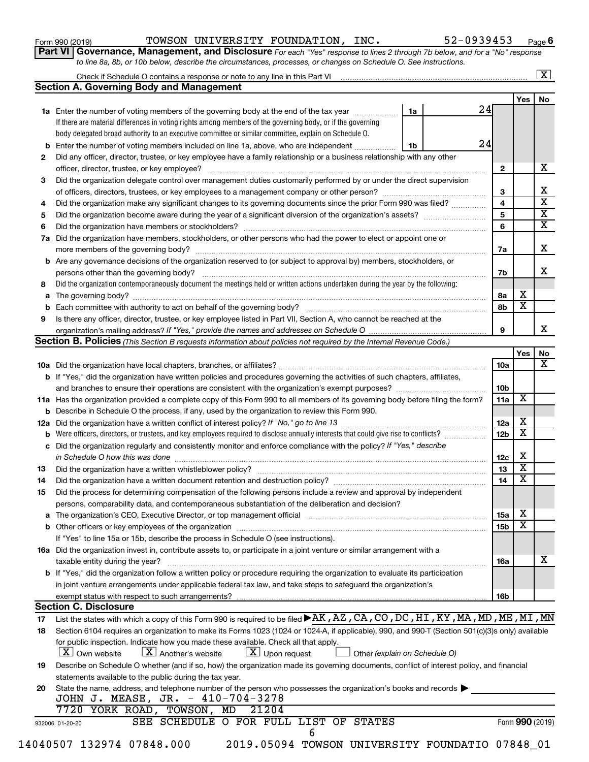| Form 990 (2019) |  |
|-----------------|--|
|-----------------|--|

Form 990 (2019) Page TOWSON UNIVERSITY FOUNDATION, INC. 52-0939453

**Part VI** Governance, Management, and Disclosure For each "Yes" response to lines 2 through 7b below, and for a "No" response *to line 8a, 8b, or 10b below, describe the circumstances, processes, or changes on Schedule O. See instructions.*

|    | <b>Section A. Governing Body and Management</b>                                                                                                  |                 |                         |  |  |  |  |  |
|----|--------------------------------------------------------------------------------------------------------------------------------------------------|-----------------|-------------------------|--|--|--|--|--|
|    | 24                                                                                                                                               |                 | Yes                     |  |  |  |  |  |
|    | 1a Enter the number of voting members of the governing body at the end of the tax year<br>1a                                                     |                 |                         |  |  |  |  |  |
|    | If there are material differences in voting rights among members of the governing body, or if the governing                                      |                 |                         |  |  |  |  |  |
|    | body delegated broad authority to an executive committee or similar committee, explain on Schedule O.<br>24                                      |                 |                         |  |  |  |  |  |
|    | <b>b</b> Enter the number of voting members included on line 1a, above, who are independent<br>1b                                                |                 |                         |  |  |  |  |  |
| 2  | Did any officer, director, trustee, or key employee have a family relationship or a business relationship with any other                         |                 |                         |  |  |  |  |  |
|    |                                                                                                                                                  | 2               |                         |  |  |  |  |  |
| 3  | Did the organization delegate control over management duties customarily performed by or under the direct supervision                            |                 |                         |  |  |  |  |  |
|    |                                                                                                                                                  | 3               |                         |  |  |  |  |  |
| 4  | Did the organization make any significant changes to its governing documents since the prior Form 990 was filed?                                 | 4               |                         |  |  |  |  |  |
| 5  |                                                                                                                                                  | 5               |                         |  |  |  |  |  |
| 6  |                                                                                                                                                  | 6               |                         |  |  |  |  |  |
|    | 7a Did the organization have members, stockholders, or other persons who had the power to elect or appoint one or                                |                 |                         |  |  |  |  |  |
|    |                                                                                                                                                  | 7a              |                         |  |  |  |  |  |
|    | <b>b</b> Are any governance decisions of the organization reserved to (or subject to approval by) members, stockholders, or                      |                 |                         |  |  |  |  |  |
|    | persons other than the governing body?                                                                                                           | 7b              |                         |  |  |  |  |  |
| 8  | Did the organization contemporaneously document the meetings held or written actions undertaken during the year by the following:                |                 |                         |  |  |  |  |  |
|    |                                                                                                                                                  | 8a              | х                       |  |  |  |  |  |
|    |                                                                                                                                                  | 8b              | $\overline{\mathtt{x}}$ |  |  |  |  |  |
| 9  | Is there any officer, director, trustee, or key employee listed in Part VII, Section A, who cannot be reached at the                             |                 |                         |  |  |  |  |  |
|    |                                                                                                                                                  | 9               |                         |  |  |  |  |  |
|    | Section B. Policies (This Section B requests information about policies not required by the Internal Revenue Code.)                              |                 |                         |  |  |  |  |  |
|    |                                                                                                                                                  |                 | Yes                     |  |  |  |  |  |
|    |                                                                                                                                                  | 10a             |                         |  |  |  |  |  |
|    | <b>b</b> If "Yes," did the organization have written policies and procedures governing the activities of such chapters, affiliates,              |                 |                         |  |  |  |  |  |
|    |                                                                                                                                                  | 10 <sub>b</sub> |                         |  |  |  |  |  |
|    | 11a Has the organization provided a complete copy of this Form 990 to all members of its governing body before filing the form?                  | 11a             | х                       |  |  |  |  |  |
|    | <b>b</b> Describe in Schedule O the process, if any, used by the organization to review this Form 990.                                           |                 |                         |  |  |  |  |  |
|    |                                                                                                                                                  | 12a             | х                       |  |  |  |  |  |
| b  |                                                                                                                                                  | 12 <sub>b</sub> | $\overline{\textbf{x}}$ |  |  |  |  |  |
|    | c Did the organization regularly and consistently monitor and enforce compliance with the policy? If "Yes," describe                             |                 |                         |  |  |  |  |  |
|    | in Schedule O how this was done <i>machine and a continuum continuum continuum continuum continuum continuum continuum</i>                       | 12c             | X                       |  |  |  |  |  |
| 13 |                                                                                                                                                  | 13              | $\overline{\mathbf{x}}$ |  |  |  |  |  |
| 14 | Did the organization have a written document retention and destruction policy? [11] manufaction manufaction in                                   | 14              | $\overline{\mathbf{x}}$ |  |  |  |  |  |
| 15 | Did the process for determining compensation of the following persons include a review and approval by independent                               |                 |                         |  |  |  |  |  |
|    |                                                                                                                                                  |                 |                         |  |  |  |  |  |
|    | persons, comparability data, and contemporaneous substantiation of the deliberation and decision?                                                | 15a             | х                       |  |  |  |  |  |
|    |                                                                                                                                                  |                 | $\overline{\textbf{x}}$ |  |  |  |  |  |
|    |                                                                                                                                                  | 15b             |                         |  |  |  |  |  |
|    | If "Yes" to line 15a or 15b, describe the process in Schedule O (see instructions).                                                              |                 |                         |  |  |  |  |  |
|    | 16a Did the organization invest in, contribute assets to, or participate in a joint venture or similar arrangement with a                        |                 |                         |  |  |  |  |  |
|    | taxable entity during the year?                                                                                                                  | 16a             |                         |  |  |  |  |  |
|    | b If "Yes," did the organization follow a written policy or procedure requiring the organization to evaluate its participation                   |                 |                         |  |  |  |  |  |
|    | in joint venture arrangements under applicable federal tax law, and take steps to safeguard the organization's                                   |                 |                         |  |  |  |  |  |
|    | exempt status with respect to such arrangements?                                                                                                 | 16b             |                         |  |  |  |  |  |
|    | <b>Section C. Disclosure</b>                                                                                                                     |                 |                         |  |  |  |  |  |
| 17 | List the states with which a copy of this Form 990 is required to be filed $\blacktriangleright$ AK, AZ, CA, CO, DC, HI, KY, MA, MD, ME, MI, MN  |                 |                         |  |  |  |  |  |
| 18 | Section 6104 requires an organization to make its Forms 1023 (1024 or 1024-A, if applicable), 990, and 990-T (Section 501(c)(3)s only) available |                 |                         |  |  |  |  |  |
|    | for public inspection. Indicate how you made these available. Check all that apply.                                                              |                 |                         |  |  |  |  |  |
|    | $\lfloor x \rfloor$ Upon request<br><b>X</b> Own website<br>$\lfloor X \rfloor$ Another's website<br>Other (explain on Schedule O)               |                 |                         |  |  |  |  |  |
| 19 | Describe on Schedule O whether (and if so, how) the organization made its governing documents, conflict of interest policy, and financial        |                 |                         |  |  |  |  |  |
|    | statements available to the public during the tax year.                                                                                          |                 |                         |  |  |  |  |  |
|    | State the name, address, and telephone number of the person who possesses the organization's books and records                                   |                 |                         |  |  |  |  |  |
| 20 |                                                                                                                                                  |                 |                         |  |  |  |  |  |
|    | JOHN J. MEASE, JR. - 410-704-3278                                                                                                                |                 |                         |  |  |  |  |  |
|    | 7720 YORK ROAD, TOWSON, MD<br>21204<br>SEE SCHEDULE O FOR FULL LIST OF STATES                                                                    |                 |                         |  |  |  |  |  |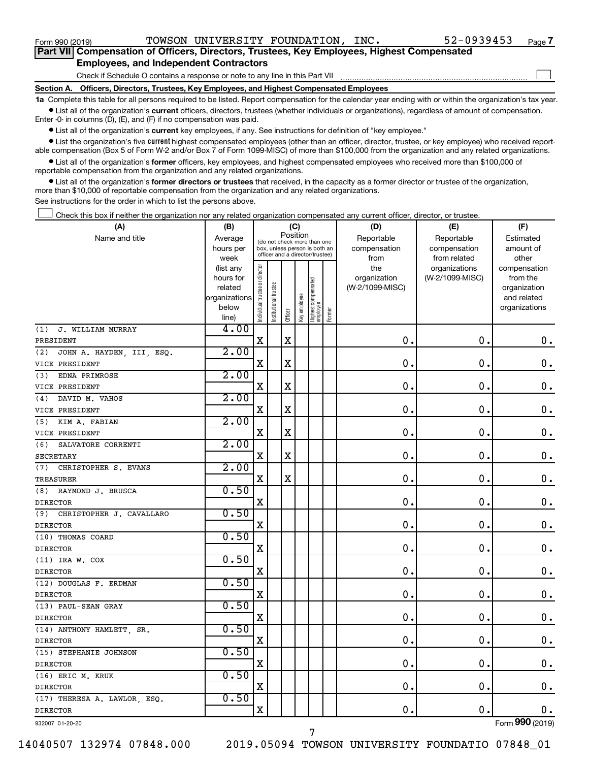Form 990 (2019) Page TOWSON UNIVERSITY FOUNDATION, INC. 52-0939453

 $\Box$ 

| Part VII Compensation of Officers, Directors, Trustees, Key Employees, Highest Compensated |
|--------------------------------------------------------------------------------------------|
| <b>Employees, and Independent Contractors</b>                                              |

Check if Schedule O contains a response or note to any line in this Part VII

**Section A. Officers, Directors, Trustees, Key Employees, and Highest Compensated Employees**

**1a**  Complete this table for all persons required to be listed. Report compensation for the calendar year ending with or within the organization's tax year.  $\bullet$  List all of the organization's current officers, directors, trustees (whether individuals or organizations), regardless of amount of compensation.

Enter -0- in columns (D), (E), and (F) if no compensation was paid.

**•** List all of the organization's current key employees, if any. See instructions for definition of "key employee."

• List the organization's five *current* highest compensated employees (other than an officer, director, trustee, or key employee) who received reportable compensation (Box 5 of Form W-2 and/or Box 7 of Form 1099-MISC) of more than \$100,000 from the organization and any related organizations.

 $\bullet$  List all of the organization's former officers, key employees, and highest compensated employees who received more than \$100,000 of reportable compensation from the organization and any related organizations.

**•** List all of the organization's former directors or trustees that received, in the capacity as a former director or trustee of the organization, more than \$10,000 of reportable compensation from the organization and any related organizations.

See instructions for the order in which to list the persons above.

Check this box if neither the organization nor any related organization compensated any current officer, director, or trustee.  $\Box$ 

| Position<br>Name and title<br>Reportable<br>Reportable<br>Average<br>Estimated<br>(do not check more than one<br>hours per<br>compensation<br>compensation<br>amount of<br>box, unless person is both an<br>officer and a director/trustee)<br>from related<br>other<br>week<br>from<br>ndividual trustee or director<br>the<br>organizations<br>(list any<br>compensation<br>organization<br>(W-2/1099-MISC)<br>hours for<br>from the<br>Highest compensated<br>employee<br>trustee<br>related<br>(W-2/1099-MISC)<br>organization<br>Key employee<br>organizations<br>and related<br>Institutional 1<br>below<br>organizations<br>Former<br>Officer<br>line)<br>4.00<br>J. WILLIAM MURRAY<br>(1)<br>$\overline{\mathbf{X}}$<br>$\mathbf X$<br>$\mathbf 0$ .<br>$\mathbf 0$ .<br>$\mathbf 0$ .<br>PRESIDENT<br>2.00<br>JOHN A. HAYDEN, III, ESQ.<br>(2)<br>$\mathbf 0$ .<br>$\mathbf 0$ .<br>$\mathbf 0$ .<br>$\mathbf X$<br>$\mathbf X$<br>VICE PRESIDENT<br>2.00<br>EDNA PRIMROSE<br>(3)<br>0.<br>X<br>$\mathbf 0$ .<br>0.<br>X<br>VICE PRESIDENT<br>2.00<br>DAVID M. VAHOS<br>(4)<br>0.<br>$\mathbf 0$ .<br>$\mathbf X$<br>$\mathbf X$<br>$\mathbf 0$ .<br>VICE PRESIDENT<br>2.00<br>KIM A. FABIAN<br>(5)<br>X<br>X<br>0.<br>$\mathbf 0$ .<br>$\mathbf 0$ .<br>VICE PRESIDENT<br>2.00<br>SALVATORE CORRENTI<br>(6)<br>$\mathbf X$<br>0.<br>$\mathbf 0$<br>$\mathbf 0$ .<br>X<br><b>SECRETARY</b><br>2.00<br>(7)<br>CHRISTOPHER S. EVANS<br>$\mathbf x$<br>X<br>0.<br>$\mathbf 0$ .<br>$\mathbf 0$ .<br>TREASURER<br>0.50<br>(8) RAYMOND J. BRUSCA<br>$\mathbf X$<br>$\mathbf 0$ .<br>$\mathbf 0$ .<br>$\mathbf 0$ .<br><b>DIRECTOR</b><br>0.50<br>(9)<br>CHRISTOPHER J. CAVALLARO<br>$\mathbf X$<br>$\mathbf 0$ .<br>$\mathbf 0$ .<br>$0$ .<br><b>DIRECTOR</b><br>0.50<br>(10) THOMAS COARD<br>$\mathbf x$<br>$\mathbf 0$ .<br>$\mathbf 0$ .<br>$\mathbf 0$ .<br><b>DIRECTOR</b><br>0.50<br>$(11)$ IRA W. COX<br>$\overline{\mathbf{X}}$<br>$\mathbf 0$ .<br>$\mathbf 0$<br>$\mathbf 0$ .<br><b>DIRECTOR</b><br>0.50<br>(12) DOUGLAS F. ERDMAN<br>$\mathbf X$<br>$\mathbf 0$ .<br>$\mathbf 0$ .<br>$\mathbf 0$ .<br><b>DIRECTOR</b><br>0.50<br>(13) PAUL-SEAN GRAY<br>$\mathbf 0$ .<br>$\mathbf 0$ .<br>$0$ .<br>$\mathbf X$<br><b>DIRECTOR</b><br>0.50<br>(14) ANTHONY HAMLETT SR.<br>$\mathbf 0$ .<br>$\mathbf 0$ .<br>0.<br>X<br><b>DIRECTOR</b><br>0.50<br>(15) STEPHANIE JOHNSON<br>$\mathbf x$<br>$\mathbf 0$ .<br>$\mathbf 0$ .<br>$\mathbf 0$ .<br><b>DIRECTOR</b><br>0.50<br>(16) ERIC M. KRUK<br>$\mathbf 0$<br>X<br>$\mathbf 0$<br>$\mathbf 0$ .<br><b>DIRECTOR</b><br>0.50<br>(17) THERESA A. LAWLOR, ESQ.<br>0.<br>$\mathbf 0$ .<br>$\mathbf X$<br>$\mathbf 0$ .<br><b>DIRECTOR</b><br>Form 990 (2019)<br>932007 01-20-20 | (A) | (B) |  | (C) |  | (D) | (E) | (F) |
|-------------------------------------------------------------------------------------------------------------------------------------------------------------------------------------------------------------------------------------------------------------------------------------------------------------------------------------------------------------------------------------------------------------------------------------------------------------------------------------------------------------------------------------------------------------------------------------------------------------------------------------------------------------------------------------------------------------------------------------------------------------------------------------------------------------------------------------------------------------------------------------------------------------------------------------------------------------------------------------------------------------------------------------------------------------------------------------------------------------------------------------------------------------------------------------------------------------------------------------------------------------------------------------------------------------------------------------------------------------------------------------------------------------------------------------------------------------------------------------------------------------------------------------------------------------------------------------------------------------------------------------------------------------------------------------------------------------------------------------------------------------------------------------------------------------------------------------------------------------------------------------------------------------------------------------------------------------------------------------------------------------------------------------------------------------------------------------------------------------------------------------------------------------------------------------------------------------------------------------------------------------------------------------------------------------------------------------------------------------------------------------------------------------------------------------------------------------------------------------------------------------------------------------------------------------------------------------------------------------------------------------------------------------------------------------------------------------------------------------------|-----|-----|--|-----|--|-----|-----|-----|
|                                                                                                                                                                                                                                                                                                                                                                                                                                                                                                                                                                                                                                                                                                                                                                                                                                                                                                                                                                                                                                                                                                                                                                                                                                                                                                                                                                                                                                                                                                                                                                                                                                                                                                                                                                                                                                                                                                                                                                                                                                                                                                                                                                                                                                                                                                                                                                                                                                                                                                                                                                                                                                                                                                                                           |     |     |  |     |  |     |     |     |
|                                                                                                                                                                                                                                                                                                                                                                                                                                                                                                                                                                                                                                                                                                                                                                                                                                                                                                                                                                                                                                                                                                                                                                                                                                                                                                                                                                                                                                                                                                                                                                                                                                                                                                                                                                                                                                                                                                                                                                                                                                                                                                                                                                                                                                                                                                                                                                                                                                                                                                                                                                                                                                                                                                                                           |     |     |  |     |  |     |     |     |
|                                                                                                                                                                                                                                                                                                                                                                                                                                                                                                                                                                                                                                                                                                                                                                                                                                                                                                                                                                                                                                                                                                                                                                                                                                                                                                                                                                                                                                                                                                                                                                                                                                                                                                                                                                                                                                                                                                                                                                                                                                                                                                                                                                                                                                                                                                                                                                                                                                                                                                                                                                                                                                                                                                                                           |     |     |  |     |  |     |     |     |
|                                                                                                                                                                                                                                                                                                                                                                                                                                                                                                                                                                                                                                                                                                                                                                                                                                                                                                                                                                                                                                                                                                                                                                                                                                                                                                                                                                                                                                                                                                                                                                                                                                                                                                                                                                                                                                                                                                                                                                                                                                                                                                                                                                                                                                                                                                                                                                                                                                                                                                                                                                                                                                                                                                                                           |     |     |  |     |  |     |     |     |
|                                                                                                                                                                                                                                                                                                                                                                                                                                                                                                                                                                                                                                                                                                                                                                                                                                                                                                                                                                                                                                                                                                                                                                                                                                                                                                                                                                                                                                                                                                                                                                                                                                                                                                                                                                                                                                                                                                                                                                                                                                                                                                                                                                                                                                                                                                                                                                                                                                                                                                                                                                                                                                                                                                                                           |     |     |  |     |  |     |     |     |
|                                                                                                                                                                                                                                                                                                                                                                                                                                                                                                                                                                                                                                                                                                                                                                                                                                                                                                                                                                                                                                                                                                                                                                                                                                                                                                                                                                                                                                                                                                                                                                                                                                                                                                                                                                                                                                                                                                                                                                                                                                                                                                                                                                                                                                                                                                                                                                                                                                                                                                                                                                                                                                                                                                                                           |     |     |  |     |  |     |     |     |
|                                                                                                                                                                                                                                                                                                                                                                                                                                                                                                                                                                                                                                                                                                                                                                                                                                                                                                                                                                                                                                                                                                                                                                                                                                                                                                                                                                                                                                                                                                                                                                                                                                                                                                                                                                                                                                                                                                                                                                                                                                                                                                                                                                                                                                                                                                                                                                                                                                                                                                                                                                                                                                                                                                                                           |     |     |  |     |  |     |     |     |
|                                                                                                                                                                                                                                                                                                                                                                                                                                                                                                                                                                                                                                                                                                                                                                                                                                                                                                                                                                                                                                                                                                                                                                                                                                                                                                                                                                                                                                                                                                                                                                                                                                                                                                                                                                                                                                                                                                                                                                                                                                                                                                                                                                                                                                                                                                                                                                                                                                                                                                                                                                                                                                                                                                                                           |     |     |  |     |  |     |     |     |
|                                                                                                                                                                                                                                                                                                                                                                                                                                                                                                                                                                                                                                                                                                                                                                                                                                                                                                                                                                                                                                                                                                                                                                                                                                                                                                                                                                                                                                                                                                                                                                                                                                                                                                                                                                                                                                                                                                                                                                                                                                                                                                                                                                                                                                                                                                                                                                                                                                                                                                                                                                                                                                                                                                                                           |     |     |  |     |  |     |     |     |
|                                                                                                                                                                                                                                                                                                                                                                                                                                                                                                                                                                                                                                                                                                                                                                                                                                                                                                                                                                                                                                                                                                                                                                                                                                                                                                                                                                                                                                                                                                                                                                                                                                                                                                                                                                                                                                                                                                                                                                                                                                                                                                                                                                                                                                                                                                                                                                                                                                                                                                                                                                                                                                                                                                                                           |     |     |  |     |  |     |     |     |
|                                                                                                                                                                                                                                                                                                                                                                                                                                                                                                                                                                                                                                                                                                                                                                                                                                                                                                                                                                                                                                                                                                                                                                                                                                                                                                                                                                                                                                                                                                                                                                                                                                                                                                                                                                                                                                                                                                                                                                                                                                                                                                                                                                                                                                                                                                                                                                                                                                                                                                                                                                                                                                                                                                                                           |     |     |  |     |  |     |     |     |
|                                                                                                                                                                                                                                                                                                                                                                                                                                                                                                                                                                                                                                                                                                                                                                                                                                                                                                                                                                                                                                                                                                                                                                                                                                                                                                                                                                                                                                                                                                                                                                                                                                                                                                                                                                                                                                                                                                                                                                                                                                                                                                                                                                                                                                                                                                                                                                                                                                                                                                                                                                                                                                                                                                                                           |     |     |  |     |  |     |     |     |
|                                                                                                                                                                                                                                                                                                                                                                                                                                                                                                                                                                                                                                                                                                                                                                                                                                                                                                                                                                                                                                                                                                                                                                                                                                                                                                                                                                                                                                                                                                                                                                                                                                                                                                                                                                                                                                                                                                                                                                                                                                                                                                                                                                                                                                                                                                                                                                                                                                                                                                                                                                                                                                                                                                                                           |     |     |  |     |  |     |     |     |
|                                                                                                                                                                                                                                                                                                                                                                                                                                                                                                                                                                                                                                                                                                                                                                                                                                                                                                                                                                                                                                                                                                                                                                                                                                                                                                                                                                                                                                                                                                                                                                                                                                                                                                                                                                                                                                                                                                                                                                                                                                                                                                                                                                                                                                                                                                                                                                                                                                                                                                                                                                                                                                                                                                                                           |     |     |  |     |  |     |     |     |
|                                                                                                                                                                                                                                                                                                                                                                                                                                                                                                                                                                                                                                                                                                                                                                                                                                                                                                                                                                                                                                                                                                                                                                                                                                                                                                                                                                                                                                                                                                                                                                                                                                                                                                                                                                                                                                                                                                                                                                                                                                                                                                                                                                                                                                                                                                                                                                                                                                                                                                                                                                                                                                                                                                                                           |     |     |  |     |  |     |     |     |
|                                                                                                                                                                                                                                                                                                                                                                                                                                                                                                                                                                                                                                                                                                                                                                                                                                                                                                                                                                                                                                                                                                                                                                                                                                                                                                                                                                                                                                                                                                                                                                                                                                                                                                                                                                                                                                                                                                                                                                                                                                                                                                                                                                                                                                                                                                                                                                                                                                                                                                                                                                                                                                                                                                                                           |     |     |  |     |  |     |     |     |
|                                                                                                                                                                                                                                                                                                                                                                                                                                                                                                                                                                                                                                                                                                                                                                                                                                                                                                                                                                                                                                                                                                                                                                                                                                                                                                                                                                                                                                                                                                                                                                                                                                                                                                                                                                                                                                                                                                                                                                                                                                                                                                                                                                                                                                                                                                                                                                                                                                                                                                                                                                                                                                                                                                                                           |     |     |  |     |  |     |     |     |
|                                                                                                                                                                                                                                                                                                                                                                                                                                                                                                                                                                                                                                                                                                                                                                                                                                                                                                                                                                                                                                                                                                                                                                                                                                                                                                                                                                                                                                                                                                                                                                                                                                                                                                                                                                                                                                                                                                                                                                                                                                                                                                                                                                                                                                                                                                                                                                                                                                                                                                                                                                                                                                                                                                                                           |     |     |  |     |  |     |     |     |
|                                                                                                                                                                                                                                                                                                                                                                                                                                                                                                                                                                                                                                                                                                                                                                                                                                                                                                                                                                                                                                                                                                                                                                                                                                                                                                                                                                                                                                                                                                                                                                                                                                                                                                                                                                                                                                                                                                                                                                                                                                                                                                                                                                                                                                                                                                                                                                                                                                                                                                                                                                                                                                                                                                                                           |     |     |  |     |  |     |     |     |
|                                                                                                                                                                                                                                                                                                                                                                                                                                                                                                                                                                                                                                                                                                                                                                                                                                                                                                                                                                                                                                                                                                                                                                                                                                                                                                                                                                                                                                                                                                                                                                                                                                                                                                                                                                                                                                                                                                                                                                                                                                                                                                                                                                                                                                                                                                                                                                                                                                                                                                                                                                                                                                                                                                                                           |     |     |  |     |  |     |     |     |
|                                                                                                                                                                                                                                                                                                                                                                                                                                                                                                                                                                                                                                                                                                                                                                                                                                                                                                                                                                                                                                                                                                                                                                                                                                                                                                                                                                                                                                                                                                                                                                                                                                                                                                                                                                                                                                                                                                                                                                                                                                                                                                                                                                                                                                                                                                                                                                                                                                                                                                                                                                                                                                                                                                                                           |     |     |  |     |  |     |     |     |
|                                                                                                                                                                                                                                                                                                                                                                                                                                                                                                                                                                                                                                                                                                                                                                                                                                                                                                                                                                                                                                                                                                                                                                                                                                                                                                                                                                                                                                                                                                                                                                                                                                                                                                                                                                                                                                                                                                                                                                                                                                                                                                                                                                                                                                                                                                                                                                                                                                                                                                                                                                                                                                                                                                                                           |     |     |  |     |  |     |     |     |
|                                                                                                                                                                                                                                                                                                                                                                                                                                                                                                                                                                                                                                                                                                                                                                                                                                                                                                                                                                                                                                                                                                                                                                                                                                                                                                                                                                                                                                                                                                                                                                                                                                                                                                                                                                                                                                                                                                                                                                                                                                                                                                                                                                                                                                                                                                                                                                                                                                                                                                                                                                                                                                                                                                                                           |     |     |  |     |  |     |     |     |
|                                                                                                                                                                                                                                                                                                                                                                                                                                                                                                                                                                                                                                                                                                                                                                                                                                                                                                                                                                                                                                                                                                                                                                                                                                                                                                                                                                                                                                                                                                                                                                                                                                                                                                                                                                                                                                                                                                                                                                                                                                                                                                                                                                                                                                                                                                                                                                                                                                                                                                                                                                                                                                                                                                                                           |     |     |  |     |  |     |     |     |
|                                                                                                                                                                                                                                                                                                                                                                                                                                                                                                                                                                                                                                                                                                                                                                                                                                                                                                                                                                                                                                                                                                                                                                                                                                                                                                                                                                                                                                                                                                                                                                                                                                                                                                                                                                                                                                                                                                                                                                                                                                                                                                                                                                                                                                                                                                                                                                                                                                                                                                                                                                                                                                                                                                                                           |     |     |  |     |  |     |     |     |
|                                                                                                                                                                                                                                                                                                                                                                                                                                                                                                                                                                                                                                                                                                                                                                                                                                                                                                                                                                                                                                                                                                                                                                                                                                                                                                                                                                                                                                                                                                                                                                                                                                                                                                                                                                                                                                                                                                                                                                                                                                                                                                                                                                                                                                                                                                                                                                                                                                                                                                                                                                                                                                                                                                                                           |     |     |  |     |  |     |     |     |
|                                                                                                                                                                                                                                                                                                                                                                                                                                                                                                                                                                                                                                                                                                                                                                                                                                                                                                                                                                                                                                                                                                                                                                                                                                                                                                                                                                                                                                                                                                                                                                                                                                                                                                                                                                                                                                                                                                                                                                                                                                                                                                                                                                                                                                                                                                                                                                                                                                                                                                                                                                                                                                                                                                                                           |     |     |  |     |  |     |     |     |
|                                                                                                                                                                                                                                                                                                                                                                                                                                                                                                                                                                                                                                                                                                                                                                                                                                                                                                                                                                                                                                                                                                                                                                                                                                                                                                                                                                                                                                                                                                                                                                                                                                                                                                                                                                                                                                                                                                                                                                                                                                                                                                                                                                                                                                                                                                                                                                                                                                                                                                                                                                                                                                                                                                                                           |     |     |  |     |  |     |     |     |
|                                                                                                                                                                                                                                                                                                                                                                                                                                                                                                                                                                                                                                                                                                                                                                                                                                                                                                                                                                                                                                                                                                                                                                                                                                                                                                                                                                                                                                                                                                                                                                                                                                                                                                                                                                                                                                                                                                                                                                                                                                                                                                                                                                                                                                                                                                                                                                                                                                                                                                                                                                                                                                                                                                                                           |     |     |  |     |  |     |     |     |
|                                                                                                                                                                                                                                                                                                                                                                                                                                                                                                                                                                                                                                                                                                                                                                                                                                                                                                                                                                                                                                                                                                                                                                                                                                                                                                                                                                                                                                                                                                                                                                                                                                                                                                                                                                                                                                                                                                                                                                                                                                                                                                                                                                                                                                                                                                                                                                                                                                                                                                                                                                                                                                                                                                                                           |     |     |  |     |  |     |     |     |
|                                                                                                                                                                                                                                                                                                                                                                                                                                                                                                                                                                                                                                                                                                                                                                                                                                                                                                                                                                                                                                                                                                                                                                                                                                                                                                                                                                                                                                                                                                                                                                                                                                                                                                                                                                                                                                                                                                                                                                                                                                                                                                                                                                                                                                                                                                                                                                                                                                                                                                                                                                                                                                                                                                                                           |     |     |  |     |  |     |     |     |
|                                                                                                                                                                                                                                                                                                                                                                                                                                                                                                                                                                                                                                                                                                                                                                                                                                                                                                                                                                                                                                                                                                                                                                                                                                                                                                                                                                                                                                                                                                                                                                                                                                                                                                                                                                                                                                                                                                                                                                                                                                                                                                                                                                                                                                                                                                                                                                                                                                                                                                                                                                                                                                                                                                                                           |     |     |  |     |  |     |     |     |
|                                                                                                                                                                                                                                                                                                                                                                                                                                                                                                                                                                                                                                                                                                                                                                                                                                                                                                                                                                                                                                                                                                                                                                                                                                                                                                                                                                                                                                                                                                                                                                                                                                                                                                                                                                                                                                                                                                                                                                                                                                                                                                                                                                                                                                                                                                                                                                                                                                                                                                                                                                                                                                                                                                                                           |     |     |  |     |  |     |     |     |
|                                                                                                                                                                                                                                                                                                                                                                                                                                                                                                                                                                                                                                                                                                                                                                                                                                                                                                                                                                                                                                                                                                                                                                                                                                                                                                                                                                                                                                                                                                                                                                                                                                                                                                                                                                                                                                                                                                                                                                                                                                                                                                                                                                                                                                                                                                                                                                                                                                                                                                                                                                                                                                                                                                                                           |     |     |  |     |  |     |     |     |
|                                                                                                                                                                                                                                                                                                                                                                                                                                                                                                                                                                                                                                                                                                                                                                                                                                                                                                                                                                                                                                                                                                                                                                                                                                                                                                                                                                                                                                                                                                                                                                                                                                                                                                                                                                                                                                                                                                                                                                                                                                                                                                                                                                                                                                                                                                                                                                                                                                                                                                                                                                                                                                                                                                                                           |     |     |  |     |  |     |     |     |
|                                                                                                                                                                                                                                                                                                                                                                                                                                                                                                                                                                                                                                                                                                                                                                                                                                                                                                                                                                                                                                                                                                                                                                                                                                                                                                                                                                                                                                                                                                                                                                                                                                                                                                                                                                                                                                                                                                                                                                                                                                                                                                                                                                                                                                                                                                                                                                                                                                                                                                                                                                                                                                                                                                                                           |     |     |  |     |  |     |     |     |
|                                                                                                                                                                                                                                                                                                                                                                                                                                                                                                                                                                                                                                                                                                                                                                                                                                                                                                                                                                                                                                                                                                                                                                                                                                                                                                                                                                                                                                                                                                                                                                                                                                                                                                                                                                                                                                                                                                                                                                                                                                                                                                                                                                                                                                                                                                                                                                                                                                                                                                                                                                                                                                                                                                                                           |     |     |  |     |  |     |     |     |
|                                                                                                                                                                                                                                                                                                                                                                                                                                                                                                                                                                                                                                                                                                                                                                                                                                                                                                                                                                                                                                                                                                                                                                                                                                                                                                                                                                                                                                                                                                                                                                                                                                                                                                                                                                                                                                                                                                                                                                                                                                                                                                                                                                                                                                                                                                                                                                                                                                                                                                                                                                                                                                                                                                                                           |     |     |  |     |  |     |     |     |
|                                                                                                                                                                                                                                                                                                                                                                                                                                                                                                                                                                                                                                                                                                                                                                                                                                                                                                                                                                                                                                                                                                                                                                                                                                                                                                                                                                                                                                                                                                                                                                                                                                                                                                                                                                                                                                                                                                                                                                                                                                                                                                                                                                                                                                                                                                                                                                                                                                                                                                                                                                                                                                                                                                                                           |     |     |  |     |  |     |     |     |
|                                                                                                                                                                                                                                                                                                                                                                                                                                                                                                                                                                                                                                                                                                                                                                                                                                                                                                                                                                                                                                                                                                                                                                                                                                                                                                                                                                                                                                                                                                                                                                                                                                                                                                                                                                                                                                                                                                                                                                                                                                                                                                                                                                                                                                                                                                                                                                                                                                                                                                                                                                                                                                                                                                                                           |     |     |  |     |  |     |     |     |
|                                                                                                                                                                                                                                                                                                                                                                                                                                                                                                                                                                                                                                                                                                                                                                                                                                                                                                                                                                                                                                                                                                                                                                                                                                                                                                                                                                                                                                                                                                                                                                                                                                                                                                                                                                                                                                                                                                                                                                                                                                                                                                                                                                                                                                                                                                                                                                                                                                                                                                                                                                                                                                                                                                                                           |     |     |  |     |  |     |     |     |
|                                                                                                                                                                                                                                                                                                                                                                                                                                                                                                                                                                                                                                                                                                                                                                                                                                                                                                                                                                                                                                                                                                                                                                                                                                                                                                                                                                                                                                                                                                                                                                                                                                                                                                                                                                                                                                                                                                                                                                                                                                                                                                                                                                                                                                                                                                                                                                                                                                                                                                                                                                                                                                                                                                                                           |     |     |  |     |  |     |     |     |

14040507 132974 07848.000 2019.05094 TOWSON UNIVERSITY FOUNDATIO 07848\_01

7

Form (2019) **990**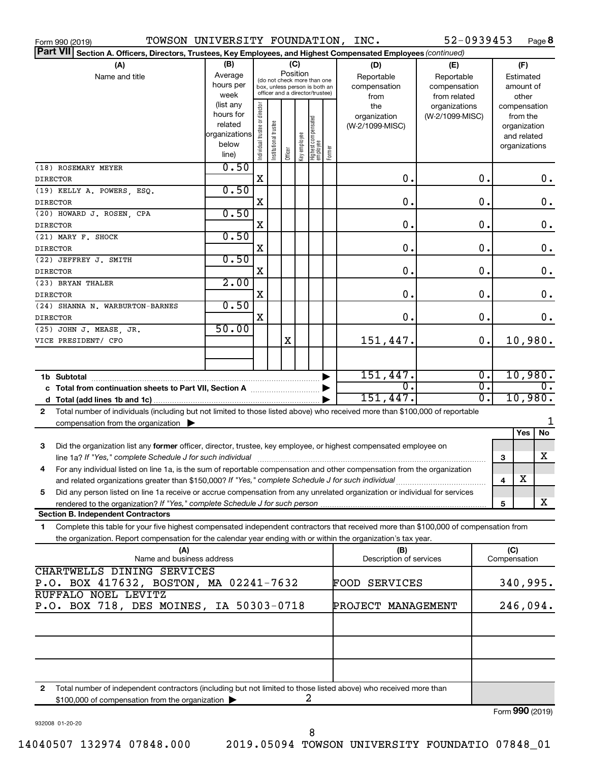| TOWSON UNIVERSITY FOUNDATION, INC.<br>Form 990 (2019)                                                                                                                                                    |                                                                      |                                |                       |                 |              |                                                                                                 |        |                                           | 52-0939453                                        |                  |     | Page 8                                                                   |
|----------------------------------------------------------------------------------------------------------------------------------------------------------------------------------------------------------|----------------------------------------------------------------------|--------------------------------|-----------------------|-----------------|--------------|-------------------------------------------------------------------------------------------------|--------|-------------------------------------------|---------------------------------------------------|------------------|-----|--------------------------------------------------------------------------|
| <b>Part VII</b><br>Section A. Officers, Directors, Trustees, Key Employees, and Highest Compensated Employees (continued)                                                                                |                                                                      |                                |                       |                 |              |                                                                                                 |        |                                           |                                                   |                  |     |                                                                          |
| (A)<br>Name and title                                                                                                                                                                                    | (B)<br>Average<br>hours per<br>week                                  |                                |                       | (C)<br>Position |              | (do not check more than one<br>box, unless person is both an<br>officer and a director/trustee) |        | (D)<br>Reportable<br>compensation<br>from | (E)<br>Reportable<br>compensation<br>from related |                  |     | (F)<br>Estimated<br>amount of<br>other                                   |
|                                                                                                                                                                                                          | (list any<br>hours for<br>related<br>organizations<br>below<br>line) | Individual trustee or director | Institutional trustee | Officer         | Key employee | Highest compensated<br> employee                                                                | Former | the<br>organization<br>(W-2/1099-MISC)    | organizations<br>(W-2/1099-MISC)                  |                  |     | compensation<br>from the<br>organization<br>and related<br>organizations |
| (18) ROSEMARY MEYER<br>DIRECTOR                                                                                                                                                                          | 0.50                                                                 | X                              |                       |                 |              |                                                                                                 |        | $\mathbf 0$ .                             |                                                   | 0.               |     | 0.                                                                       |
| (19) KELLY A. POWERS, ESQ.                                                                                                                                                                               | 0.50                                                                 |                                |                       |                 |              |                                                                                                 |        |                                           |                                                   |                  |     |                                                                          |
| DIRECTOR                                                                                                                                                                                                 |                                                                      | X                              |                       |                 |              |                                                                                                 |        | О.                                        |                                                   | О.               |     | 0.                                                                       |
| (20) HOWARD J. ROSEN, CPA                                                                                                                                                                                | 0.50                                                                 |                                |                       |                 |              |                                                                                                 |        |                                           |                                                   |                  |     |                                                                          |
| <b>DIRECTOR</b>                                                                                                                                                                                          |                                                                      | X                              |                       |                 |              |                                                                                                 |        | О.                                        |                                                   | О.               |     | 0.                                                                       |
| (21) MARY F. SHOCK<br><b>DIRECTOR</b>                                                                                                                                                                    | 0.50                                                                 | X                              |                       |                 |              |                                                                                                 |        | О.                                        |                                                   | О.               |     | 0.                                                                       |
| (22) JEFFREY J. SMITH<br><b>DIRECTOR</b>                                                                                                                                                                 | 0.50                                                                 | X                              |                       |                 |              |                                                                                                 |        | О.                                        |                                                   | О.               |     | 0.                                                                       |
| (23) BRYAN THALER                                                                                                                                                                                        | 2.00                                                                 |                                |                       |                 |              |                                                                                                 |        |                                           |                                                   |                  |     |                                                                          |
| <b>DIRECTOR</b>                                                                                                                                                                                          | 0.50                                                                 | X                              |                       |                 |              |                                                                                                 |        | $\mathbf 0$ .                             |                                                   | О.               |     | 0.                                                                       |
| (24) SHANNA N. WARBURTON-BARNES<br><b>DIRECTOR</b>                                                                                                                                                       |                                                                      | X                              |                       |                 |              |                                                                                                 |        | $\mathbf 0$ .                             |                                                   | 0.               |     | 0.                                                                       |
| (25) JOHN J. MEASE, JR.<br>VICE PRESIDENT/ CFO                                                                                                                                                           | 50.00                                                                |                                |                       | X               |              |                                                                                                 |        | 151,447.                                  |                                                   | 0.               |     | 10,980.                                                                  |
|                                                                                                                                                                                                          |                                                                      |                                |                       |                 |              |                                                                                                 |        |                                           |                                                   |                  |     |                                                                          |
| 1b Subtotal                                                                                                                                                                                              |                                                                      |                                |                       |                 |              |                                                                                                 |        | 151,447.                                  |                                                   | $\overline{0}$ . |     | 10,980.                                                                  |
| c Total from continuation sheets to Part VII, Section A manuscription.                                                                                                                                   |                                                                      |                                |                       |                 |              |                                                                                                 |        | 0.                                        |                                                   | σ.               |     | 0.                                                                       |
|                                                                                                                                                                                                          |                                                                      |                                |                       |                 |              |                                                                                                 |        | 151,447.                                  |                                                   | σ.               |     | 10,980.                                                                  |
| Total number of individuals (including but not limited to those listed above) who received more than \$100,000 of reportable<br>$\mathbf{2}$<br>compensation from the organization $\blacktriangleright$ |                                                                      |                                |                       |                 |              |                                                                                                 |        |                                           |                                                   |                  |     | 1                                                                        |
|                                                                                                                                                                                                          |                                                                      |                                |                       |                 |              |                                                                                                 |        |                                           |                                                   |                  |     | No<br>Yes                                                                |
| Did the organization list any former officer, director, trustee, key employee, or highest compensated employee on<br>3<br>line 1a? If "Yes," complete Schedule J for such individual                     |                                                                      |                                |                       |                 |              |                                                                                                 |        |                                           |                                                   |                  | 3   | x                                                                        |
| For any individual listed on line 1a, is the sum of reportable compensation and other compensation from the organization<br>4                                                                            |                                                                      |                                |                       |                 |              |                                                                                                 |        |                                           |                                                   |                  |     |                                                                          |
| and related organizations greater than \$150,000? If "Yes," complete Schedule J for such individual                                                                                                      |                                                                      |                                |                       |                 |              |                                                                                                 |        |                                           |                                                   |                  | 4   | х                                                                        |
| Did any person listed on line 1a receive or accrue compensation from any unrelated organization or individual for services<br>5                                                                          |                                                                      |                                |                       |                 |              |                                                                                                 |        |                                           |                                                   |                  |     |                                                                          |
|                                                                                                                                                                                                          |                                                                      |                                |                       |                 |              |                                                                                                 |        |                                           |                                                   |                  | 5   | x                                                                        |
| <b>Section B. Independent Contractors</b>                                                                                                                                                                |                                                                      |                                |                       |                 |              |                                                                                                 |        |                                           |                                                   |                  |     |                                                                          |
| Complete this table for your five highest compensated independent contractors that received more than \$100,000 of compensation from<br>1.                                                               |                                                                      |                                |                       |                 |              |                                                                                                 |        |                                           |                                                   |                  |     |                                                                          |
| the organization. Report compensation for the calendar year ending with or within the organization's tax year.                                                                                           |                                                                      |                                |                       |                 |              |                                                                                                 |        |                                           |                                                   |                  |     |                                                                          |
| (A)<br>Name and business address                                                                                                                                                                         |                                                                      |                                |                       |                 |              |                                                                                                 |        | (B)<br>Description of services            |                                                   |                  | (C) | Compensation                                                             |
| CHARTWELLS DINING SERVICES<br>P.O. BOX 417632, BOSTON, MA 02241-7632                                                                                                                                     |                                                                      |                                |                       |                 |              |                                                                                                 |        | <b>FOOD SERVICES</b>                      |                                                   |                  |     | 340,995.                                                                 |
| RUFFALO NOEL LEVITZ                                                                                                                                                                                      |                                                                      |                                |                       |                 |              |                                                                                                 |        |                                           |                                                   |                  |     |                                                                          |
| P.O. BOX 718, DES MOINES, IA 50303-0718                                                                                                                                                                  |                                                                      |                                |                       |                 |              |                                                                                                 |        | PROJECT MANAGEMENT                        |                                                   |                  |     | 246,094.                                                                 |
|                                                                                                                                                                                                          |                                                                      |                                |                       |                 |              |                                                                                                 |        |                                           |                                                   |                  |     |                                                                          |
|                                                                                                                                                                                                          |                                                                      |                                |                       |                 |              |                                                                                                 |        |                                           |                                                   |                  |     |                                                                          |
|                                                                                                                                                                                                          |                                                                      |                                |                       |                 |              |                                                                                                 |        |                                           |                                                   |                  |     |                                                                          |

**2** Total number of independent contractors (including but not limited to those listed above) who received more than  $$100,000$  of compensation from the organization  $\blacktriangleright$  2

932008 01-20-20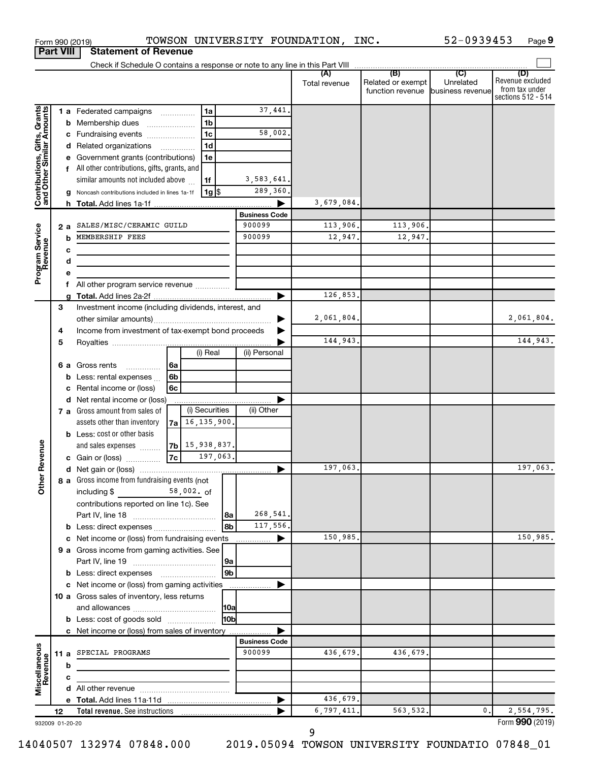|                                                           | <b>Part VIII</b> | <b>Statement of Revenue</b>                                                                                                                                       |                                |                     |                                                        |           |                                                                 |
|-----------------------------------------------------------|------------------|-------------------------------------------------------------------------------------------------------------------------------------------------------------------|--------------------------------|---------------------|--------------------------------------------------------|-----------|-----------------------------------------------------------------|
|                                                           |                  |                                                                                                                                                                   |                                |                     |                                                        |           |                                                                 |
|                                                           |                  |                                                                                                                                                                   |                                | Total revenue       | Related or exempt<br>function revenue business revenue | Unrelated | (D)<br>Revenue excluded<br>from tax under<br>sections 512 - 514 |
| Contributions, Gifts, Grants<br>and Other Similar Amounts |                  | 1a<br>1 a Federated campaigns<br>1 <sub>b</sub><br><b>b</b> Membership dues<br>$\ldots \ldots \ldots \ldots$<br>1 <sub>c</sub><br>c Fundraising events            | 37,441.<br>58,002.             |                     |                                                        |           |                                                                 |
|                                                           |                  | 1 <sub>d</sub><br>d Related organizations<br>$\overline{\phantom{a}}$<br>1e<br>Government grants (contributions)<br>f All other contributions, gifts, grants, and |                                |                     |                                                        |           |                                                                 |
|                                                           |                  | similar amounts not included above<br>1f<br>$1g$ \$<br>Noncash contributions included in lines 1a-1f                                                              | 3,583,641.<br>289,360.         | 3,679,084.          |                                                        |           |                                                                 |
|                                                           |                  |                                                                                                                                                                   | <b>Business Code</b>           |                     |                                                        |           |                                                                 |
|                                                           |                  | SALES/MISC/CERAMIC GUILD                                                                                                                                          | 900099                         |                     |                                                        |           |                                                                 |
|                                                           | 2 a<br>b         | MEMBERSHIP FEES                                                                                                                                                   | 900099                         | 113,906.<br>12,947. | 113,906.<br>12,947.                                    |           |                                                                 |
| Program Service<br>Revenue                                | c<br>d           | the control of the control of the control of the control of the                                                                                                   |                                |                     |                                                        |           |                                                                 |
|                                                           | е<br>f           |                                                                                                                                                                   |                                |                     |                                                        |           |                                                                 |
|                                                           |                  |                                                                                                                                                                   | ▶                              | 126,853.            |                                                        |           |                                                                 |
|                                                           | 3                | Investment income (including dividends, interest, and                                                                                                             |                                | 2,061,804.          |                                                        |           | 2,061,804.                                                      |
|                                                           | 4                | Income from investment of tax-exempt bond proceeds                                                                                                                |                                |                     |                                                        |           |                                                                 |
|                                                           | 5                |                                                                                                                                                                   |                                | 144,943.            |                                                        |           | 144,943.                                                        |
|                                                           |                  | (i) Real<br>6 a Gross rents<br>l 6a                                                                                                                               | (ii) Personal                  |                     |                                                        |           |                                                                 |
|                                                           | b                | .<br>6 <sub>b</sub><br>Less: rental expenses                                                                                                                      |                                |                     |                                                        |           |                                                                 |
|                                                           |                  | Rental income or (loss)<br>6c                                                                                                                                     |                                |                     |                                                        |           |                                                                 |
|                                                           | c                |                                                                                                                                                                   |                                |                     |                                                        |           |                                                                 |
|                                                           | d                | Net rental income or (loss)<br>(i) Securities<br>7 a Gross amount from sales of                                                                                   | (ii) Other                     |                     |                                                        |           |                                                                 |
|                                                           |                  | $7a$ 16, 135, 900.<br>assets other than inventory                                                                                                                 |                                |                     |                                                        |           |                                                                 |
|                                                           |                  | <b>b</b> Less: cost or other basis                                                                                                                                |                                |                     |                                                        |           |                                                                 |
|                                                           |                  | $ 7b $ 15, 938, 837.<br>and sales expenses                                                                                                                        |                                |                     |                                                        |           |                                                                 |
| Revenue                                                   |                  | 197,063.<br> 7c                                                                                                                                                   |                                |                     |                                                        |           |                                                                 |
|                                                           |                  | c Gain or (loss)                                                                                                                                                  |                                | 197,063.            |                                                        |           | 197,063.                                                        |
| ৯                                                         |                  | 8 a Gross income from fundraising events (not                                                                                                                     |                                |                     |                                                        |           |                                                                 |
| $\check{\epsilon}$                                        |                  | 58,002. of<br>including \$<br>contributions reported on line 1c). See                                                                                             |                                |                     |                                                        |           |                                                                 |
|                                                           |                  | l 8a                                                                                                                                                              | 268,541.                       |                     |                                                        |           |                                                                 |
|                                                           |                  | 8b                                                                                                                                                                | 117,556.                       |                     |                                                        |           |                                                                 |
|                                                           |                  | c Net income or (loss) from fundraising events                                                                                                                    |                                | 150,985.            |                                                        |           | 150,985.                                                        |
|                                                           |                  | 9 a Gross income from gaming activities. See<br> 9a                                                                                                               |                                |                     |                                                        |           |                                                                 |
|                                                           |                  | 9 <sub>b</sub><br><b>b</b> Less: direct expenses <b>manually</b>                                                                                                  |                                |                     |                                                        |           |                                                                 |
|                                                           |                  | c Net income or (loss) from gaming activities                                                                                                                     |                                |                     |                                                        |           |                                                                 |
|                                                           |                  | 10 a Gross sales of inventory, less returns                                                                                                                       |                                |                     |                                                        |           |                                                                 |
|                                                           |                  | 10a                                                                                                                                                               |                                |                     |                                                        |           |                                                                 |
|                                                           |                  | 10bl<br><b>b</b> Less: cost of goods sold                                                                                                                         |                                |                     |                                                        |           |                                                                 |
|                                                           |                  | c Net income or (loss) from sales of inventory                                                                                                                    |                                |                     |                                                        |           |                                                                 |
| Miscellaneous<br>Revenue                                  |                  | 11 a SPECIAL PROGRAMS                                                                                                                                             | <b>Business Code</b><br>900099 | 436,679.            | 436,679.                                               |           |                                                                 |
|                                                           | b                |                                                                                                                                                                   |                                |                     |                                                        |           |                                                                 |
|                                                           | с                |                                                                                                                                                                   |                                |                     |                                                        |           |                                                                 |
|                                                           |                  |                                                                                                                                                                   |                                |                     |                                                        |           |                                                                 |
|                                                           |                  |                                                                                                                                                                   |                                | 436,679.            |                                                        |           |                                                                 |
|                                                           | 12               |                                                                                                                                                                   |                                | 6,797,411.          | 563,532.                                               | 0.        | 2,554,795.                                                      |
|                                                           | 932009 01-20-20  |                                                                                                                                                                   |                                |                     |                                                        |           | Form 990 (2019)                                                 |

Form 990 (2019)  $\negthinspace$  TOWSON UNIVERSITY FOUNDATION, INC.  $\qquad \qquad$  52-0939453  $\qquad$  Page

932009 01-20-20

52-0939453 Page 9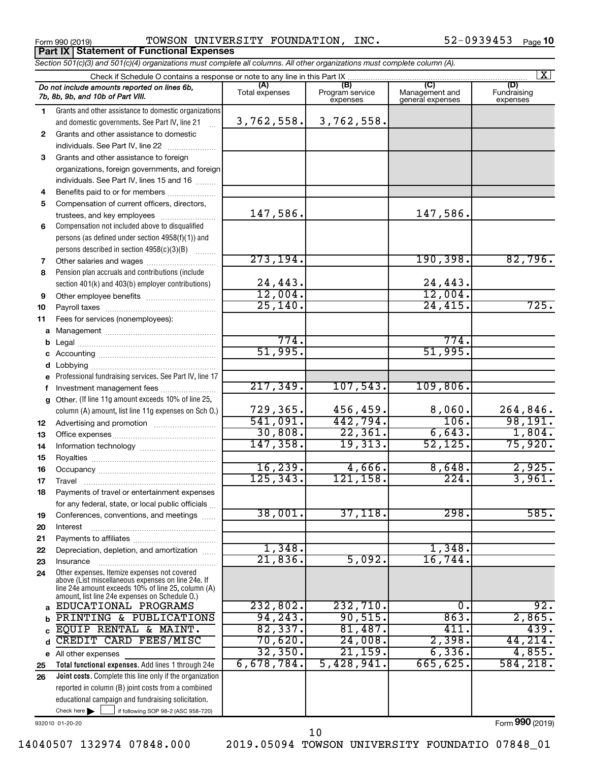Form 990 (2019)  $\nonumber$  TOWSON UNIVERSITY FOUNDATION, INC.  $52-0939453$   $_{\text{Page}}$ **Part IX Statement of Functional Expenses**

|              | Section 501(c)(3) and 501(c)(4) organizations must complete all columns. All other organizations must complete column (A).                                                                                 |                       |                                    |                                           |                                |  |  |  |  |  |  |  |
|--------------|------------------------------------------------------------------------------------------------------------------------------------------------------------------------------------------------------------|-----------------------|------------------------------------|-------------------------------------------|--------------------------------|--|--|--|--|--|--|--|
| $\mathbf{x}$ |                                                                                                                                                                                                            |                       |                                    |                                           |                                |  |  |  |  |  |  |  |
|              | Do not include amounts reported on lines 6b,<br>7b, 8b, 9b, and 10b of Part VIII.                                                                                                                          | (A)<br>Total expenses | (B)<br>Program service<br>expenses | (C)<br>Management and<br>general expenses | (D)<br>Fundraising<br>expenses |  |  |  |  |  |  |  |
| 1.           | Grants and other assistance to domestic organizations                                                                                                                                                      |                       |                                    |                                           |                                |  |  |  |  |  |  |  |
|              | and domestic governments. See Part IV, line 21                                                                                                                                                             | 3,762,558.            | 3,762,558.                         |                                           |                                |  |  |  |  |  |  |  |
| $\mathbf{2}$ | Grants and other assistance to domestic                                                                                                                                                                    |                       |                                    |                                           |                                |  |  |  |  |  |  |  |
|              | individuals. See Part IV, line 22                                                                                                                                                                          |                       |                                    |                                           |                                |  |  |  |  |  |  |  |
| 3            | Grants and other assistance to foreign                                                                                                                                                                     |                       |                                    |                                           |                                |  |  |  |  |  |  |  |
|              | organizations, foreign governments, and foreign                                                                                                                                                            |                       |                                    |                                           |                                |  |  |  |  |  |  |  |
|              | individuals. See Part IV, lines 15 and 16                                                                                                                                                                  |                       |                                    |                                           |                                |  |  |  |  |  |  |  |
| 4            | Benefits paid to or for members                                                                                                                                                                            |                       |                                    |                                           |                                |  |  |  |  |  |  |  |
| 5            | Compensation of current officers, directors,                                                                                                                                                               | 147,586.              |                                    | 147,586.                                  |                                |  |  |  |  |  |  |  |
| 6            | Compensation not included above to disqualified                                                                                                                                                            |                       |                                    |                                           |                                |  |  |  |  |  |  |  |
|              | persons (as defined under section 4958(f)(1)) and                                                                                                                                                          |                       |                                    |                                           |                                |  |  |  |  |  |  |  |
|              | persons described in section 4958(c)(3)(B)                                                                                                                                                                 |                       |                                    |                                           |                                |  |  |  |  |  |  |  |
| 7            | Other salaries and wages                                                                                                                                                                                   | 273, 194.             |                                    | 190, 398.                                 | 82,796.                        |  |  |  |  |  |  |  |
| 8            | Pension plan accruals and contributions (include                                                                                                                                                           |                       |                                    |                                           |                                |  |  |  |  |  |  |  |
|              | section 401(k) and 403(b) employer contributions)                                                                                                                                                          | 24,443.               |                                    | 24,443.                                   |                                |  |  |  |  |  |  |  |
| 9            |                                                                                                                                                                                                            | 12,004.               |                                    | 12,004.                                   |                                |  |  |  |  |  |  |  |
| 10           |                                                                                                                                                                                                            | 25, 140.              |                                    | 24,415.                                   | 725.                           |  |  |  |  |  |  |  |
| 11           | Fees for services (nonemployees):                                                                                                                                                                          |                       |                                    |                                           |                                |  |  |  |  |  |  |  |
|              |                                                                                                                                                                                                            |                       |                                    |                                           |                                |  |  |  |  |  |  |  |
| b            |                                                                                                                                                                                                            | 774.                  |                                    | 774.                                      |                                |  |  |  |  |  |  |  |
|              |                                                                                                                                                                                                            | 51,995.               |                                    | 51,995.                                   |                                |  |  |  |  |  |  |  |
| d            |                                                                                                                                                                                                            |                       |                                    |                                           |                                |  |  |  |  |  |  |  |
|              | e Professional fundraising services. See Part IV, line 17                                                                                                                                                  |                       |                                    |                                           |                                |  |  |  |  |  |  |  |
| f            | Investment management fees                                                                                                                                                                                 | 217, 349.             | 107,543.                           | 109,806.                                  |                                |  |  |  |  |  |  |  |
| g            | Other. (If line 11g amount exceeds 10% of line 25,                                                                                                                                                         |                       |                                    |                                           |                                |  |  |  |  |  |  |  |
|              | column (A) amount, list line 11g expenses on Sch O.)                                                                                                                                                       | 729,365.<br>541,091.  | 456,459.<br>442,794.               | 8,060.<br>106.                            | 264,846.<br>98,191.            |  |  |  |  |  |  |  |
| 12           |                                                                                                                                                                                                            | 30,808.               | 22,361.                            | 6,643.                                    | 1,804.                         |  |  |  |  |  |  |  |
| 13           |                                                                                                                                                                                                            | 147, 358.             | 19,313.                            | 52, 125.                                  | 75,920.                        |  |  |  |  |  |  |  |
| 14<br>15     |                                                                                                                                                                                                            |                       |                                    |                                           |                                |  |  |  |  |  |  |  |
| 16           |                                                                                                                                                                                                            | 16, 239.              | 4,666.                             | 8,648.                                    | 2,925.                         |  |  |  |  |  |  |  |
| 17           |                                                                                                                                                                                                            | 125, 343.             | 121, 158.                          | 224.                                      | 3,961.                         |  |  |  |  |  |  |  |
| 18           | Payments of travel or entertainment expenses                                                                                                                                                               |                       |                                    |                                           |                                |  |  |  |  |  |  |  |
|              | for any federal, state, or local public officials                                                                                                                                                          |                       |                                    |                                           |                                |  |  |  |  |  |  |  |
| 19           | Conferences, conventions, and meetings                                                                                                                                                                     | 38,001.               | 37,118.                            | 298.                                      | 585.                           |  |  |  |  |  |  |  |
| 20           | Interest                                                                                                                                                                                                   |                       |                                    |                                           |                                |  |  |  |  |  |  |  |
| 21           |                                                                                                                                                                                                            |                       |                                    |                                           |                                |  |  |  |  |  |  |  |
| 22           | Depreciation, depletion, and amortization                                                                                                                                                                  | 1,348.                |                                    | 1,348.                                    |                                |  |  |  |  |  |  |  |
| 23           | Insurance                                                                                                                                                                                                  | 21,836.               | 5,092.                             | 16,744.                                   |                                |  |  |  |  |  |  |  |
| 24           | Other expenses. Itemize expenses not covered<br>above (List miscellaneous expenses on line 24e. If<br>line 24e amount exceeds 10% of line 25, column (A)<br>amount, list line 24e expenses on Schedule O.) |                       |                                    |                                           |                                |  |  |  |  |  |  |  |
| a            | EDUCATIONAL PROGRAMS                                                                                                                                                                                       | 232,802.              | 232,710.                           | О.                                        | 92.                            |  |  |  |  |  |  |  |
|              | PRINTING & PUBLICATIONS                                                                                                                                                                                    | 94, 243.              | 90,515.                            | 863.                                      | 2,865.                         |  |  |  |  |  |  |  |
|              | EQUIP RENTAL & MAINT.                                                                                                                                                                                      | 82,337.               | 81,487.                            | 411.                                      | 439.                           |  |  |  |  |  |  |  |
|              | CREDIT CARD FEES/MISC                                                                                                                                                                                      | 70,620.               | 24,008.                            | 2,398.                                    | 44,214.                        |  |  |  |  |  |  |  |
|              | e All other expenses                                                                                                                                                                                       | 32, 350.              | 21, 159.                           | 6, 336.                                   | 4,855.                         |  |  |  |  |  |  |  |
| 25           | Total functional expenses. Add lines 1 through 24e                                                                                                                                                         | 6,678,784.            | 5,428,941.                         | 665, 625.                                 | 584,218.                       |  |  |  |  |  |  |  |
| 26           | Joint costs. Complete this line only if the organization                                                                                                                                                   |                       |                                    |                                           |                                |  |  |  |  |  |  |  |
|              | reported in column (B) joint costs from a combined<br>educational campaign and fundraising solicitation.                                                                                                   |                       |                                    |                                           |                                |  |  |  |  |  |  |  |
|              | Check here $\blacktriangleright$<br>if following SOP 98-2 (ASC 958-720)                                                                                                                                    |                       |                                    |                                           |                                |  |  |  |  |  |  |  |

932010 01-20-20

Form (2019) **990**

10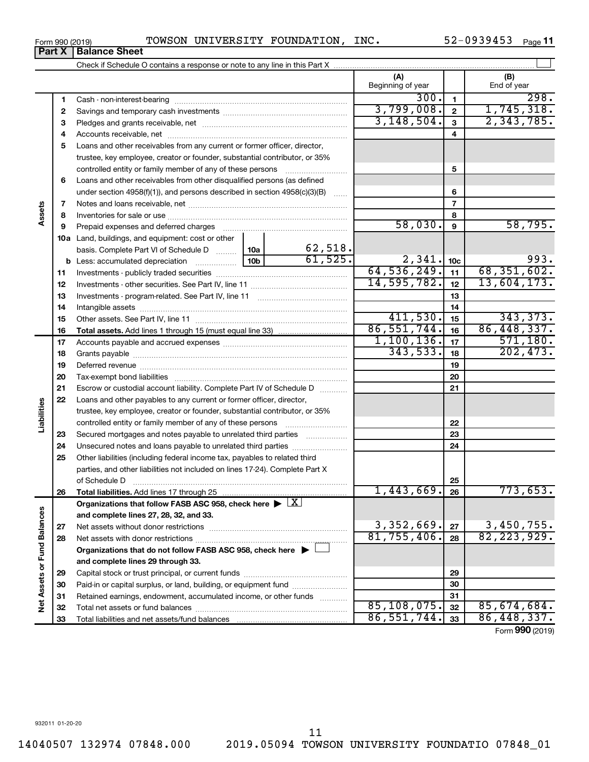Form 990 (2019)  $\nonumber$  TOWSON UNIVERSITY FOUNDATION, INC.  $52-0939453$   $_{\text{Page}}$ 

52-0939453 Page 11

|                             | א ומונ | השומו הפי הופכו                                                                                                                                                                                                                |               |                     |                          |                  |                    |
|-----------------------------|--------|--------------------------------------------------------------------------------------------------------------------------------------------------------------------------------------------------------------------------------|---------------|---------------------|--------------------------|------------------|--------------------|
|                             |        |                                                                                                                                                                                                                                |               |                     |                          |                  |                    |
|                             |        |                                                                                                                                                                                                                                |               |                     | (A)<br>Beginning of year |                  | (B)<br>End of year |
|                             | 1      | Cash - non-interest-bearing                                                                                                                                                                                                    |               |                     | 300.                     | $\mathbf{1}$     | 298.               |
|                             | 2      |                                                                                                                                                                                                                                |               | 3,799,008.          | $\mathbf{2}$             | 1,745,318.       |                    |
|                             | з      |                                                                                                                                                                                                                                |               |                     | 3,148,504.               | $\mathbf{3}$     | 2,343,785.         |
|                             | 4      |                                                                                                                                                                                                                                |               |                     |                          | 4                |                    |
|                             | 5      | Loans and other receivables from any current or former officer, director,                                                                                                                                                      |               |                     |                          |                  |                    |
|                             |        | trustee, key employee, creator or founder, substantial contributor, or 35%                                                                                                                                                     |               |                     |                          |                  |                    |
|                             |        | controlled entity or family member of any of these persons                                                                                                                                                                     |               |                     |                          | 5                |                    |
|                             | 6      | Loans and other receivables from other disqualified persons (as defined                                                                                                                                                        |               |                     |                          |                  |                    |
|                             |        | under section 4958(f)(1)), and persons described in section 4958(c)(3)(B)                                                                                                                                                      |               | 6                   |                          |                  |                    |
|                             | 7      |                                                                                                                                                                                                                                |               |                     |                          | $\overline{7}$   |                    |
| Assets                      | 8      |                                                                                                                                                                                                                                |               |                     |                          | 8                |                    |
|                             | 9      |                                                                                                                                                                                                                                |               |                     | 58,030.                  | $\boldsymbol{9}$ | 58,795.            |
|                             |        | <b>10a</b> Land, buildings, and equipment: cost or other                                                                                                                                                                       |               |                     |                          |                  |                    |
|                             |        | basis. Complete Part VI of Schedule D  10a                                                                                                                                                                                     |               | 62,518.             |                          |                  |                    |
|                             |        |                                                                                                                                                                                                                                |               | 61,525.             | 2,341.                   | 10 <sub>c</sub>  | 993.               |
|                             | 11     |                                                                                                                                                                                                                                | 64, 536, 249. | 11                  | 68, 351, 602.            |                  |                    |
|                             | 12     |                                                                                                                                                                                                                                | 14,595,782.   | 12                  | 13,604,173.              |                  |                    |
|                             | 13     |                                                                                                                                                                                                                                |               | 13                  |                          |                  |                    |
|                             | 14     | Intangible assets                                                                                                                                                                                                              |               | 14                  |                          |                  |                    |
|                             | 15     |                                                                                                                                                                                                                                |               |                     | 411,530.                 | 15               | 343, 373.          |
|                             | 16     |                                                                                                                                                                                                                                |               |                     | 86,551,744.              | 16               | 86, 448, 337.      |
|                             | 17     |                                                                                                                                                                                                                                |               |                     | 1,100,136.               | 17               | 571, 180.          |
|                             | 18     |                                                                                                                                                                                                                                | 343,533.      | 18                  | 202, 473.                |                  |                    |
|                             | 19     |                                                                                                                                                                                                                                |               |                     |                          | 19               |                    |
|                             | 20     | Tax-exempt bond liabilities [111] manufactures in the liabilities [11] manufactures in the liabilities [11] manufactures in the liabilities [11] manufactures in the liabilities [11] manufactures in the liabilities [11] man |               |                     |                          | 20               |                    |
|                             | 21     | Escrow or custodial account liability. Complete Part IV of Schedule D                                                                                                                                                          |               |                     |                          | 21               |                    |
|                             | 22     | Loans and other payables to any current or former officer, director,                                                                                                                                                           |               |                     |                          |                  |                    |
| Liabilities                 |        | trustee, key employee, creator or founder, substantial contributor, or 35%                                                                                                                                                     |               |                     |                          |                  |                    |
|                             |        | controlled entity or family member of any of these persons                                                                                                                                                                     |               |                     |                          | 22               |                    |
|                             | 23     | Secured mortgages and notes payable to unrelated third parties <i>manumum</i>                                                                                                                                                  |               |                     |                          | 23               |                    |
|                             | 24     |                                                                                                                                                                                                                                |               |                     |                          | 24               |                    |
|                             | 25     | Other liabilities (including federal income tax, payables to related third                                                                                                                                                     |               |                     |                          |                  |                    |
|                             |        | parties, and other liabilities not included on lines 17-24). Complete Part X<br>of Schedule D                                                                                                                                  |               |                     |                          | 25               |                    |
|                             | 26     | Total liabilities. Add lines 17 through 25                                                                                                                                                                                     |               |                     | 1,443,669.               | 26               | 773,653.           |
|                             |        | Organizations that follow FASB ASC 958, check here $\blacktriangleright \lfloor \underline{X} \rfloor$                                                                                                                         |               |                     |                          |                  |                    |
|                             |        | and complete lines 27, 28, 32, and 33.                                                                                                                                                                                         |               |                     |                          |                  |                    |
|                             | 27     | Net assets without donor restrictions                                                                                                                                                                                          |               |                     | 3,352,669.               | 27               | 3,450,755.         |
|                             | 28     |                                                                                                                                                                                                                                | 81,755,406.   | 28                  | 82, 223, 929.            |                  |                    |
|                             |        | Organizations that do not follow FASB ASC 958, check here $\blacktriangleright$                                                                                                                                                |               |                     |                          |                  |                    |
|                             |        | and complete lines 29 through 33.                                                                                                                                                                                              |               |                     |                          |                  |                    |
|                             | 29     |                                                                                                                                                                                                                                |               | 29                  |                          |                  |                    |
|                             | 30     | Paid-in or capital surplus, or land, building, or equipment fund                                                                                                                                                               |               |                     |                          | 30               |                    |
|                             | 31     | Retained earnings, endowment, accumulated income, or other funds                                                                                                                                                               |               | 1.1.1.1.1.1.1.1.1.1 |                          | 31               |                    |
| Net Assets or Fund Balances | 32     |                                                                                                                                                                                                                                |               |                     | 85, 108, 075.            | 32               | 85,674,684.        |
|                             | 33     |                                                                                                                                                                                                                                | 86,551,744.   | 33                  | 86,448,337.              |                  |                    |

Form (2019) **990**

## **Part 890 (2019)**<br>**Part X Balance Sheet**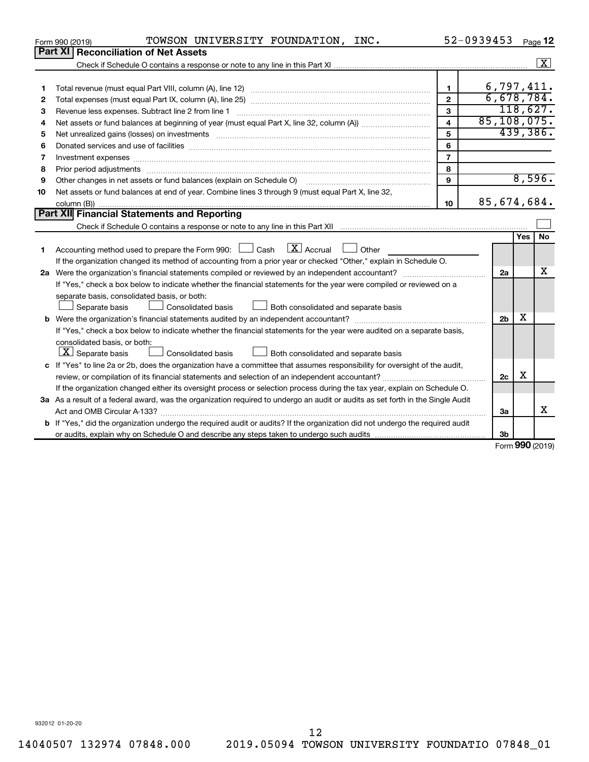|    | TOWSON UNIVERSITY FOUNDATION, INC.<br>Form 990 (2019)                                                                                                       |                         | 52-0939453     |     | Page 12              |  |  |  |
|----|-------------------------------------------------------------------------------------------------------------------------------------------------------------|-------------------------|----------------|-----|----------------------|--|--|--|
|    | Part XI   Reconciliation of Net Assets                                                                                                                      |                         |                |     |                      |  |  |  |
|    |                                                                                                                                                             |                         |                |     | $\boxed{\textbf{X}}$ |  |  |  |
|    |                                                                                                                                                             |                         |                |     |                      |  |  |  |
| 1  |                                                                                                                                                             | 1                       | 6,797,411.     |     |                      |  |  |  |
| 2  |                                                                                                                                                             | $\overline{2}$          | 6,678,784.     |     |                      |  |  |  |
| З  | Revenue less expenses. Subtract line 2 from line 1                                                                                                          | 3                       |                |     | 118,627.             |  |  |  |
| 4  |                                                                                                                                                             | $\overline{\mathbf{4}}$ | 85, 108, 075.  |     |                      |  |  |  |
| 5  |                                                                                                                                                             | 5                       |                |     | 439,386.             |  |  |  |
| 6  |                                                                                                                                                             | 6                       |                |     |                      |  |  |  |
| 7  |                                                                                                                                                             | $\overline{7}$          |                |     |                      |  |  |  |
| 8  |                                                                                                                                                             | 8                       |                |     |                      |  |  |  |
| 9  | Other changes in net assets or fund balances (explain on Schedule O) manufactured controller changes in net assets or fund balances (explain on Schedule O) | 9                       |                |     | 8,596.               |  |  |  |
| 10 | Net assets or fund balances at end of year. Combine lines 3 through 9 (must equal Part X, line 32,                                                          |                         |                |     |                      |  |  |  |
|    |                                                                                                                                                             | 10                      | 85,674,684.    |     |                      |  |  |  |
|    | Part XII Financial Statements and Reporting                                                                                                                 |                         |                |     |                      |  |  |  |
|    |                                                                                                                                                             |                         |                |     |                      |  |  |  |
|    |                                                                                                                                                             |                         |                | Yes | No                   |  |  |  |
| 1  | Accounting method used to prepare the Form 990: $\Box$ Cash $X$ Accrual<br>Other<br>$\sim$                                                                  |                         |                |     |                      |  |  |  |
|    | If the organization changed its method of accounting from a prior year or checked "Other," explain in Schedule O.                                           |                         |                |     |                      |  |  |  |
|    |                                                                                                                                                             |                         | 2a             |     | x                    |  |  |  |
|    | If "Yes," check a box below to indicate whether the financial statements for the year were compiled or reviewed on a                                        |                         |                |     |                      |  |  |  |
|    | separate basis, consolidated basis, or both:                                                                                                                |                         |                |     |                      |  |  |  |
|    | Both consolidated and separate basis<br>Separate basis<br>Consolidated basis                                                                                |                         |                |     |                      |  |  |  |
|    |                                                                                                                                                             |                         | 2 <sub>b</sub> | x   |                      |  |  |  |
|    | If "Yes," check a box below to indicate whether the financial statements for the year were audited on a separate basis,                                     |                         |                |     |                      |  |  |  |
|    | consolidated basis, or both:                                                                                                                                |                         |                |     |                      |  |  |  |
|    | $ \mathbf{X} $ Separate basis<br>Consolidated basis<br>Both consolidated and separate basis                                                                 |                         |                |     |                      |  |  |  |
|    | c If "Yes" to line 2a or 2b, does the organization have a committee that assumes responsibility for oversight of the audit,                                 |                         |                |     |                      |  |  |  |
|    |                                                                                                                                                             |                         | 2c             | х   |                      |  |  |  |
|    | If the organization changed either its oversight process or selection process during the tax year, explain on Schedule O.                                   |                         |                |     |                      |  |  |  |
|    | 3a As a result of a federal award, was the organization required to undergo an audit or audits as set forth in the Single Audit                             |                         |                |     |                      |  |  |  |
|    |                                                                                                                                                             |                         | 3a             |     | X                    |  |  |  |
|    | <b>b</b> If "Yes," did the organization undergo the required audit or audits? If the organization did not undergo the required audit                        |                         |                |     |                      |  |  |  |
|    |                                                                                                                                                             |                         | 3b             |     |                      |  |  |  |
|    |                                                                                                                                                             |                         |                |     | $000 \text{ days}$   |  |  |  |

Form (2019) **990**

932012 01-20-20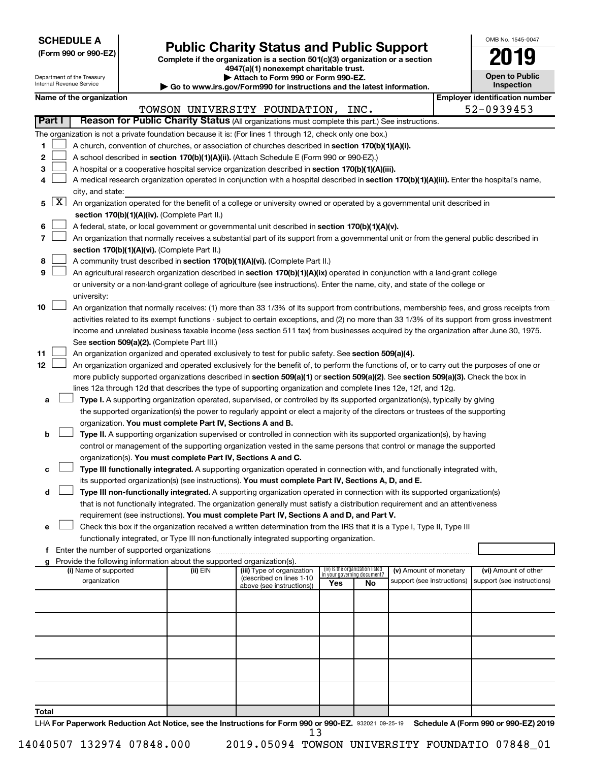**SCHEDULE A**

# **Public Charity Status and Public Support**<br> **Addition is a section 501(c)(3) organization or a section**<br>  $4947(a)(1)$  nonexempt charitable trust.

**(Form 990 or 990-EZ) Complete if the organization is a section 501(c)(3) organization or a section**

| OMB No 1545-0047                    |
|-------------------------------------|
| 019                                 |
| <b>Open to Public</b><br>Inspection |

 $\Box$ 

|       | Department of the Treasury<br>Attach to Form 990 or Form 990-EZ.<br>Internal Revenue Service<br>$\blacktriangleright$ Go to www.irs.gov/Form990 for instructions and the latest information. |                                                                                                                           |  |                                                                        |                                                                                                                                                                                                                                                                                  |     |                                                                | <b>Open to Public</b><br>Inspection |  |                                       |  |  |
|-------|----------------------------------------------------------------------------------------------------------------------------------------------------------------------------------------------|---------------------------------------------------------------------------------------------------------------------------|--|------------------------------------------------------------------------|----------------------------------------------------------------------------------------------------------------------------------------------------------------------------------------------------------------------------------------------------------------------------------|-----|----------------------------------------------------------------|-------------------------------------|--|---------------------------------------|--|--|
|       |                                                                                                                                                                                              | Name of the organization                                                                                                  |  |                                                                        |                                                                                                                                                                                                                                                                                  |     |                                                                |                                     |  | <b>Employer identification number</b> |  |  |
|       |                                                                                                                                                                                              |                                                                                                                           |  |                                                                        | TOWSON UNIVERSITY FOUNDATION, INC.                                                                                                                                                                                                                                               |     |                                                                |                                     |  | 52-0939453                            |  |  |
|       | Part I                                                                                                                                                                                       |                                                                                                                           |  |                                                                        | Reason for Public Charity Status (All organizations must complete this part.) See instructions.                                                                                                                                                                                  |     |                                                                |                                     |  |                                       |  |  |
|       |                                                                                                                                                                                              |                                                                                                                           |  |                                                                        | The organization is not a private foundation because it is: (For lines 1 through 12, check only one box.)                                                                                                                                                                        |     |                                                                |                                     |  |                                       |  |  |
| 1     |                                                                                                                                                                                              |                                                                                                                           |  |                                                                        | A church, convention of churches, or association of churches described in section 170(b)(1)(A)(i).                                                                                                                                                                               |     |                                                                |                                     |  |                                       |  |  |
| 2     |                                                                                                                                                                                              | A school described in section 170(b)(1)(A)(ii). (Attach Schedule E (Form 990 or 990-EZ).)                                 |  |                                                                        |                                                                                                                                                                                                                                                                                  |     |                                                                |                                     |  |                                       |  |  |
| 3     |                                                                                                                                                                                              |                                                                                                                           |  |                                                                        | A hospital or a cooperative hospital service organization described in section 170(b)(1)(A)(iii).                                                                                                                                                                                |     |                                                                |                                     |  |                                       |  |  |
| 4     |                                                                                                                                                                                              |                                                                                                                           |  |                                                                        | A medical research organization operated in conjunction with a hospital described in section 170(b)(1)(A)(iii). Enter the hospital's name,                                                                                                                                       |     |                                                                |                                     |  |                                       |  |  |
|       |                                                                                                                                                                                              | city, and state:                                                                                                          |  |                                                                        |                                                                                                                                                                                                                                                                                  |     |                                                                |                                     |  |                                       |  |  |
| 5.    | $\lfloor x \rfloor$                                                                                                                                                                          | An organization operated for the benefit of a college or university owned or operated by a governmental unit described in |  |                                                                        |                                                                                                                                                                                                                                                                                  |     |                                                                |                                     |  |                                       |  |  |
|       |                                                                                                                                                                                              |                                                                                                                           |  | section 170(b)(1)(A)(iv). (Complete Part II.)                          |                                                                                                                                                                                                                                                                                  |     |                                                                |                                     |  |                                       |  |  |
| 6     |                                                                                                                                                                                              |                                                                                                                           |  |                                                                        | A federal, state, or local government or governmental unit described in section 170(b)(1)(A)(v).                                                                                                                                                                                 |     |                                                                |                                     |  |                                       |  |  |
| 7     |                                                                                                                                                                                              |                                                                                                                           |  |                                                                        | An organization that normally receives a substantial part of its support from a governmental unit or from the general public described in                                                                                                                                        |     |                                                                |                                     |  |                                       |  |  |
|       |                                                                                                                                                                                              |                                                                                                                           |  | section 170(b)(1)(A)(vi). (Complete Part II.)                          |                                                                                                                                                                                                                                                                                  |     |                                                                |                                     |  |                                       |  |  |
| 8     |                                                                                                                                                                                              |                                                                                                                           |  |                                                                        | A community trust described in section 170(b)(1)(A)(vi). (Complete Part II.)                                                                                                                                                                                                     |     |                                                                |                                     |  |                                       |  |  |
| 9     |                                                                                                                                                                                              |                                                                                                                           |  |                                                                        | An agricultural research organization described in section 170(b)(1)(A)(ix) operated in conjunction with a land-grant college                                                                                                                                                    |     |                                                                |                                     |  |                                       |  |  |
|       |                                                                                                                                                                                              |                                                                                                                           |  |                                                                        | or university or a non-land-grant college of agriculture (see instructions). Enter the name, city, and state of the college or                                                                                                                                                   |     |                                                                |                                     |  |                                       |  |  |
|       |                                                                                                                                                                                              | university:                                                                                                               |  |                                                                        |                                                                                                                                                                                                                                                                                  |     |                                                                |                                     |  |                                       |  |  |
| 10    |                                                                                                                                                                                              |                                                                                                                           |  |                                                                        | An organization that normally receives: (1) more than 33 1/3% of its support from contributions, membership fees, and gross receipts from                                                                                                                                        |     |                                                                |                                     |  |                                       |  |  |
|       |                                                                                                                                                                                              |                                                                                                                           |  |                                                                        | activities related to its exempt functions - subject to certain exceptions, and (2) no more than 33 1/3% of its support from gross investment                                                                                                                                    |     |                                                                |                                     |  |                                       |  |  |
|       |                                                                                                                                                                                              |                                                                                                                           |  |                                                                        | income and unrelated business taxable income (less section 511 tax) from businesses acquired by the organization after June 30, 1975.                                                                                                                                            |     |                                                                |                                     |  |                                       |  |  |
|       |                                                                                                                                                                                              |                                                                                                                           |  | See section 509(a)(2). (Complete Part III.)                            |                                                                                                                                                                                                                                                                                  |     |                                                                |                                     |  |                                       |  |  |
| 11    |                                                                                                                                                                                              |                                                                                                                           |  |                                                                        | An organization organized and operated exclusively to test for public safety. See section 509(a)(4).                                                                                                                                                                             |     |                                                                |                                     |  |                                       |  |  |
| 12    |                                                                                                                                                                                              |                                                                                                                           |  |                                                                        | An organization organized and operated exclusively for the benefit of, to perform the functions of, or to carry out the purposes of one or<br>more publicly supported organizations described in section 509(a)(1) or section 509(a)(2). See section 509(a)(3). Check the box in |     |                                                                |                                     |  |                                       |  |  |
|       |                                                                                                                                                                                              |                                                                                                                           |  |                                                                        | lines 12a through 12d that describes the type of supporting organization and complete lines 12e, 12f, and 12g.                                                                                                                                                                   |     |                                                                |                                     |  |                                       |  |  |
| а     |                                                                                                                                                                                              |                                                                                                                           |  |                                                                        | Type I. A supporting organization operated, supervised, or controlled by its supported organization(s), typically by giving                                                                                                                                                      |     |                                                                |                                     |  |                                       |  |  |
|       |                                                                                                                                                                                              |                                                                                                                           |  |                                                                        | the supported organization(s) the power to regularly appoint or elect a majority of the directors or trustees of the supporting                                                                                                                                                  |     |                                                                |                                     |  |                                       |  |  |
|       |                                                                                                                                                                                              |                                                                                                                           |  | organization. You must complete Part IV, Sections A and B.             |                                                                                                                                                                                                                                                                                  |     |                                                                |                                     |  |                                       |  |  |
| b     |                                                                                                                                                                                              |                                                                                                                           |  |                                                                        | Type II. A supporting organization supervised or controlled in connection with its supported organization(s), by having                                                                                                                                                          |     |                                                                |                                     |  |                                       |  |  |
|       |                                                                                                                                                                                              |                                                                                                                           |  |                                                                        | control or management of the supporting organization vested in the same persons that control or manage the supported                                                                                                                                                             |     |                                                                |                                     |  |                                       |  |  |
|       |                                                                                                                                                                                              |                                                                                                                           |  | organization(s). You must complete Part IV, Sections A and C.          |                                                                                                                                                                                                                                                                                  |     |                                                                |                                     |  |                                       |  |  |
| с     |                                                                                                                                                                                              |                                                                                                                           |  |                                                                        | Type III functionally integrated. A supporting organization operated in connection with, and functionally integrated with,                                                                                                                                                       |     |                                                                |                                     |  |                                       |  |  |
|       |                                                                                                                                                                                              |                                                                                                                           |  |                                                                        | its supported organization(s) (see instructions). You must complete Part IV, Sections A, D, and E.                                                                                                                                                                               |     |                                                                |                                     |  |                                       |  |  |
| d     |                                                                                                                                                                                              |                                                                                                                           |  |                                                                        | Type III non-functionally integrated. A supporting organization operated in connection with its supported organization(s)                                                                                                                                                        |     |                                                                |                                     |  |                                       |  |  |
|       |                                                                                                                                                                                              |                                                                                                                           |  |                                                                        | that is not functionally integrated. The organization generally must satisfy a distribution requirement and an attentiveness                                                                                                                                                     |     |                                                                |                                     |  |                                       |  |  |
|       |                                                                                                                                                                                              |                                                                                                                           |  |                                                                        | requirement (see instructions). You must complete Part IV, Sections A and D, and Part V.                                                                                                                                                                                         |     |                                                                |                                     |  |                                       |  |  |
| е     |                                                                                                                                                                                              |                                                                                                                           |  |                                                                        | Check this box if the organization received a written determination from the IRS that it is a Type I, Type II, Type III                                                                                                                                                          |     |                                                                |                                     |  |                                       |  |  |
|       |                                                                                                                                                                                              |                                                                                                                           |  |                                                                        | functionally integrated, or Type III non-functionally integrated supporting organization.                                                                                                                                                                                        |     |                                                                |                                     |  |                                       |  |  |
| f     |                                                                                                                                                                                              |                                                                                                                           |  | Enter the number of supported organizations                            |                                                                                                                                                                                                                                                                                  |     |                                                                |                                     |  |                                       |  |  |
|       |                                                                                                                                                                                              |                                                                                                                           |  | Provide the following information about the supported organization(s). |                                                                                                                                                                                                                                                                                  |     |                                                                |                                     |  |                                       |  |  |
|       |                                                                                                                                                                                              | (i) Name of supported                                                                                                     |  | (ii) EIN                                                               | (iii) Type of organization<br>(described on lines 1-10                                                                                                                                                                                                                           |     | (iv) Is the organization listed<br>in your governing document? | (v) Amount of monetary              |  | (vi) Amount of other                  |  |  |
|       |                                                                                                                                                                                              | organization                                                                                                              |  |                                                                        | above (see instructions))                                                                                                                                                                                                                                                        | Yes | No                                                             | support (see instructions)          |  | support (see instructions)            |  |  |
|       |                                                                                                                                                                                              |                                                                                                                           |  |                                                                        |                                                                                                                                                                                                                                                                                  |     |                                                                |                                     |  |                                       |  |  |
|       |                                                                                                                                                                                              |                                                                                                                           |  |                                                                        |                                                                                                                                                                                                                                                                                  |     |                                                                |                                     |  |                                       |  |  |
|       |                                                                                                                                                                                              |                                                                                                                           |  |                                                                        |                                                                                                                                                                                                                                                                                  |     |                                                                |                                     |  |                                       |  |  |
|       |                                                                                                                                                                                              |                                                                                                                           |  |                                                                        |                                                                                                                                                                                                                                                                                  |     |                                                                |                                     |  |                                       |  |  |
|       |                                                                                                                                                                                              |                                                                                                                           |  |                                                                        |                                                                                                                                                                                                                                                                                  |     |                                                                |                                     |  |                                       |  |  |
|       |                                                                                                                                                                                              |                                                                                                                           |  |                                                                        |                                                                                                                                                                                                                                                                                  |     |                                                                |                                     |  |                                       |  |  |
|       |                                                                                                                                                                                              |                                                                                                                           |  |                                                                        |                                                                                                                                                                                                                                                                                  |     |                                                                |                                     |  |                                       |  |  |
|       |                                                                                                                                                                                              |                                                                                                                           |  |                                                                        |                                                                                                                                                                                                                                                                                  |     |                                                                |                                     |  |                                       |  |  |
|       |                                                                                                                                                                                              |                                                                                                                           |  |                                                                        |                                                                                                                                                                                                                                                                                  |     |                                                                |                                     |  |                                       |  |  |
|       |                                                                                                                                                                                              |                                                                                                                           |  |                                                                        |                                                                                                                                                                                                                                                                                  |     |                                                                |                                     |  |                                       |  |  |
| Total |                                                                                                                                                                                              |                                                                                                                           |  |                                                                        |                                                                                                                                                                                                                                                                                  |     |                                                                |                                     |  |                                       |  |  |

LHA For Paperwork Reduction Act Notice, see the Instructions for Form 990 or 990-EZ. 932021 09-25-19 Schedule A (Form 990 or 990-EZ) 2019 13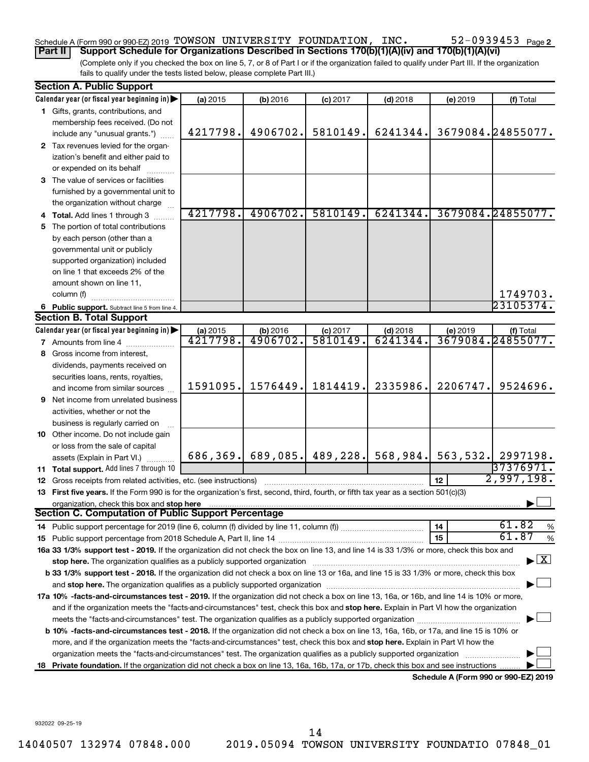### Schedule A (Form 990 or 990-EZ) 2019 Page TOWSON UNIVERSITY FOUNDATION, INC. 52-0939453 **Part II Support Schedule for Organizations Described in Sections 170(b)(1)(A)(iv) and 170(b)(1)(A)(vi)**

(Complete only if you checked the box on line 5, 7, or 8 of Part I or if the organization failed to qualify under Part III. If the organization fails to qualify under the tests listed below, please complete Part III.)

|    | <b>Section A. Public Support</b>                                                                                                                                                                                               |          |                       |                               |            |                 |                                      |
|----|--------------------------------------------------------------------------------------------------------------------------------------------------------------------------------------------------------------------------------|----------|-----------------------|-------------------------------|------------|-----------------|--------------------------------------|
|    | Calendar year (or fiscal year beginning in)                                                                                                                                                                                    | (a) 2015 | (b) 2016              | $(c)$ 2017                    | $(d)$ 2018 | (e) 2019        | (f) Total                            |
|    | 1 Gifts, grants, contributions, and                                                                                                                                                                                            |          |                       |                               |            |                 |                                      |
|    | membership fees received. (Do not                                                                                                                                                                                              |          |                       |                               |            |                 |                                      |
|    | include any "unusual grants.")                                                                                                                                                                                                 | 4217798. | 4906702.              | 5810149.                      | 6241344.   |                 | 3679084.24855077.                    |
|    | 2 Tax revenues levied for the organ-                                                                                                                                                                                           |          |                       |                               |            |                 |                                      |
|    | ization's benefit and either paid to                                                                                                                                                                                           |          |                       |                               |            |                 |                                      |
|    | or expended on its behalf                                                                                                                                                                                                      |          |                       |                               |            |                 |                                      |
|    | 3 The value of services or facilities                                                                                                                                                                                          |          |                       |                               |            |                 |                                      |
|    | furnished by a governmental unit to                                                                                                                                                                                            |          |                       |                               |            |                 |                                      |
|    | the organization without charge                                                                                                                                                                                                |          |                       |                               |            |                 |                                      |
|    | 4 Total. Add lines 1 through 3                                                                                                                                                                                                 | 4217798. | 4906702.              | 5810149.                      | 6241344.   |                 | 3679084.24855077.                    |
| 5  | The portion of total contributions                                                                                                                                                                                             |          |                       |                               |            |                 |                                      |
|    | by each person (other than a                                                                                                                                                                                                   |          |                       |                               |            |                 |                                      |
|    | governmental unit or publicly                                                                                                                                                                                                  |          |                       |                               |            |                 |                                      |
|    | supported organization) included                                                                                                                                                                                               |          |                       |                               |            |                 |                                      |
|    | on line 1 that exceeds 2% of the                                                                                                                                                                                               |          |                       |                               |            |                 |                                      |
|    | amount shown on line 11,                                                                                                                                                                                                       |          |                       |                               |            |                 |                                      |
|    | column (f)                                                                                                                                                                                                                     |          |                       |                               |            |                 | 1749703.                             |
|    | 6 Public support. Subtract line 5 from line 4.                                                                                                                                                                                 |          |                       |                               |            |                 | 23105374.                            |
|    | <b>Section B. Total Support</b>                                                                                                                                                                                                |          |                       |                               |            |                 |                                      |
|    | Calendar year (or fiscal year beginning in)                                                                                                                                                                                    | (a) 2015 | (b) 2016              |                               | $(d)$ 2018 | (e) 2019        | (f) Total                            |
|    | <b>7</b> Amounts from line 4                                                                                                                                                                                                   | 4217798. | 4906702.              | $\frac{$ (c) 2017<br>5810149. | 6241344    |                 | 3679084.24855077.                    |
| 8  | Gross income from interest,                                                                                                                                                                                                    |          |                       |                               |            |                 |                                      |
|    | dividends, payments received on                                                                                                                                                                                                |          |                       |                               |            |                 |                                      |
|    | securities loans, rents, royalties,                                                                                                                                                                                            |          |                       |                               |            |                 |                                      |
|    | and income from similar sources                                                                                                                                                                                                | 1591095. | 1576449.              | 1814419.                      | 2335986.   | 2206747.        | 9524696.                             |
| 9  | Net income from unrelated business                                                                                                                                                                                             |          |                       |                               |            |                 |                                      |
|    | activities, whether or not the                                                                                                                                                                                                 |          |                       |                               |            |                 |                                      |
|    | business is regularly carried on                                                                                                                                                                                               |          |                       |                               |            |                 |                                      |
|    | 10 Other income. Do not include gain                                                                                                                                                                                           |          |                       |                               |            |                 |                                      |
|    | or loss from the sale of capital                                                                                                                                                                                               |          |                       |                               |            |                 |                                      |
|    | assets (Explain in Part VI.)                                                                                                                                                                                                   |          | $686, 369.$ 689, 085. | 489, 228.                     | 568,984.   | 563,532.        | 2997198.                             |
|    | 11 Total support. Add lines 7 through 10                                                                                                                                                                                       |          |                       |                               |            |                 | 37376971.                            |
|    | <b>12</b> Gross receipts from related activities, etc. (see instructions)                                                                                                                                                      |          |                       |                               |            | 12 <sub>2</sub> | 2,997,198.                           |
|    | 13 First five years. If the Form 990 is for the organization's first, second, third, fourth, or fifth tax year as a section 501(c)(3)                                                                                          |          |                       |                               |            |                 |                                      |
|    |                                                                                                                                                                                                                                |          |                       |                               |            |                 |                                      |
|    | Section C. Computation of Public Support Percentage                                                                                                                                                                            |          |                       |                               |            |                 |                                      |
|    | 14 Public support percentage for 2019 (line 6, column (f) divided by line 11, column (f) <i>mummumumum</i>                                                                                                                     |          |                       |                               |            | 14              | 61.82<br>%                           |
|    |                                                                                                                                                                                                                                |          |                       |                               |            | 15              | 61.87<br>$\%$                        |
|    | 16a 33 1/3% support test - 2019. If the organization did not check the box on line 13, and line 14 is 33 1/3% or more, check this box and                                                                                      |          |                       |                               |            |                 |                                      |
|    | stop here. The organization qualifies as a publicly supported organization manufactured content and the content of the state of the state of the state of the state of the state of the state of the state of the state of the |          |                       |                               |            |                 | $\overline{\mathbf{X}}$              |
|    | b 33 1/3% support test - 2018. If the organization did not check a box on line 13 or 16a, and line 15 is 33 1/3% or more, check this box                                                                                       |          |                       |                               |            |                 |                                      |
|    |                                                                                                                                                                                                                                |          |                       |                               |            |                 |                                      |
|    | 17a 10% -facts-and-circumstances test - 2019. If the organization did not check a box on line 13, 16a, or 16b, and line 14 is 10% or more,                                                                                     |          |                       |                               |            |                 |                                      |
|    | and if the organization meets the "facts-and-circumstances" test, check this box and stop here. Explain in Part VI how the organization                                                                                        |          |                       |                               |            |                 |                                      |
|    | meets the "facts-and-circumstances" test. The organization qualifies as a publicly supported organization <i>manumumumumum</i>                                                                                                 |          |                       |                               |            |                 |                                      |
|    | b 10% -facts-and-circumstances test - 2018. If the organization did not check a box on line 13, 16a, 16b, or 17a, and line 15 is 10% or                                                                                        |          |                       |                               |            |                 |                                      |
|    | more, and if the organization meets the "facts-and-circumstances" test, check this box and stop here. Explain in Part VI how the                                                                                               |          |                       |                               |            |                 |                                      |
|    | organization meets the "facts-and-circumstances" test. The organization qualifies as a publicly supported organization                                                                                                         |          |                       |                               |            |                 |                                      |
| 18 | Private foundation. If the organization did not check a box on line 13, 16a, 16b, 17a, or 17b, check this box and see instructions                                                                                             |          |                       |                               |            |                 |                                      |
|    |                                                                                                                                                                                                                                |          |                       |                               |            |                 | Schedule A (Form 990 or 990-F7) 2019 |

**Schedule A (Form 990 or 990-EZ) 2019**

932022 09-25-19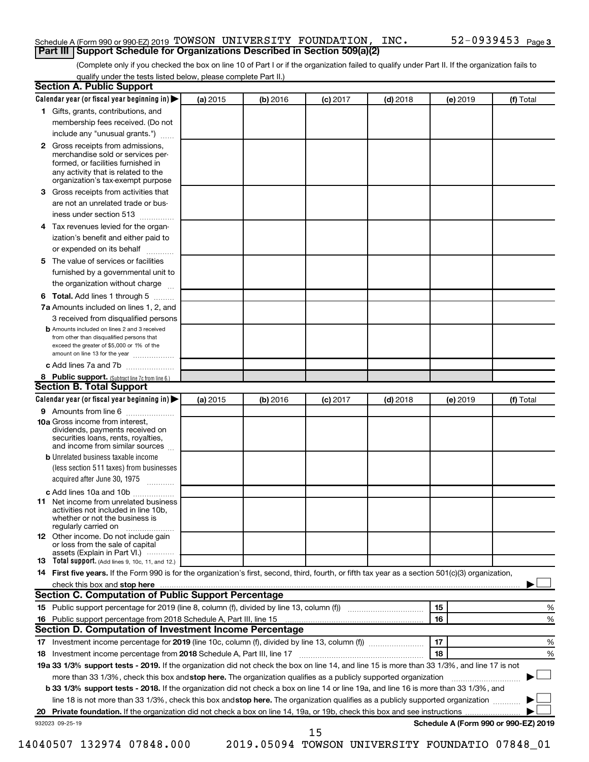### Schedule A (Form 990 or 990-EZ) 2019 Page TOWSON UNIVERSITY FOUNDATION, INC. 52-0939453 **Part III Support Schedule for Organizations Described in Section 509(a)(2)**

(Complete only if you checked the box on line 10 of Part I or if the organization failed to qualify under Part II. If the organization fails to qualify under the tests listed below, please complete Part II.)

| <b>Section A. Public Support</b>                                                                                                                                                                |          |          |            |            |          |                                      |
|-------------------------------------------------------------------------------------------------------------------------------------------------------------------------------------------------|----------|----------|------------|------------|----------|--------------------------------------|
| Calendar year (or fiscal year beginning in)                                                                                                                                                     | (a) 2015 | (b) 2016 | $(c)$ 2017 | $(d)$ 2018 | (e) 2019 | (f) Total                            |
| 1 Gifts, grants, contributions, and                                                                                                                                                             |          |          |            |            |          |                                      |
| membership fees received. (Do not                                                                                                                                                               |          |          |            |            |          |                                      |
| include any "unusual grants.")                                                                                                                                                                  |          |          |            |            |          |                                      |
| <b>2</b> Gross receipts from admissions,<br>merchandise sold or services per-<br>formed, or facilities furnished in<br>any activity that is related to the<br>organization's tax-exempt purpose |          |          |            |            |          |                                      |
| 3 Gross receipts from activities that                                                                                                                                                           |          |          |            |            |          |                                      |
| are not an unrelated trade or bus-                                                                                                                                                              |          |          |            |            |          |                                      |
|                                                                                                                                                                                                 |          |          |            |            |          |                                      |
| iness under section 513                                                                                                                                                                         |          |          |            |            |          |                                      |
| 4 Tax revenues levied for the organ-<br>ization's benefit and either paid to                                                                                                                    |          |          |            |            |          |                                      |
| or expended on its behalf                                                                                                                                                                       |          |          |            |            |          |                                      |
| 5 The value of services or facilities                                                                                                                                                           |          |          |            |            |          |                                      |
| furnished by a governmental unit to                                                                                                                                                             |          |          |            |            |          |                                      |
| the organization without charge                                                                                                                                                                 |          |          |            |            |          |                                      |
| 6 Total. Add lines 1 through 5                                                                                                                                                                  |          |          |            |            |          |                                      |
| 7a Amounts included on lines 1, 2, and                                                                                                                                                          |          |          |            |            |          |                                      |
| 3 received from disqualified persons                                                                                                                                                            |          |          |            |            |          |                                      |
| <b>b</b> Amounts included on lines 2 and 3 received<br>from other than disqualified persons that<br>exceed the greater of \$5,000 or 1% of the<br>amount on line 13 for the year                |          |          |            |            |          |                                      |
| c Add lines 7a and 7b                                                                                                                                                                           |          |          |            |            |          |                                      |
| 8 Public support. (Subtract line 7c from line 6.)                                                                                                                                               |          |          |            |            |          |                                      |
| <b>Section B. Total Support</b>                                                                                                                                                                 |          |          |            |            |          |                                      |
| Calendar year (or fiscal year beginning in)                                                                                                                                                     | (a) 2015 | (b) 2016 | $(c)$ 2017 | $(d)$ 2018 | (e) 2019 | (f) Total                            |
| 9 Amounts from line 6                                                                                                                                                                           |          |          |            |            |          |                                      |
| <b>10a</b> Gross income from interest,<br>dividends, payments received on<br>securities loans, rents, royalties,<br>and income from similar sources                                             |          |          |            |            |          |                                      |
| <b>b</b> Unrelated business taxable income                                                                                                                                                      |          |          |            |            |          |                                      |
| (less section 511 taxes) from businesses<br>acquired after June 30, 1975                                                                                                                        |          |          |            |            |          |                                      |
| c Add lines 10a and 10b                                                                                                                                                                         |          |          |            |            |          |                                      |
| <b>11</b> Net income from unrelated business<br>activities not included in line 10b.<br>whether or not the business is<br>regularly carried on                                                  |          |          |            |            |          |                                      |
| <b>12</b> Other income. Do not include gain<br>or loss from the sale of capital<br>assets (Explain in Part VI.)                                                                                 |          |          |            |            |          |                                      |
| <b>13</b> Total support. (Add lines 9, 10c, 11, and 12.)                                                                                                                                        |          |          |            |            |          |                                      |
| 14 First five years. If the Form 990 is for the organization's first, second, third, fourth, or fifth tax year as a section 501(c)(3) organization,                                             |          |          |            |            |          |                                      |
| check this box and stop here <b>contained and the contained and stop here</b> check this box and stop here <b>contained and stop here</b>                                                       |          |          |            |            |          |                                      |
| Section C. Computation of Public Support Percentage                                                                                                                                             |          |          |            |            |          |                                      |
| 15 Public support percentage for 2019 (line 8, column (f), divided by line 13, column (f) <i></i>                                                                                               |          |          |            |            | 15       | ℅                                    |
|                                                                                                                                                                                                 |          |          |            |            | 16       | %                                    |
| Section D. Computation of Investment Income Percentage                                                                                                                                          |          |          |            |            |          |                                      |
|                                                                                                                                                                                                 |          |          |            |            | 17       | %                                    |
| 18 Investment income percentage from 2018 Schedule A, Part III, line 17                                                                                                                         |          |          |            |            | 18       | %                                    |
| 19a 33 1/3% support tests - 2019. If the organization did not check the box on line 14, and line 15 is more than 33 1/3%, and line 17 is not                                                    |          |          |            |            |          |                                      |
| more than 33 1/3%, check this box and stop here. The organization qualifies as a publicly supported organization                                                                                |          |          |            |            |          |                                      |
| b 33 1/3% support tests - 2018. If the organization did not check a box on line 14 or line 19a, and line 16 is more than 33 1/3%, and                                                           |          |          |            |            |          |                                      |
| line 18 is not more than 33 1/3%, check this box and stop here. The organization qualifies as a publicly supported organization                                                                 |          |          |            |            |          |                                      |
|                                                                                                                                                                                                 |          |          |            |            |          |                                      |
| 932023 09-25-19                                                                                                                                                                                 |          |          |            |            |          | Schedule A (Form 990 or 990-EZ) 2019 |
|                                                                                                                                                                                                 |          |          | 15         |            |          |                                      |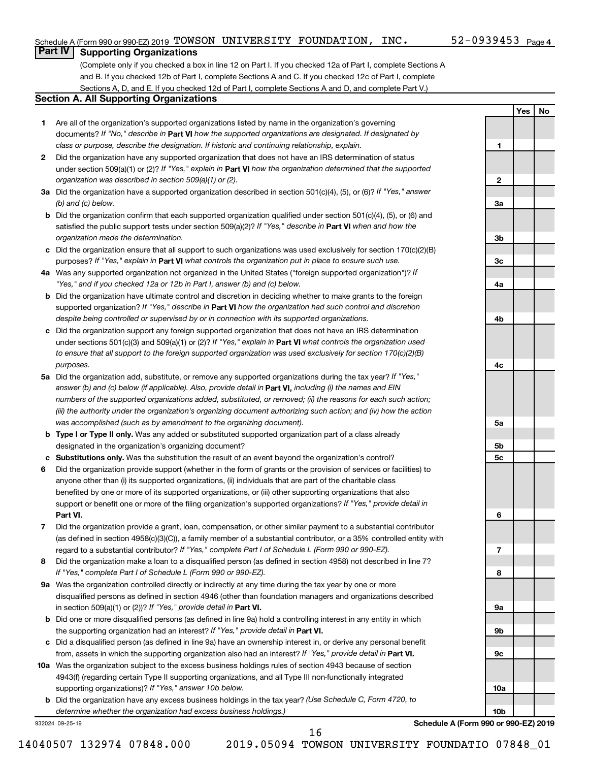**1**

**2**

**3a**

**3b**

**3c**

**4a**

**4b**

**4c**

**5a**

**5b 5c**

**6**

**7**

**8**

**9a**

**9b**

**9c**

**10a**

**10b**

**Yes No**

### **Part IV Supporting Organizations**

(Complete only if you checked a box in line 12 on Part I. If you checked 12a of Part I, complete Sections A and B. If you checked 12b of Part I, complete Sections A and C. If you checked 12c of Part I, complete Sections A, D, and E. If you checked 12d of Part I, complete Sections A and D, and complete Part V.)

### **Section A. All Supporting Organizations**

- **1** Are all of the organization's supported organizations listed by name in the organization's governing documents? If "No," describe in Part VI how the supported organizations are designated. If designated by *class or purpose, describe the designation. If historic and continuing relationship, explain.*
- **2** Did the organization have any supported organization that does not have an IRS determination of status under section 509(a)(1) or (2)? If "Yes," explain in Part **VI** how the organization determined that the supported *organization was described in section 509(a)(1) or (2).*
- **3a** Did the organization have a supported organization described in section 501(c)(4), (5), or (6)? If "Yes," answer *(b) and (c) below.*
- **b** Did the organization confirm that each supported organization qualified under section 501(c)(4), (5), or (6) and satisfied the public support tests under section 509(a)(2)? If "Yes," describe in Part VI when and how the *organization made the determination.*
- **c** Did the organization ensure that all support to such organizations was used exclusively for section 170(c)(2)(B) purposes? If "Yes," explain in Part VI what controls the organization put in place to ensure such use.
- **4 a** *If* Was any supported organization not organized in the United States ("foreign supported organization")? *"Yes," and if you checked 12a or 12b in Part I, answer (b) and (c) below.*
- **b** Did the organization have ultimate control and discretion in deciding whether to make grants to the foreign supported organization? If "Yes," describe in Part VI how the organization had such control and discretion *despite being controlled or supervised by or in connection with its supported organizations.*
- **c** Did the organization support any foreign supported organization that does not have an IRS determination under sections 501(c)(3) and 509(a)(1) or (2)? If "Yes," explain in Part VI what controls the organization used *to ensure that all support to the foreign supported organization was used exclusively for section 170(c)(2)(B) purposes.*
- **5a** Did the organization add, substitute, or remove any supported organizations during the tax year? If "Yes," answer (b) and (c) below (if applicable). Also, provide detail in **Part VI,** including (i) the names and EIN *numbers of the supported organizations added, substituted, or removed; (ii) the reasons for each such action; (iii) the authority under the organization's organizing document authorizing such action; and (iv) how the action was accomplished (such as by amendment to the organizing document).*
- **b Type I or Type II only.** Was any added or substituted supported organization part of a class already designated in the organization's organizing document?
- **c Substitutions only.**  Was the substitution the result of an event beyond the organization's control?
- **6** Did the organization provide support (whether in the form of grants or the provision of services or facilities) to **Part VI.** support or benefit one or more of the filing organization's supported organizations? If "Yes," provide detail in anyone other than (i) its supported organizations, (ii) individuals that are part of the charitable class benefited by one or more of its supported organizations, or (iii) other supporting organizations that also
- **7** Did the organization provide a grant, loan, compensation, or other similar payment to a substantial contributor regard to a substantial contributor? If "Yes," complete Part I of Schedule L (Form 990 or 990-EZ). (as defined in section 4958(c)(3)(C)), a family member of a substantial contributor, or a 35% controlled entity with
- **8** Did the organization make a loan to a disqualified person (as defined in section 4958) not described in line 7? *If "Yes," complete Part I of Schedule L (Form 990 or 990-EZ).*
- **9 a** Was the organization controlled directly or indirectly at any time during the tax year by one or more in section 509(a)(1) or (2))? If "Yes," provide detail in **Part VI.** disqualified persons as defined in section 4946 (other than foundation managers and organizations described
- **b** Did one or more disqualified persons (as defined in line 9a) hold a controlling interest in any entity in which the supporting organization had an interest? If "Yes," provide detail in Part VI.
- **c** Did a disqualified person (as defined in line 9a) have an ownership interest in, or derive any personal benefit from, assets in which the supporting organization also had an interest? If "Yes," provide detail in Part VI.
- **10 a** Was the organization subject to the excess business holdings rules of section 4943 because of section supporting organizations)? If "Yes," answer 10b below. 4943(f) (regarding certain Type II supporting organizations, and all Type III non-functionally integrated
	- **b** Did the organization have any excess business holdings in the tax year? (Use Schedule C, Form 4720, to *determine whether the organization had excess business holdings.)*

932024 09-25-19

**Schedule A (Form 990 or 990-EZ) 2019**

14040507 132974 07848.000 2019.05094 TOWSON UNIVERSITY FOUNDATIO 07848\_01

16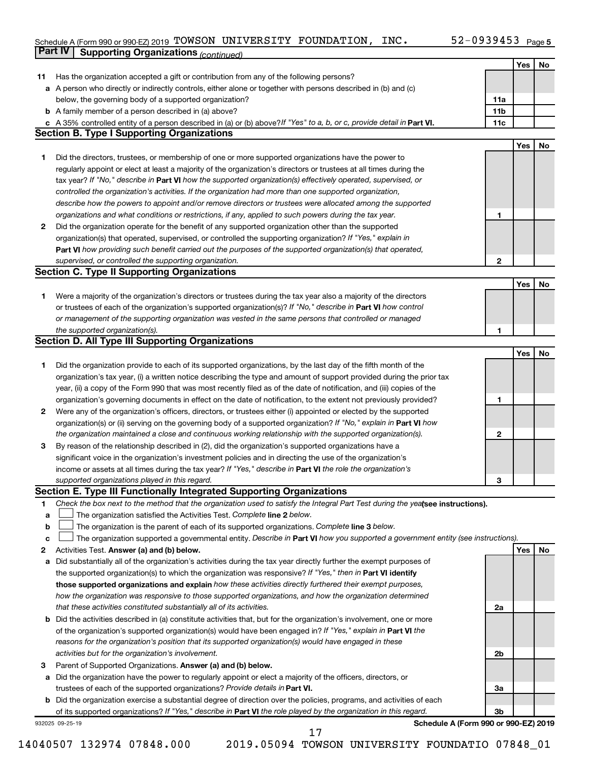#### Schedule A (Form 990 or 990-EZ) 2019 'LOWSON UNIVERSITY FOUNDATION,INC。 52-U939453 Page TOWSON UNIVERSITY FOUNDATION, INC. 52-0939453

|    | Part IV<br><b>Supporting Organizations (continued)</b>                                                                          |                 |     |    |
|----|---------------------------------------------------------------------------------------------------------------------------------|-----------------|-----|----|
|    |                                                                                                                                 |                 | Yes | No |
| 11 | Has the organization accepted a gift or contribution from any of the following persons?                                         |                 |     |    |
|    | a A person who directly or indirectly controls, either alone or together with persons described in (b) and (c)                  |                 |     |    |
|    | below, the governing body of a supported organization?                                                                          | 11a             |     |    |
|    | <b>b</b> A family member of a person described in (a) above?                                                                    | 11 <sub>b</sub> |     |    |
|    | c A 35% controlled entity of a person described in (a) or (b) above? If "Yes" to a, b, or c, provide detail in Part VI.         | 11c             |     |    |
|    | <b>Section B. Type I Supporting Organizations</b>                                                                               |                 |     |    |
|    |                                                                                                                                 |                 | Yes | No |
| 1  | Did the directors, trustees, or membership of one or more supported organizations have the power to                             |                 |     |    |
|    | regularly appoint or elect at least a majority of the organization's directors or trustees at all times during the              |                 |     |    |
|    | tax year? If "No," describe in Part VI how the supported organization(s) effectively operated, supervised, or                   |                 |     |    |
|    | controlled the organization's activities. If the organization had more than one supported organization,                         |                 |     |    |
|    | describe how the powers to appoint and/or remove directors or trustees were allocated among the supported                       |                 |     |    |
|    |                                                                                                                                 | 1               |     |    |
|    | organizations and what conditions or restrictions, if any, applied to such powers during the tax year.                          |                 |     |    |
| 2  | Did the organization operate for the benefit of any supported organization other than the supported                             |                 |     |    |
|    | organization(s) that operated, supervised, or controlled the supporting organization? If "Yes," explain in                      |                 |     |    |
|    | Part VI how providing such benefit carried out the purposes of the supported organization(s) that operated,                     |                 |     |    |
|    | supervised, or controlled the supporting organization.                                                                          | $\mathbf{2}$    |     |    |
|    | <b>Section C. Type II Supporting Organizations</b>                                                                              |                 |     |    |
|    |                                                                                                                                 |                 | Yes | No |
| 1. | Were a majority of the organization's directors or trustees during the tax year also a majority of the directors                |                 |     |    |
|    | or trustees of each of the organization's supported organization(s)? If "No," describe in Part VI how control                   |                 |     |    |
|    | or management of the supporting organization was vested in the same persons that controlled or managed                          |                 |     |    |
|    | the supported organization(s).                                                                                                  | 1               |     |    |
|    | <b>Section D. All Type III Supporting Organizations</b>                                                                         |                 |     |    |
|    |                                                                                                                                 |                 | Yes | No |
| 1  | Did the organization provide to each of its supported organizations, by the last day of the fifth month of the                  |                 |     |    |
|    | organization's tax year, (i) a written notice describing the type and amount of support provided during the prior tax           |                 |     |    |
|    | year, (ii) a copy of the Form 990 that was most recently filed as of the date of notification, and (iii) copies of the          |                 |     |    |
|    | organization's governing documents in effect on the date of notification, to the extent not previously provided?                | 1               |     |    |
| 2  | Were any of the organization's officers, directors, or trustees either (i) appointed or elected by the supported                |                 |     |    |
|    | organization(s) or (ii) serving on the governing body of a supported organization? If "No," explain in Part VI how              |                 |     |    |
|    | the organization maintained a close and continuous working relationship with the supported organization(s).                     | $\mathbf{2}$    |     |    |
| 3  | By reason of the relationship described in (2), did the organization's supported organizations have a                           |                 |     |    |
|    | significant voice in the organization's investment policies and in directing the use of the organization's                      |                 |     |    |
|    | income or assets at all times during the tax year? If "Yes," describe in Part VI the role the organization's                    |                 |     |    |
|    | supported organizations played in this regard.                                                                                  | з               |     |    |
|    | Section E. Type III Functionally Integrated Supporting Organizations                                                            |                 |     |    |
| 1  | Check the box next to the method that the organization used to satisfy the Integral Part Test during the yealsee instructions). |                 |     |    |
| a  | The organization satisfied the Activities Test. Complete line 2 below.                                                          |                 |     |    |
| b  | The organization is the parent of each of its supported organizations. Complete line 3 below.                                   |                 |     |    |
| с  | The organization supported a governmental entity. Describe in Part VI how you supported a government entity (see instructions). |                 |     |    |
| 2  | Activities Test. Answer (a) and (b) below.                                                                                      |                 | Yes | No |
| а  | Did substantially all of the organization's activities during the tax year directly further the exempt purposes of              |                 |     |    |
|    | the supported organization(s) to which the organization was responsive? If "Yes," then in Part VI identify                      |                 |     |    |
|    | those supported organizations and explain how these activities directly furthered their exempt purposes,                        |                 |     |    |
|    | how the organization was responsive to those supported organizations, and how the organization determined                       |                 |     |    |
|    | that these activities constituted substantially all of its activities.                                                          | 2a              |     |    |
|    | b Did the activities described in (a) constitute activities that, but for the organization's involvement, one or more           |                 |     |    |
|    | of the organization's supported organization(s) would have been engaged in? If "Yes," explain in Part VI the                    |                 |     |    |
|    | reasons for the organization's position that its supported organization(s) would have engaged in these                          |                 |     |    |
|    | activities but for the organization's involvement.                                                                              | 2b              |     |    |
| з  | Parent of Supported Organizations. Answer (a) and (b) below.                                                                    |                 |     |    |
| а  | Did the organization have the power to regularly appoint or elect a majority of the officers, directors, or                     |                 |     |    |
|    | trustees of each of the supported organizations? Provide details in Part VI.                                                    | За              |     |    |
|    | <b>b</b> Did the organization exercise a substantial degree of direction over the policies, programs, and activities of each    |                 |     |    |
|    | of its supported organizations? If "Yes," describe in Part VI the role played by the organization in this regard.               | 3b              |     |    |
|    | Schedule A (Form 990 or 990-EZ) 2019<br>932025 09-25-19                                                                         |                 |     |    |
|    | 17                                                                                                                              |                 |     |    |

<sup>14040507 132974 07848.000 2019.05094</sup> TOWSON UNIVERSITY FOUNDATIO 07848\_01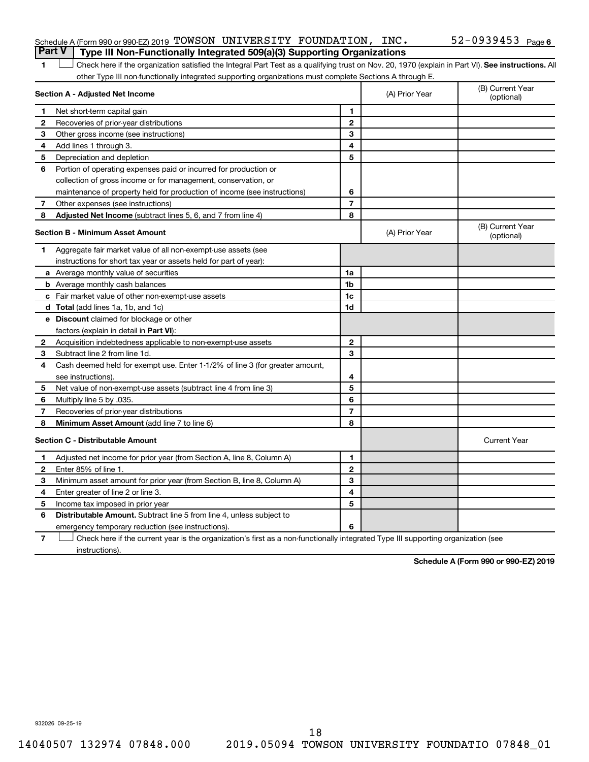| Schedule A (Form 990 or 990-EZ) 2019 TOWSON UNIVERSITY FOUNDATION, INC.                 |  |  | $52-0939453$ $_{\text{Page 6}}$ |  |
|-----------------------------------------------------------------------------------------|--|--|---------------------------------|--|
| <b>Part V</b>   Type III Non-Functionally Integrated 509(a)(3) Supporting Organizations |  |  |                                 |  |

1 **Letter See instructions.** All Check here if the organization satisfied the Integral Part Test as a qualifying trust on Nov. 20, 1970 (explain in Part VI). See instructions. All other Type III non-functionally integrated supporting organizations must complete Sections A through E.

|              | Section A - Adjusted Net Income                                              | (A) Prior Year | (B) Current Year<br>(optional) |                                |
|--------------|------------------------------------------------------------------------------|----------------|--------------------------------|--------------------------------|
| 1            | Net short-term capital gain                                                  | 1              |                                |                                |
| $\mathbf{2}$ | Recoveries of prior-year distributions                                       | $\mathbf{2}$   |                                |                                |
| 3            | Other gross income (see instructions)                                        | 3              |                                |                                |
| 4            | Add lines 1 through 3.                                                       | 4              |                                |                                |
| 5            | Depreciation and depletion                                                   | 5              |                                |                                |
| 6            | Portion of operating expenses paid or incurred for production or             |                |                                |                                |
|              | collection of gross income or for management, conservation, or               |                |                                |                                |
|              | maintenance of property held for production of income (see instructions)     | 6              |                                |                                |
| 7            | Other expenses (see instructions)                                            | $\overline{7}$ |                                |                                |
| 8            | Adjusted Net Income (subtract lines 5, 6, and 7 from line 4)                 | 8              |                                |                                |
|              | <b>Section B - Minimum Asset Amount</b>                                      |                | (A) Prior Year                 | (B) Current Year<br>(optional) |
| 1.           | Aggregate fair market value of all non-exempt-use assets (see                |                |                                |                                |
|              | instructions for short tax year or assets held for part of year):            |                |                                |                                |
|              | a Average monthly value of securities                                        | 1a             |                                |                                |
|              | <b>b</b> Average monthly cash balances                                       | 1b             |                                |                                |
|              | c Fair market value of other non-exempt-use assets                           | 1c             |                                |                                |
|              | <b>d</b> Total (add lines 1a, 1b, and 1c)                                    | 1d             |                                |                                |
|              | e Discount claimed for blockage or other                                     |                |                                |                                |
|              | factors (explain in detail in <b>Part VI</b> ):                              |                |                                |                                |
| 2            | Acquisition indebtedness applicable to non-exempt-use assets                 | $\mathbf{2}$   |                                |                                |
| 3            | Subtract line 2 from line 1d.                                                | 3              |                                |                                |
| 4            | Cash deemed held for exempt use. Enter 1-1/2% of line 3 (for greater amount, |                |                                |                                |
|              | see instructions).                                                           | 4              |                                |                                |
| 5            | Net value of non-exempt-use assets (subtract line 4 from line 3)             | 5              |                                |                                |
| 6            | Multiply line 5 by .035.                                                     | 6              |                                |                                |
| 7            | Recoveries of prior-year distributions                                       | $\overline{7}$ |                                |                                |
| 8            | <b>Minimum Asset Amount (add line 7 to line 6)</b>                           | 8              |                                |                                |
|              | <b>Section C - Distributable Amount</b>                                      |                |                                | <b>Current Year</b>            |
| 1            | Adjusted net income for prior year (from Section A, line 8, Column A)        | 1              |                                |                                |
| $\mathbf{2}$ | Enter 85% of line 1.                                                         | $\mathbf{2}$   |                                |                                |
| 3            | Minimum asset amount for prior year (from Section B, line 8, Column A)       | 3              |                                |                                |
| 4            | Enter greater of line 2 or line 3.                                           | 4              |                                |                                |
| 5            | Income tax imposed in prior year                                             | 5              |                                |                                |
| 6            | Distributable Amount. Subtract line 5 from line 4, unless subject to         |                |                                |                                |
|              | emergency temporary reduction (see instructions).                            | 6              |                                |                                |
|              |                                                                              |                |                                |                                |

**7** Check here if the current year is the organization's first as a non-functionally integrated Type III supporting organization (see † instructions).

**Schedule A (Form 990 or 990-EZ) 2019**

932026 09-25-19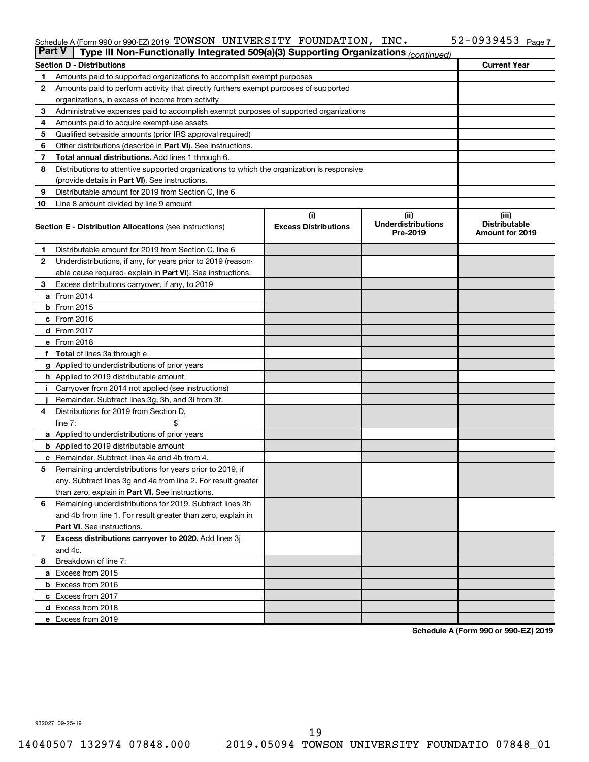#### Schedule A (Form 990 or 990-EZ) 2019 'LOWSON UNIVERSITY FOUNDATION,INC。 52-U939453 Page TOWSON UNIVERSITY FOUNDATION, INC. 52-0939453

| <b>Part V</b><br>Type III Non-Functionally Integrated 509(a)(3) Supporting Organizations (continued) |                                                                                            |                             |                                       |                                                |  |  |  |  |  |
|------------------------------------------------------------------------------------------------------|--------------------------------------------------------------------------------------------|-----------------------------|---------------------------------------|------------------------------------------------|--|--|--|--|--|
|                                                                                                      | <b>Current Year</b><br><b>Section D - Distributions</b>                                    |                             |                                       |                                                |  |  |  |  |  |
| 1                                                                                                    | Amounts paid to supported organizations to accomplish exempt purposes                      |                             |                                       |                                                |  |  |  |  |  |
| $\mathbf{2}$                                                                                         | Amounts paid to perform activity that directly furthers exempt purposes of supported       |                             |                                       |                                                |  |  |  |  |  |
|                                                                                                      | organizations, in excess of income from activity                                           |                             |                                       |                                                |  |  |  |  |  |
| 3                                                                                                    | Administrative expenses paid to accomplish exempt purposes of supported organizations      |                             |                                       |                                                |  |  |  |  |  |
| 4                                                                                                    | Amounts paid to acquire exempt-use assets                                                  |                             |                                       |                                                |  |  |  |  |  |
| 5                                                                                                    | Qualified set-aside amounts (prior IRS approval required)                                  |                             |                                       |                                                |  |  |  |  |  |
| 6                                                                                                    | Other distributions (describe in <b>Part VI</b> ). See instructions.                       |                             |                                       |                                                |  |  |  |  |  |
| 7                                                                                                    | Total annual distributions. Add lines 1 through 6.                                         |                             |                                       |                                                |  |  |  |  |  |
| 8                                                                                                    | Distributions to attentive supported organizations to which the organization is responsive |                             |                                       |                                                |  |  |  |  |  |
|                                                                                                      | (provide details in Part VI). See instructions.                                            |                             |                                       |                                                |  |  |  |  |  |
| 9                                                                                                    | Distributable amount for 2019 from Section C, line 6                                       |                             |                                       |                                                |  |  |  |  |  |
| 10                                                                                                   | Line 8 amount divided by line 9 amount                                                     |                             |                                       |                                                |  |  |  |  |  |
|                                                                                                      |                                                                                            | (i)                         | (ii)                                  | (iii)                                          |  |  |  |  |  |
|                                                                                                      | <b>Section E - Distribution Allocations (see instructions)</b>                             | <b>Excess Distributions</b> | <b>Underdistributions</b><br>Pre-2019 | <b>Distributable</b><br><b>Amount for 2019</b> |  |  |  |  |  |
| 1                                                                                                    | Distributable amount for 2019 from Section C, line 6                                       |                             |                                       |                                                |  |  |  |  |  |
| $\mathbf{2}$                                                                                         | Underdistributions, if any, for years prior to 2019 (reason-                               |                             |                                       |                                                |  |  |  |  |  |
|                                                                                                      | able cause required-explain in Part VI). See instructions.                                 |                             |                                       |                                                |  |  |  |  |  |
| 3                                                                                                    | Excess distributions carryover, if any, to 2019                                            |                             |                                       |                                                |  |  |  |  |  |
|                                                                                                      | <b>a</b> From 2014                                                                         |                             |                                       |                                                |  |  |  |  |  |
|                                                                                                      | $b$ From 2015                                                                              |                             |                                       |                                                |  |  |  |  |  |
|                                                                                                      | c From 2016                                                                                |                             |                                       |                                                |  |  |  |  |  |
|                                                                                                      | d From 2017                                                                                |                             |                                       |                                                |  |  |  |  |  |
|                                                                                                      | e From 2018                                                                                |                             |                                       |                                                |  |  |  |  |  |
|                                                                                                      | f Total of lines 3a through e                                                              |                             |                                       |                                                |  |  |  |  |  |
|                                                                                                      | <b>g</b> Applied to underdistributions of prior years                                      |                             |                                       |                                                |  |  |  |  |  |
|                                                                                                      | h Applied to 2019 distributable amount                                                     |                             |                                       |                                                |  |  |  |  |  |
| Ť.                                                                                                   | Carryover from 2014 not applied (see instructions)                                         |                             |                                       |                                                |  |  |  |  |  |
|                                                                                                      | Remainder. Subtract lines 3g, 3h, and 3i from 3f.                                          |                             |                                       |                                                |  |  |  |  |  |
| 4                                                                                                    | Distributions for 2019 from Section D,                                                     |                             |                                       |                                                |  |  |  |  |  |
|                                                                                                      | line $7:$                                                                                  |                             |                                       |                                                |  |  |  |  |  |
|                                                                                                      | a Applied to underdistributions of prior years                                             |                             |                                       |                                                |  |  |  |  |  |
|                                                                                                      | <b>b</b> Applied to 2019 distributable amount                                              |                             |                                       |                                                |  |  |  |  |  |
| c                                                                                                    | Remainder. Subtract lines 4a and 4b from 4.                                                |                             |                                       |                                                |  |  |  |  |  |
| 5                                                                                                    | Remaining underdistributions for years prior to 2019, if                                   |                             |                                       |                                                |  |  |  |  |  |
|                                                                                                      | any. Subtract lines 3g and 4a from line 2. For result greater                              |                             |                                       |                                                |  |  |  |  |  |
|                                                                                                      | than zero, explain in Part VI. See instructions.                                           |                             |                                       |                                                |  |  |  |  |  |
| 6                                                                                                    | Remaining underdistributions for 2019. Subtract lines 3h                                   |                             |                                       |                                                |  |  |  |  |  |
|                                                                                                      | and 4b from line 1. For result greater than zero, explain in                               |                             |                                       |                                                |  |  |  |  |  |
|                                                                                                      | <b>Part VI.</b> See instructions.                                                          |                             |                                       |                                                |  |  |  |  |  |
| $\overline{7}$                                                                                       | Excess distributions carryover to 2020. Add lines 3j                                       |                             |                                       |                                                |  |  |  |  |  |
|                                                                                                      | and 4c.                                                                                    |                             |                                       |                                                |  |  |  |  |  |
| 8                                                                                                    | Breakdown of line 7:                                                                       |                             |                                       |                                                |  |  |  |  |  |
|                                                                                                      | a Excess from 2015                                                                         |                             |                                       |                                                |  |  |  |  |  |
|                                                                                                      | <b>b</b> Excess from 2016                                                                  |                             |                                       |                                                |  |  |  |  |  |
|                                                                                                      | c Excess from 2017                                                                         |                             |                                       |                                                |  |  |  |  |  |
|                                                                                                      | d Excess from 2018                                                                         |                             |                                       |                                                |  |  |  |  |  |
|                                                                                                      | e Excess from 2019                                                                         |                             |                                       |                                                |  |  |  |  |  |

**Schedule A (Form 990 or 990-EZ) 2019**

932027 09-25-19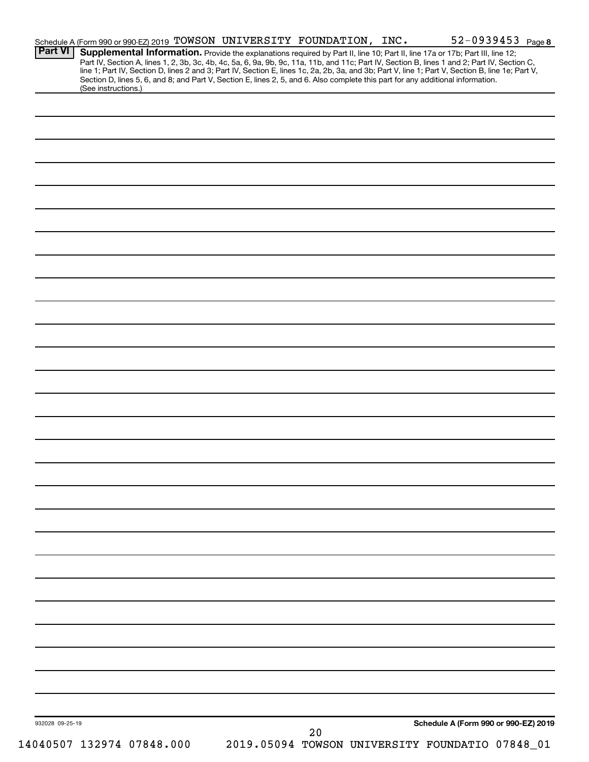| <b>Part VI</b>  | Schedule A (Form 990 or 990-EZ) 2019 TOWSON UNIVERSITY FOUNDATION, INC.<br>Supplemental Information. Provide the explanations required by Part II, line 10; Part II, line 17a or 17b; Part III, line 12;                                                                            |    | 52-0939453 Page 8                               |
|-----------------|-------------------------------------------------------------------------------------------------------------------------------------------------------------------------------------------------------------------------------------------------------------------------------------|----|-------------------------------------------------|
|                 | Part IV, Section A, lines 1, 2, 3b, 3c, 4b, 4c, 5a, 6, 9a, 9b, 9c, 11a, 11b, and 11c; Part IV, Section B, lines 1 and 2; Part IV, Section C,                                                                                                                                        |    |                                                 |
|                 | line 1; Part IV, Section D, lines 2 and 3; Part IV, Section E, lines 1c, 2a, 2b, 3a, and 3b; Part V, line 1; Part V, Section B, line 1e; Part V,<br>Section D, lines 5, 6, and 8; and Part V, Section E, lines 2, 5, and 6. Also complete this part for any additional information. |    |                                                 |
|                 | (See instructions.)                                                                                                                                                                                                                                                                 |    |                                                 |
|                 |                                                                                                                                                                                                                                                                                     |    |                                                 |
|                 |                                                                                                                                                                                                                                                                                     |    |                                                 |
|                 |                                                                                                                                                                                                                                                                                     |    |                                                 |
|                 |                                                                                                                                                                                                                                                                                     |    |                                                 |
|                 |                                                                                                                                                                                                                                                                                     |    |                                                 |
|                 |                                                                                                                                                                                                                                                                                     |    |                                                 |
|                 |                                                                                                                                                                                                                                                                                     |    |                                                 |
|                 |                                                                                                                                                                                                                                                                                     |    |                                                 |
|                 |                                                                                                                                                                                                                                                                                     |    |                                                 |
|                 |                                                                                                                                                                                                                                                                                     |    |                                                 |
|                 |                                                                                                                                                                                                                                                                                     |    |                                                 |
|                 |                                                                                                                                                                                                                                                                                     |    |                                                 |
|                 |                                                                                                                                                                                                                                                                                     |    |                                                 |
|                 |                                                                                                                                                                                                                                                                                     |    |                                                 |
|                 |                                                                                                                                                                                                                                                                                     |    |                                                 |
|                 |                                                                                                                                                                                                                                                                                     |    |                                                 |
|                 |                                                                                                                                                                                                                                                                                     |    |                                                 |
|                 |                                                                                                                                                                                                                                                                                     |    |                                                 |
|                 |                                                                                                                                                                                                                                                                                     |    |                                                 |
|                 |                                                                                                                                                                                                                                                                                     |    |                                                 |
|                 |                                                                                                                                                                                                                                                                                     |    |                                                 |
|                 |                                                                                                                                                                                                                                                                                     |    |                                                 |
|                 |                                                                                                                                                                                                                                                                                     |    |                                                 |
|                 |                                                                                                                                                                                                                                                                                     |    |                                                 |
|                 |                                                                                                                                                                                                                                                                                     |    |                                                 |
|                 |                                                                                                                                                                                                                                                                                     |    |                                                 |
|                 |                                                                                                                                                                                                                                                                                     |    |                                                 |
|                 |                                                                                                                                                                                                                                                                                     |    |                                                 |
|                 |                                                                                                                                                                                                                                                                                     |    |                                                 |
|                 |                                                                                                                                                                                                                                                                                     |    |                                                 |
|                 |                                                                                                                                                                                                                                                                                     |    |                                                 |
|                 |                                                                                                                                                                                                                                                                                     |    |                                                 |
|                 |                                                                                                                                                                                                                                                                                     |    |                                                 |
|                 |                                                                                                                                                                                                                                                                                     |    |                                                 |
|                 |                                                                                                                                                                                                                                                                                     |    |                                                 |
|                 |                                                                                                                                                                                                                                                                                     |    |                                                 |
|                 |                                                                                                                                                                                                                                                                                     |    |                                                 |
|                 |                                                                                                                                                                                                                                                                                     |    |                                                 |
|                 |                                                                                                                                                                                                                                                                                     |    |                                                 |
|                 |                                                                                                                                                                                                                                                                                     |    |                                                 |
|                 |                                                                                                                                                                                                                                                                                     |    |                                                 |
|                 |                                                                                                                                                                                                                                                                                     |    |                                                 |
|                 |                                                                                                                                                                                                                                                                                     |    |                                                 |
|                 |                                                                                                                                                                                                                                                                                     |    |                                                 |
|                 |                                                                                                                                                                                                                                                                                     |    |                                                 |
|                 |                                                                                                                                                                                                                                                                                     |    |                                                 |
|                 |                                                                                                                                                                                                                                                                                     |    |                                                 |
|                 |                                                                                                                                                                                                                                                                                     |    |                                                 |
|                 |                                                                                                                                                                                                                                                                                     |    |                                                 |
| 932028 09-25-19 |                                                                                                                                                                                                                                                                                     | 20 | Schedule A (Form 990 or 990-EZ) 2019            |
|                 | 14040507 132974 07848.000                                                                                                                                                                                                                                                           |    | 2019.05094 TOWSON UNIVERSITY FOUNDATIO 07848_01 |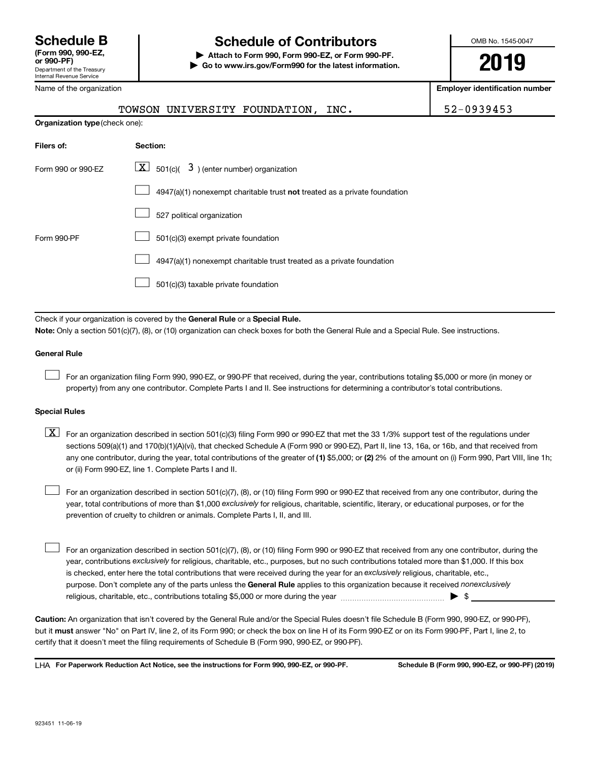Internal Revenue Service

### **Schedule B Schedule of Contributors**

**or 990-PF) | Attach to Form 990, Form 990-EZ, or Form 990-PF. | Go to www.irs.gov/Form990 for the latest information.** OMB No. 1545-0047

**2019**

**Employer identification number**

| Name of the organization       |                                                                             | <b>Employer identification</b> |
|--------------------------------|-----------------------------------------------------------------------------|--------------------------------|
|                                | TOWSON UNIVERSITY FOUNDATION, INC.                                          | 52-0939453                     |
| Organization type (check one): |                                                                             |                                |
| Filers of:                     | Section:                                                                    |                                |
| Form 990 or 990-EZ             | $\lfloor x \rfloor$ 501(c)( 3) (enter number) organization                  |                                |
|                                | $4947(a)(1)$ nonexempt charitable trust not treated as a private foundation |                                |
|                                | 527 political organization                                                  |                                |
| Form 990-PF                    | 501(c)(3) exempt private foundation                                         |                                |
|                                | 4947(a)(1) nonexempt charitable trust treated as a private foundation       |                                |
|                                | 501(c)(3) taxable private foundation                                        |                                |
|                                |                                                                             |                                |

Check if your organization is covered by the General Rule or a Special Rule. **Note:**  Only a section 501(c)(7), (8), or (10) organization can check boxes for both the General Rule and a Special Rule. See instructions.

### **General Rule**

 $\Box$ 

For an organization filing Form 990, 990-EZ, or 990-PF that received, during the year, contributions totaling \$5,000 or more (in money or property) from any one contributor. Complete Parts I and II. See instructions for determining a contributor's total contributions.

### **Special Rules**

any one contributor, during the year, total contributions of the greater of (1) \$5,000; or (2) 2% of the amount on (i) Form 990, Part VIII, line 1h;  $\boxed{\text{X}}$  For an organization described in section 501(c)(3) filing Form 990 or 990-EZ that met the 33 1/3% support test of the regulations under sections 509(a)(1) and 170(b)(1)(A)(vi), that checked Schedule A (Form 990 or 990-EZ), Part II, line 13, 16a, or 16b, and that received from or (ii) Form 990-EZ, line 1. Complete Parts I and II.

year, total contributions of more than \$1,000 *exclusively* for religious, charitable, scientific, literary, or educational purposes, or for the For an organization described in section 501(c)(7), (8), or (10) filing Form 990 or 990-EZ that received from any one contributor, during the prevention of cruelty to children or animals. Complete Parts I, II, and III.  $\Box$ 

purpose. Don't complete any of the parts unless the General Rule applies to this organization because it received nonexclusively year, contributions exclusively for religious, charitable, etc., purposes, but no such contributions totaled more than \$1,000. If this box is checked, enter here the total contributions that were received during the year for an exclusively religious, charitable, etc., For an organization described in section 501(c)(7), (8), or (10) filing Form 990 or 990-EZ that received from any one contributor, during the religious, charitable, etc., contributions totaling \$5,000 or more during the year  $\ldots$  $\ldots$  $\ldots$  $\ldots$  $\ldots$  $\ldots$  $\Box$ 

**Caution:**  An organization that isn't covered by the General Rule and/or the Special Rules doesn't file Schedule B (Form 990, 990-EZ, or 990-PF),  **must** but it answer "No" on Part IV, line 2, of its Form 990; or check the box on line H of its Form 990-EZ or on its Form 990-PF, Part I, line 2, to certify that it doesn't meet the filing requirements of Schedule B (Form 990, 990-EZ, or 990-PF).

**For Paperwork Reduction Act Notice, see the instructions for Form 990, 990-EZ, or 990-PF. Schedule B (Form 990, 990-EZ, or 990-PF) (2019)** LHA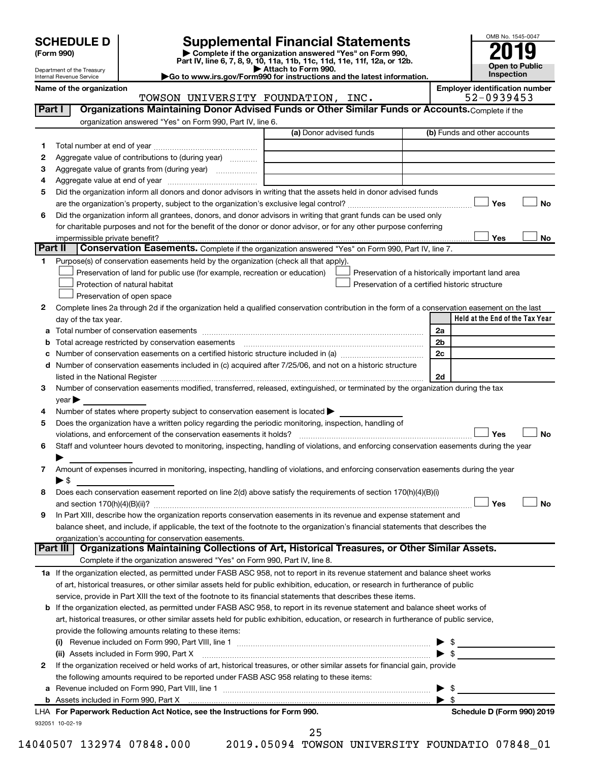Department of the Treasury Internal Revenue Service

| (Form 990) |  |
|------------|--|
|------------|--|

## **SCHEDULE D Supplemental Financial Statements**<br> **Form 990 2019**<br> **Part IV** line 6.7.8.9.10, 11a, 11b, 11d, 11d, 11d, 11d, 11d, 12a, 0r, 12b

**(Form 990) | Complete if the organization answered "Yes" on Form 990, Part IV, line 6, 7, 8, 9, 10, 11a, 11b, 11c, 11d, 11e, 11f, 12a, or 12b.**

**| Attach to Form 990. |Go to www.irs.gov/Form990 for instructions and the latest information.**



| Name of the organization |  |
|--------------------------|--|
|--------------------------|--|

TOWSON UNIVERSITY FOUNDATION, INC.

**Employer identification number**<br>52 – 09 3 9 4 5 3

|    |                                                                                                                                                                                                                               | (a) Donor advised funds | (b) Funds and other accounts                       |
|----|-------------------------------------------------------------------------------------------------------------------------------------------------------------------------------------------------------------------------------|-------------------------|----------------------------------------------------|
| 1  |                                                                                                                                                                                                                               |                         |                                                    |
| 2  | Aggregate value of contributions to (during year)                                                                                                                                                                             |                         |                                                    |
| З  |                                                                                                                                                                                                                               |                         |                                                    |
| 4  |                                                                                                                                                                                                                               |                         |                                                    |
| 5  | Did the organization inform all donors and donor advisors in writing that the assets held in donor advised funds                                                                                                              |                         |                                                    |
|    |                                                                                                                                                                                                                               |                         | Yes                                                |
| 6  | Did the organization inform all grantees, donors, and donor advisors in writing that grant funds can be used only                                                                                                             |                         |                                                    |
|    | for charitable purposes and not for the benefit of the donor or donor advisor, or for any other purpose conferring                                                                                                            |                         |                                                    |
|    |                                                                                                                                                                                                                               |                         | Yes                                                |
|    | Part II<br>Conservation Easements. Complete if the organization answered "Yes" on Form 990, Part IV, line 7.                                                                                                                  |                         |                                                    |
| 1. | Purpose(s) of conservation easements held by the organization (check all that apply).                                                                                                                                         |                         |                                                    |
|    | Preservation of land for public use (for example, recreation or education)                                                                                                                                                    |                         | Preservation of a historically important land area |
|    | Protection of natural habitat                                                                                                                                                                                                 |                         | Preservation of a certified historic structure     |
|    | Preservation of open space                                                                                                                                                                                                    |                         |                                                    |
| 2  | Complete lines 2a through 2d if the organization held a qualified conservation contribution in the form of a conservation easement on the last                                                                                |                         |                                                    |
|    | day of the tax year.                                                                                                                                                                                                          |                         | Held at the End of the Tax Year                    |
| а  |                                                                                                                                                                                                                               |                         | 2a                                                 |
|    |                                                                                                                                                                                                                               |                         | 2 <sub>b</sub>                                     |
|    |                                                                                                                                                                                                                               |                         | 2c                                                 |
| d  | Number of conservation easements included in (c) acquired after 7/25/06, and not on a historic structure                                                                                                                      |                         |                                                    |
|    | listed in the National Register [111] Marshall Register [11] Marshall Register [11] Marshall Register [11] Marshall Register [11] Marshall Register [11] Marshall Register [11] Marshall Register [11] Marshall Register [11] |                         | 2d                                                 |
| 3  | Number of conservation easements modified, transferred, released, extinguished, or terminated by the organization during the tax                                                                                              |                         |                                                    |
|    | year                                                                                                                                                                                                                          |                         |                                                    |
| 4  | Number of states where property subject to conservation easement is located >                                                                                                                                                 |                         |                                                    |
| 5  | Does the organization have a written policy regarding the periodic monitoring, inspection, handling of                                                                                                                        |                         |                                                    |
|    |                                                                                                                                                                                                                               |                         | Yes                                                |
| 6  | Staff and volunteer hours devoted to monitoring, inspecting, handling of violations, and enforcing conservation easements during the year                                                                                     |                         |                                                    |
|    |                                                                                                                                                                                                                               |                         |                                                    |
|    |                                                                                                                                                                                                                               |                         |                                                    |
| 7  | Amount of expenses incurred in monitoring, inspecting, handling of violations, and enforcing conservation easements during the year                                                                                           |                         |                                                    |
|    | $\blacktriangleright$ \$                                                                                                                                                                                                      |                         |                                                    |
| 8  | Does each conservation easement reported on line 2(d) above satisfy the requirements of section 170(h)(4)(B)(i)                                                                                                               |                         |                                                    |
|    |                                                                                                                                                                                                                               |                         | Yes                                                |
| 9  | In Part XIII, describe how the organization reports conservation easements in its revenue and expense statement and                                                                                                           |                         |                                                    |
|    | balance sheet, and include, if applicable, the text of the footnote to the organization's financial statements that describes the                                                                                             |                         |                                                    |
|    | organization's accounting for conservation easements.                                                                                                                                                                         |                         |                                                    |
|    | Organizations Maintaining Collections of Art, Historical Treasures, or Other Similar Assets.<br>Part III                                                                                                                      |                         |                                                    |
|    | Complete if the organization answered "Yes" on Form 990, Part IV, line 8.                                                                                                                                                     |                         |                                                    |
|    | 1a If the organization elected, as permitted under FASB ASC 958, not to report in its revenue statement and balance sheet works                                                                                               |                         |                                                    |
|    | of art, historical treasures, or other similar assets held for public exhibition, education, or research in furtherance of public                                                                                             |                         |                                                    |
|    | service, provide in Part XIII the text of the footnote to its financial statements that describes these items.                                                                                                                |                         |                                                    |
|    | b If the organization elected, as permitted under FASB ASC 958, to report in its revenue statement and balance sheet works of                                                                                                 |                         |                                                    |
|    | art, historical treasures, or other similar assets held for public exhibition, education, or research in furtherance of public service,                                                                                       |                         |                                                    |
|    | provide the following amounts relating to these items:                                                                                                                                                                        |                         |                                                    |
|    |                                                                                                                                                                                                                               |                         |                                                    |
|    | (ii) Assets included in Form 990, Part X                                                                                                                                                                                      |                         | $\blacktriangleright$ \$                           |
| 2  | If the organization received or held works of art, historical treasures, or other similar assets for financial gain, provide                                                                                                  |                         |                                                    |
|    | the following amounts required to be reported under FASB ASC 958 relating to these items:                                                                                                                                     |                         |                                                    |
| а  |                                                                                                                                                                                                                               |                         | $\blacktriangleright$ \$                           |
|    |                                                                                                                                                                                                                               |                         | $\blacktriangleright$ s                            |
|    | b Assets included in Form 990, Part X [11, 120] Marten and March 2014 March 2015 (120) March 2015 (120) March 2015<br>LHA For Paperwork Reduction Act Notice, see the Instructions for Form 990.                              |                         | Schedule D (Form 990) 2019                         |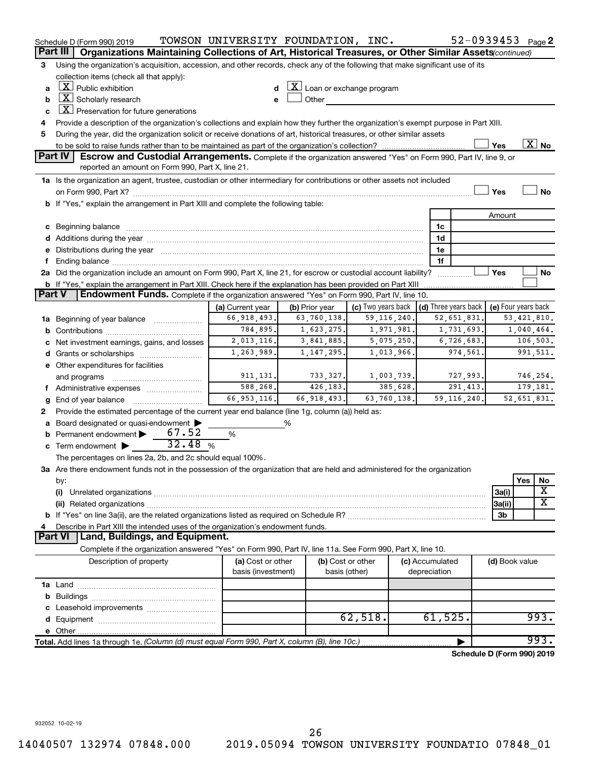|   | Schedule D (Form 990) 2019                                                                                                                                                                                                     | TOWSON UNIVERSITY FOUNDATION, INC.                                               |                                              |                                           |               |                 | 52-0939453 Page 2                          |                |               |                          |
|---|--------------------------------------------------------------------------------------------------------------------------------------------------------------------------------------------------------------------------------|----------------------------------------------------------------------------------|----------------------------------------------|-------------------------------------------|---------------|-----------------|--------------------------------------------|----------------|---------------|--------------------------|
|   | Part III   Organizations Maintaining Collections of Art, Historical Treasures, or Other Similar Assets (continued)                                                                                                             |                                                                                  |                                              |                                           |               |                 |                                            |                |               |                          |
| 3 | Using the organization's acquisition, accession, and other records, check any of the following that make significant use of its                                                                                                |                                                                                  |                                              |                                           |               |                 |                                            |                |               |                          |
|   | collection items (check all that apply):                                                                                                                                                                                       |                                                                                  |                                              |                                           |               |                 |                                            |                |               |                          |
| a | $\lfloor \underline{X} \rfloor$ Public exhibition                                                                                                                                                                              | d                                                                                | $\lfloor x \rfloor$ Loan or exchange program |                                           |               |                 |                                            |                |               |                          |
| b | $\boxed{\textbf{X}}$ Scholarly research                                                                                                                                                                                        | e                                                                                | Other                                        | <u> 1989 - Jan Barat III, president p</u> |               |                 |                                            |                |               |                          |
| c | $X$ Preservation for future generations                                                                                                                                                                                        |                                                                                  |                                              |                                           |               |                 |                                            |                |               |                          |
| 4 | Provide a description of the organization's collections and explain how they further the organization's exempt purpose in Part XIII.                                                                                           |                                                                                  |                                              |                                           |               |                 |                                            |                |               |                          |
| 5 | During the year, did the organization solicit or receive donations of art, historical treasures, or other similar assets                                                                                                       |                                                                                  |                                              |                                           |               |                 |                                            |                |               |                          |
|   |                                                                                                                                                                                                                                |                                                                                  |                                              |                                           |               |                 |                                            | Yes            |               | $\overline{\text{X}}$ No |
|   | <b>Part IV</b><br>Escrow and Custodial Arrangements. Complete if the organization answered "Yes" on Form 990, Part IV, line 9, or                                                                                              |                                                                                  |                                              |                                           |               |                 |                                            |                |               |                          |
|   | reported an amount on Form 990, Part X, line 21.                                                                                                                                                                               |                                                                                  |                                              |                                           |               |                 |                                            |                |               |                          |
|   | 1a Is the organization an agent, trustee, custodian or other intermediary for contributions or other assets not included                                                                                                       |                                                                                  |                                              |                                           |               |                 |                                            |                |               |                          |
|   |                                                                                                                                                                                                                                |                                                                                  |                                              |                                           |               |                 |                                            | Yes            |               | <b>No</b>                |
|   | b If "Yes," explain the arrangement in Part XIII and complete the following table:                                                                                                                                             |                                                                                  |                                              |                                           |               |                 |                                            |                |               |                          |
|   |                                                                                                                                                                                                                                |                                                                                  |                                              |                                           |               |                 |                                            | Amount         |               |                          |
|   | c Beginning balance measurements and the contract of the contract of the contract of the contract of the contract of the contract of the contract of the contract of the contract of the contract of the contract of the contr |                                                                                  |                                              |                                           |               | 1c              |                                            |                |               |                          |
|   |                                                                                                                                                                                                                                |                                                                                  |                                              |                                           |               | 1d              |                                            |                |               |                          |
|   | e Distributions during the year manufactured and an account of the year manufactured and account of the year                                                                                                                   |                                                                                  |                                              |                                           |               | 1e              |                                            |                |               |                          |
| f |                                                                                                                                                                                                                                |                                                                                  |                                              |                                           |               | 1f              |                                            |                |               |                          |
|   | 2a Did the organization include an amount on Form 990, Part X, line 21, for escrow or custodial account liability?                                                                                                             |                                                                                  |                                              |                                           |               |                 |                                            | Yes            |               | No                       |
|   | b If "Yes," explain the arrangement in Part XIII. Check here if the explanation has been provided on Part XIII<br>Endowment Funds. Complete if the organization answered "Yes" on Form 990, Part IV, line 10.<br><b>Part V</b> |                                                                                  |                                              |                                           |               |                 |                                            |                |               |                          |
|   |                                                                                                                                                                                                                                | (a) Current year                                                                 | (b) Prior year                               | (c) Two years back                        |               |                 | (d) Three years back   (e) Four years back |                |               |                          |
|   | 1a Beginning of year balance                                                                                                                                                                                                   | 66, 918, 493.                                                                    | 63,760,138.                                  |                                           | 59, 116, 240. |                 | 52,651,831.                                |                | 53, 421, 810. |                          |
|   |                                                                                                                                                                                                                                | 784,895.                                                                         | 1,623,275.                                   |                                           |               |                 |                                            |                | 1,040,464.    |                          |
| с | Net investment earnings, gains, and losses                                                                                                                                                                                     | 1,971,981.<br>1,731,693.<br>2,013,116.<br>3,841,885.<br>5,075,250.<br>6,726,683. |                                              |                                           |               |                 |                                            | 106, 503.      |               |                          |
|   |                                                                                                                                                                                                                                | 1,263,989.                                                                       | 1, 147, 295.                                 |                                           |               | 974,561.        |                                            |                |               | 991,511.                 |
|   | 1,013,966.<br>e Other expenditures for facilities                                                                                                                                                                              |                                                                                  |                                              |                                           |               |                 |                                            |                |               |                          |
|   | and programs                                                                                                                                                                                                                   | 911, 131.                                                                        | 733, 327.                                    |                                           | 1,003,739.    |                 | 727,993.                                   |                |               | 746,254.                 |
|   | f Administrative expenses                                                                                                                                                                                                      | 588,268.                                                                         | 426, 183.                                    |                                           | 385,628.      |                 | 291, 413.                                  |                |               | 179,181.                 |
| g |                                                                                                                                                                                                                                | 66, 953, 116.                                                                    | 66,918,493.                                  |                                           | 63,760,138.   |                 | 59, 116, 240.                              |                | 52,651,831.   |                          |
| 2 | Provide the estimated percentage of the current year end balance (line 1g, column (a)) held as:                                                                                                                                |                                                                                  |                                              |                                           |               |                 |                                            |                |               |                          |
|   | a Board designated or quasi-endowment >                                                                                                                                                                                        |                                                                                  | %                                            |                                           |               |                 |                                            |                |               |                          |
| b | Permanent endowment > 67.52                                                                                                                                                                                                    | %                                                                                |                                              |                                           |               |                 |                                            |                |               |                          |
| c | Term endowment $\triangleright$ 32.48 %                                                                                                                                                                                        |                                                                                  |                                              |                                           |               |                 |                                            |                |               |                          |
|   | The percentages on lines 2a, 2b, and 2c should equal 100%.                                                                                                                                                                     |                                                                                  |                                              |                                           |               |                 |                                            |                |               |                          |
|   | 3a Are there endowment funds not in the possession of the organization that are held and administered for the organization                                                                                                     |                                                                                  |                                              |                                           |               |                 |                                            |                |               |                          |
|   | by:                                                                                                                                                                                                                            |                                                                                  |                                              |                                           |               |                 |                                            |                | Yes           | No                       |
|   | (i)                                                                                                                                                                                                                            |                                                                                  |                                              |                                           |               |                 |                                            | 3a(i)          |               | X                        |
|   |                                                                                                                                                                                                                                |                                                                                  |                                              |                                           |               |                 |                                            | 3a(ii)         |               | х                        |
|   |                                                                                                                                                                                                                                |                                                                                  |                                              |                                           |               |                 |                                            | 3b             |               |                          |
| 4 | Describe in Part XIII the intended uses of the organization's endowment funds.                                                                                                                                                 |                                                                                  |                                              |                                           |               |                 |                                            |                |               |                          |
|   | Part VI   Land, Buildings, and Equipment.                                                                                                                                                                                      |                                                                                  |                                              |                                           |               |                 |                                            |                |               |                          |
|   | Complete if the organization answered "Yes" on Form 990, Part IV, line 11a. See Form 990, Part X, line 10.                                                                                                                     |                                                                                  |                                              |                                           |               |                 |                                            |                |               |                          |
|   | Description of property                                                                                                                                                                                                        | (a) Cost or other                                                                |                                              | (b) Cost or other                         |               | (c) Accumulated |                                            | (d) Book value |               |                          |
|   |                                                                                                                                                                                                                                | basis (investment)                                                               |                                              | basis (other)                             |               | depreciation    |                                            |                |               |                          |
|   |                                                                                                                                                                                                                                |                                                                                  |                                              |                                           |               |                 |                                            |                |               |                          |
| b |                                                                                                                                                                                                                                |                                                                                  |                                              |                                           |               |                 |                                            |                |               |                          |
| c | Leasehold improvements                                                                                                                                                                                                         |                                                                                  |                                              |                                           |               |                 |                                            |                |               |                          |
|   |                                                                                                                                                                                                                                |                                                                                  |                                              | 62,518.                                   |               | 61,525.         |                                            |                |               | 993.                     |
|   |                                                                                                                                                                                                                                |                                                                                  |                                              |                                           |               |                 |                                            |                |               |                          |
|   | Total. Add lines 1a through 1e. (Column (d) must equal Form 990, Part X, column (B), line 10c.)                                                                                                                                |                                                                                  |                                              |                                           |               |                 |                                            |                |               | 993.                     |
|   |                                                                                                                                                                                                                                |                                                                                  |                                              |                                           |               |                 | Schedule D (Form 990) 2019                 |                |               |                          |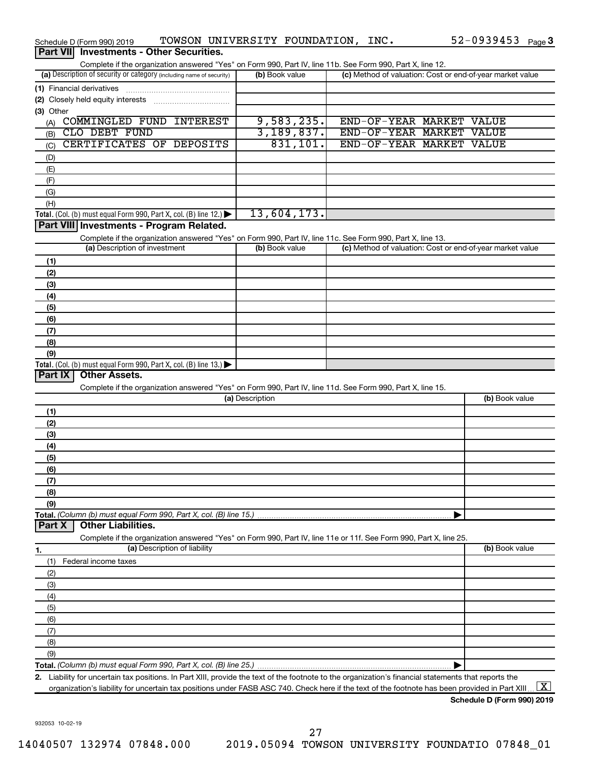| Schedule D (Form 990) 2019                                                                                                                           | TOWSON UNIVERSITY FOUNDATION, INC. |                    | 52-0939453 Page 3                                         |
|------------------------------------------------------------------------------------------------------------------------------------------------------|------------------------------------|--------------------|-----------------------------------------------------------|
| <b>Investments - Other Securities.</b><br>Part VIII                                                                                                  |                                    |                    |                                                           |
| Complete if the organization answered "Yes" on Form 990, Part IV, line 11b. See Form 990, Part X, line 12.                                           |                                    |                    |                                                           |
| (a) Description of security or category (including name of security)                                                                                 | (b) Book value                     |                    | (c) Method of valuation: Cost or end-of-year market value |
| (1) Financial derivatives                                                                                                                            |                                    |                    |                                                           |
| (2) Closely held equity interests                                                                                                                    |                                    |                    |                                                           |
| (3) Other                                                                                                                                            |                                    |                    |                                                           |
| COMMINGLED FUND INTEREST<br>(A)<br>CLO DEBT FUND                                                                                                     | 9,583,235.<br>3,189,837.           |                    | END-OF-YEAR MARKET VALUE<br>END-OF-YEAR MARKET VALUE      |
| (B)<br>CERTIFICATES OF DEPOSITS                                                                                                                      | 831,101.                           | END-OF-YEAR MARKET | <b>VALUE</b>                                              |
| (C)                                                                                                                                                  |                                    |                    |                                                           |
| (D)                                                                                                                                                  |                                    |                    |                                                           |
| (E)                                                                                                                                                  |                                    |                    |                                                           |
| (F)<br>(G)                                                                                                                                           |                                    |                    |                                                           |
| (H)                                                                                                                                                  |                                    |                    |                                                           |
| Total. (Col. (b) must equal Form 990, Part X, col. (B) line 12.)                                                                                     | 13,604,173.                        |                    |                                                           |
| Part VIII Investments - Program Related.                                                                                                             |                                    |                    |                                                           |
| Complete if the organization answered "Yes" on Form 990, Part IV, line 11c. See Form 990, Part X, line 13.                                           |                                    |                    |                                                           |
| (a) Description of investment                                                                                                                        | (b) Book value                     |                    | (c) Method of valuation: Cost or end-of-year market value |
| (1)                                                                                                                                                  |                                    |                    |                                                           |
| (2)                                                                                                                                                  |                                    |                    |                                                           |
| (3)                                                                                                                                                  |                                    |                    |                                                           |
| (4)                                                                                                                                                  |                                    |                    |                                                           |
| (5)                                                                                                                                                  |                                    |                    |                                                           |
| (6)                                                                                                                                                  |                                    |                    |                                                           |
| (7)                                                                                                                                                  |                                    |                    |                                                           |
| (8)                                                                                                                                                  |                                    |                    |                                                           |
| (9)                                                                                                                                                  |                                    |                    |                                                           |
| Total. (Col. (b) must equal Form 990, Part X, col. (B) line $13.$ )                                                                                  |                                    |                    |                                                           |
| Part IX<br><b>Other Assets.</b>                                                                                                                      |                                    |                    |                                                           |
| Complete if the organization answered "Yes" on Form 990, Part IV, line 11d. See Form 990, Part X, line 15.                                           |                                    |                    |                                                           |
|                                                                                                                                                      | (a) Description                    |                    | (b) Book value                                            |
| (1)                                                                                                                                                  |                                    |                    |                                                           |
| (2)                                                                                                                                                  |                                    |                    |                                                           |
| (3)                                                                                                                                                  |                                    |                    |                                                           |
| (4)                                                                                                                                                  |                                    |                    |                                                           |
| (5)                                                                                                                                                  |                                    |                    |                                                           |
| (6)<br>(7)                                                                                                                                           |                                    |                    |                                                           |
| (8)                                                                                                                                                  |                                    |                    |                                                           |
| (9)                                                                                                                                                  |                                    |                    |                                                           |
| Total. (Column (b) must equal Form 990, Part X, col. (B) line 15.)                                                                                   |                                    |                    |                                                           |
| <b>Other Liabilities.</b><br>Part X                                                                                                                  |                                    |                    |                                                           |
| Complete if the organization answered "Yes" on Form 990, Part IV, line 11e or 11f. See Form 990, Part X, line 25.                                    |                                    |                    |                                                           |
| (a) Description of liability<br>1.                                                                                                                   |                                    |                    | (b) Book value                                            |
| Federal income taxes<br>(1)                                                                                                                          |                                    |                    |                                                           |
| (2)                                                                                                                                                  |                                    |                    |                                                           |
| (3)                                                                                                                                                  |                                    |                    |                                                           |
| (4)                                                                                                                                                  |                                    |                    |                                                           |
| (5)                                                                                                                                                  |                                    |                    |                                                           |
| (6)                                                                                                                                                  |                                    |                    |                                                           |
| (7)                                                                                                                                                  |                                    |                    |                                                           |
| (8)                                                                                                                                                  |                                    |                    |                                                           |
| (9)                                                                                                                                                  |                                    |                    |                                                           |
|                                                                                                                                                      |                                    |                    |                                                           |
| 2. Liability for uncertain tax positions. In Part XIII, provide the text of the footnote to the organization's financial statements that reports the |                                    |                    |                                                           |
| organization's liability for uncertain tax positions under FASB ASC 740. Check here if the text of the footnote has been provided in Part XIII.      |                                    |                    | $\lfloor x \rfloor$                                       |

932053 10-02-19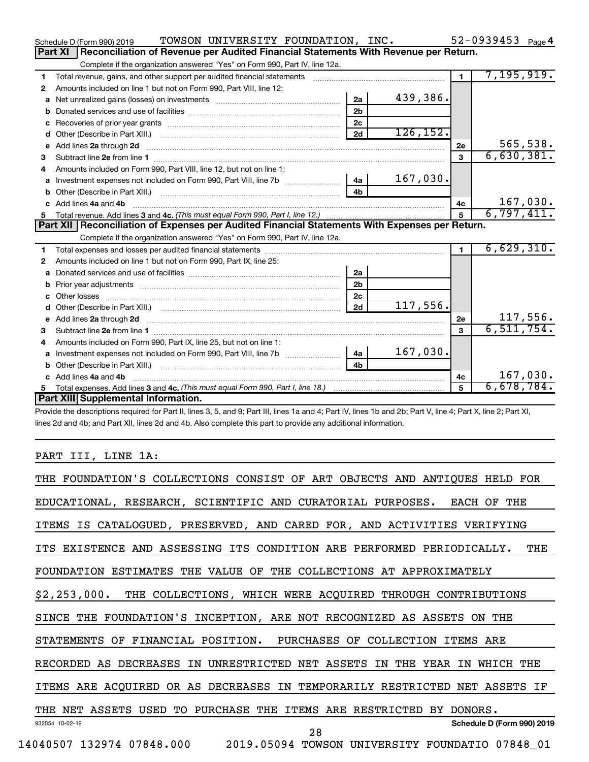|    | TOWSON UNIVERSITY FOUNDATION, INC.<br>Schedule D (Form 990) 2019                                                                                                                                                                    |                |           |                      | 52-0939453 $_{Page 4}$ |
|----|-------------------------------------------------------------------------------------------------------------------------------------------------------------------------------------------------------------------------------------|----------------|-----------|----------------------|------------------------|
|    | Reconciliation of Revenue per Audited Financial Statements With Revenue per Return.<br>Part XI                                                                                                                                      |                |           |                      |                        |
|    | Complete if the organization answered "Yes" on Form 990, Part IV, line 12a.                                                                                                                                                         |                |           |                      |                        |
| 1  | Total revenue, gains, and other support per audited financial statements [[[[[[[[[[[[[[[[[[[[[[[[]]]]]]]]]]]]                                                                                                                       |                |           | $\overline{1}$       | 7, 195, 919.           |
| 2  | Amounts included on line 1 but not on Form 990, Part VIII, line 12:                                                                                                                                                                 |                |           |                      |                        |
| a  |                                                                                                                                                                                                                                     | 2a             | 439,386.  |                      |                        |
| b  |                                                                                                                                                                                                                                     | 2 <sub>b</sub> |           |                      |                        |
| c  |                                                                                                                                                                                                                                     | 2 <sub>c</sub> |           |                      |                        |
| d  |                                                                                                                                                                                                                                     | 2d             | 126, 152. |                      |                        |
| е  | Add lines 2a through 2d                                                                                                                                                                                                             |                |           | 2e                   | 565,538.               |
| З  |                                                                                                                                                                                                                                     |                |           | 3                    | 6,630,381.             |
| 4  | Amounts included on Form 990, Part VIII, line 12, but not on line 1:                                                                                                                                                                |                |           |                      |                        |
|    | Investment expenses not included on Form 990, Part VIII, line 7b [11, 11, 11, 11, 11, 11]                                                                                                                                           | – 4a │         | 167,030.  |                      |                        |
| b  | Other (Describe in Part XIII.) (2000) (2000) (2000) (2010) (2010) (2010) (2010) (2010) (2010) (2010) (2010) (20                                                                                                                     | 4 <sub>h</sub> |           |                      |                        |
| c. | Add lines 4a and 4b                                                                                                                                                                                                                 |                |           | 4c                   | 167,030.               |
|    |                                                                                                                                                                                                                                     |                |           | 5                    | 6,797,411.             |
|    |                                                                                                                                                                                                                                     |                |           |                      |                        |
|    | Part XII   Reconciliation of Expenses per Audited Financial Statements With Expenses per Return.                                                                                                                                    |                |           |                      |                        |
|    | Complete if the organization answered "Yes" on Form 990, Part IV, line 12a.                                                                                                                                                         |                |           |                      |                        |
| 1  |                                                                                                                                                                                                                                     |                |           | $\blacktriangleleft$ | 6,629,310.             |
| 2  | Amounts included on line 1 but not on Form 990, Part IX, line 25:                                                                                                                                                                   |                |           |                      |                        |
| a  |                                                                                                                                                                                                                                     | 2a             |           |                      |                        |
| b  |                                                                                                                                                                                                                                     | 2 <sub>b</sub> |           |                      |                        |
| c  |                                                                                                                                                                                                                                     | 2 <sub>c</sub> |           |                      |                        |
| d  |                                                                                                                                                                                                                                     | 2d             | 117,556.  |                      |                        |
| е  | Add lines 2a through 2d <b>contained a contained a contained a contained a</b> contained a contained a contained a contained a contained a contained a contained a contained a contained a contained a contained a contained a cont |                |           | 2e                   | 117,556.               |
| З  |                                                                                                                                                                                                                                     |                |           | 3                    | 6, 511, 754.           |
| 4  | Amounts included on Form 990, Part IX, line 25, but not on line 1:                                                                                                                                                                  |                |           |                      |                        |
| a  |                                                                                                                                                                                                                                     | 4a l           | 167,030.  |                      |                        |
| b  | Other (Describe in Part XIII.) <b>Construction (COSET ACTES)</b> (Describe in Part XIII.)                                                                                                                                           | 4 <sub>h</sub> |           |                      |                        |
| c. | Add lines 4a and 4b                                                                                                                                                                                                                 |                |           | 4c                   | 167,030.               |
|    | Part XIII Supplemental Information.                                                                                                                                                                                                 |                |           | 5                    | 6,678,784.             |

Provide the descriptions required for Part II, lines 3, 5, and 9; Part III, lines 1a and 4; Part IV, lines 1b and 2b; Part V, line 4; Part X, line 2; Part XI, lines 2d and 4b; and Part XII, lines 2d and 4b. Also complete this part to provide any additional information.

### PART III, LINE 1A:

| THE FOUNDATION'S COLLECTIONS CONSIST OF ART OBJECTS AND ANTIQUES HELD FOR       |
|---------------------------------------------------------------------------------|
| EDUCATIONAL, RESEARCH, SCIENTIFIC AND CURATORIAL PURPOSES. EACH OF THE          |
| ITEMS IS CATALOGUED, PRESERVED, AND CARED FOR, AND ACTIVITIES VERIFYING         |
| ITS EXISTENCE AND ASSESSING ITS CONDITION ARE PERFORMED PERIODICALLY.<br>THE    |
| FOUNDATION ESTIMATES THE VALUE OF THE COLLECTIONS AT APPROXIMATELY              |
| \$2,253,000. THE COLLECTIONS, WHICH WERE ACQUIRED THROUGH CONTRIBUTIONS         |
| SINCE THE FOUNDATION'S INCEPTION, ARE NOT RECOGNIZED AS ASSETS ON THE           |
| STATEMENTS OF FINANCIAL POSITION. PURCHASES OF COLLECTION ITEMS ARE             |
| RECORDED AS DECREASES IN UNRESTRICTED NET ASSETS IN THE YEAR IN<br>WHICH<br>THE |
| ITEMS ARE ACQUIRED OR AS DECREASES IN TEMPORARILY RESTRICTED NET ASSETS IF      |
| THE NET ASSETS USED TO PURCHASE THE ITEMS ARE RESTRICTED BY DONORS.             |
| Schedule D (Form 990) 2019<br>932054 10-02-19<br>28                             |
| 14040507 132974 07848.000  2019.05094 TOWSON UNIVERSITY FOUNDATIO  07848_01     |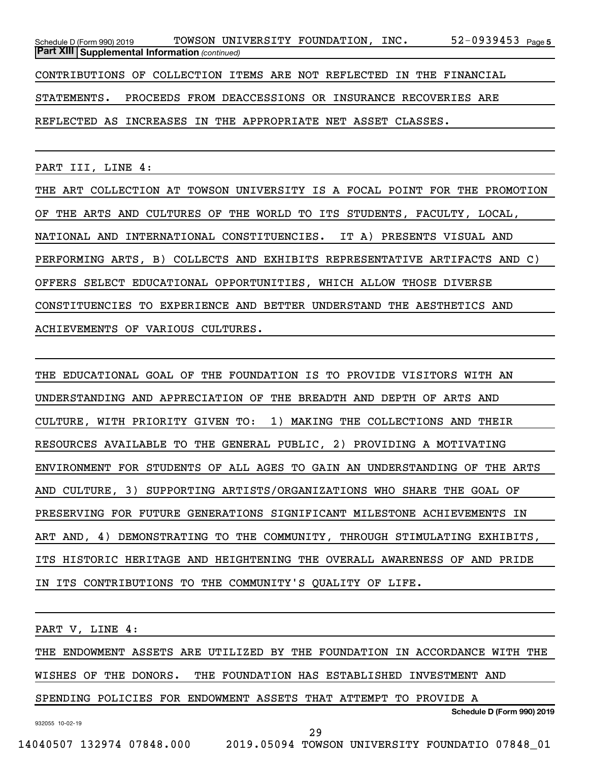52-0939453 <sub>Page 5</sub> *(continued)* **Part XIII Supplemental Information**  Schedule D (Form 990) 2019 Page TOWSON UNIVERSITY FOUNDATION, INC. 52-0939453 CONTRIBUTIONS OF COLLECTION ITEMS ARE NOT REFLECTED IN THE FINANCIAL STATEMENTS. PROCEEDS FROM DEACCESSIONS OR INSURANCE RECOVERIES ARE REFLECTED AS INCREASES IN THE APPROPRIATE NET ASSET CLASSES.

PART III, LINE 4:

THE ART COLLECTION AT TOWSON UNIVERSITY IS A FOCAL POINT FOR THE PROMOTION OF THE ARTS AND CULTURES OF THE WORLD TO ITS STUDENTS, FACULTY, LOCAL, NATIONAL AND INTERNATIONAL CONSTITUENCIES. IT A) PRESENTS VISUAL AND PERFORMING ARTS, B) COLLECTS AND EXHIBITS REPRESENTATIVE ARTIFACTS AND C) OFFERS SELECT EDUCATIONAL OPPORTUNITIES, WHICH ALLOW THOSE DIVERSE CONSTITUENCIES TO EXPERIENCE AND BETTER UNDERSTAND THE AESTHETICS AND ACHIEVEMENTS OF VARIOUS CULTURES.

THE EDUCATIONAL GOAL OF THE FOUNDATION IS TO PROVIDE VISITORS WITH AN UNDERSTANDING AND APPRECIATION OF THE BREADTH AND DEPTH OF ARTS AND CULTURE, WITH PRIORITY GIVEN TO: 1) MAKING THE COLLECTIONS AND THEIR RESOURCES AVAILABLE TO THE GENERAL PUBLIC, 2) PROVIDING A MOTIVATING ENVIRONMENT FOR STUDENTS OF ALL AGES TO GAIN AN UNDERSTANDING OF THE ARTS AND CULTURE, 3) SUPPORTING ARTISTS/ORGANIZATIONS WHO SHARE THE GOAL OF PRESERVING FOR FUTURE GENERATIONS SIGNIFICANT MILESTONE ACHIEVEMENTS IN ART AND, 4) DEMONSTRATING TO THE COMMUNITY, THROUGH STIMULATING EXHIBITS, ITS HISTORIC HERITAGE AND HEIGHTENING THE OVERALL AWARENESS OF AND PRIDE IN ITS CONTRIBUTIONS TO THE COMMUNITY'S QUALITY OF LIFE.

PART V, LINE 4:

THE ENDOWMENT ASSETS ARE UTILIZED BY THE FOUNDATION IN ACCORDANCE WITH THE WISHES OF THE DONORS. THE FOUNDATION HAS ESTABLISHED INVESTMENT AND SPENDING POLICIES FOR ENDOWMENT ASSETS THAT ATTEMPT TO PROVIDE A

**Schedule D (Form 990) 2019**

932055 10-02-19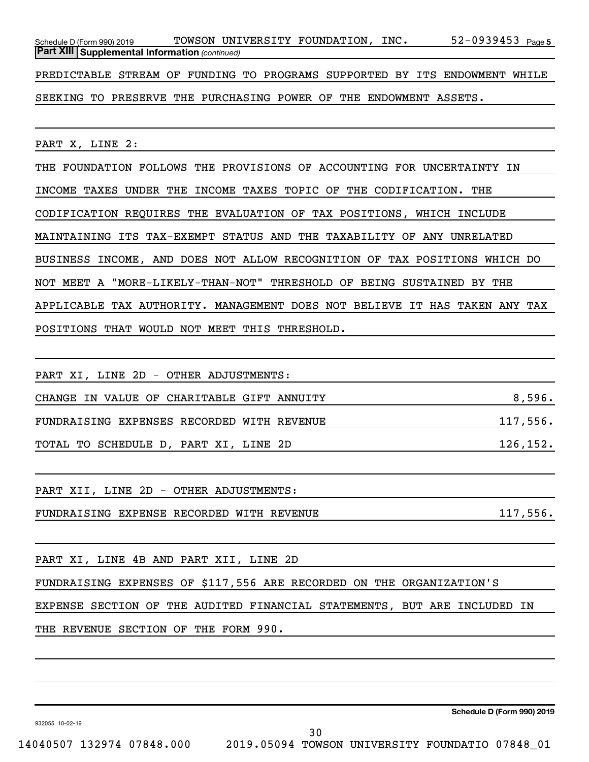52-0939453 Page 5 *(continued)* **Part XIII Supplemental Information**  Schedule D (Form 990) 2019 Page TOWSON UNIVERSITY FOUNDATION, INC. 52-0939453 PREDICTABLE STREAM OF FUNDING TO PROGRAMS SUPPORTED BY ITS ENDOWMENT WHILE

SEEKING TO PRESERVE THE PURCHASING POWER OF THE ENDOWMENT ASSETS.

PART X, LINE 2:

THE FOUNDATION FOLLOWS THE PROVISIONS OF ACCOUNTING FOR UNCERTAINTY IN INCOME TAXES UNDER THE INCOME TAXES TOPIC OF THE CODIFICATION. THE CODIFICATION REQUIRES THE EVALUATION OF TAX POSITIONS, WHICH INCLUDE MAINTAINING ITS TAX-EXEMPT STATUS AND THE TAXABILITY OF ANY UNRELATED BUSINESS INCOME, AND DOES NOT ALLOW RECOGNITION OF TAX POSITIONS WHICH DO NOT MEET A "MORE-LIKELY-THAN-NOT" THRESHOLD OF BEING SUSTAINED BY THE APPLICABLE TAX AUTHORITY. MANAGEMENT DOES NOT BELIEVE IT HAS TAKEN ANY TAX POSITIONS THAT WOULD NOT MEET THIS THRESHOLD.

| PART XI, LINE 2D - OTHER ADJUSTMENTS:      |           |
|--------------------------------------------|-----------|
| CHANGE IN VALUE OF CHARITABLE GIFT ANNUITY | 8,596.    |
| FUNDRAISING EXPENSES RECORDED WITH REVENUE | 117,556.  |
| TOTAL TO SCHEDULE D, PART XI, LINE 2D      | 126, 152. |
|                                            |           |
| PART XII, LINE 2D - OTHER ADJUSTMENTS:     |           |
| FUNDRAISING EXPENSE RECORDED WITH REVENUE  | 117,556.  |
|                                            |           |

PART XI, LINE 4B AND PART XII, LINE 2D

FUNDRAISING EXPENSES OF \$117,556 ARE RECORDED ON THE ORGANIZATION'S

EXPENSE SECTION OF THE AUDITED FINANCIAL STATEMENTS, BUT ARE INCLUDED IN

THE REVENUE SECTION OF THE FORM 990.

**Schedule D (Form 990) 2019**

932055 10-02-19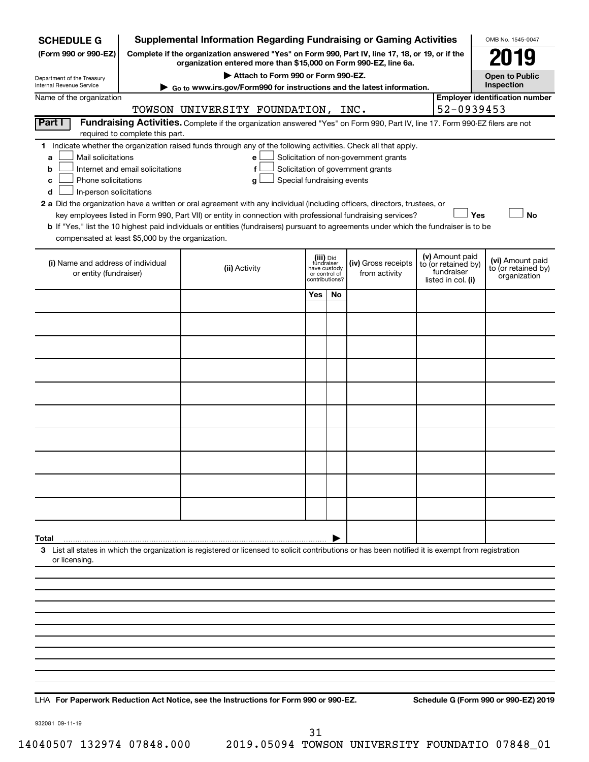| <b>SCHEDULE G</b>                                                                        |                                                                                                                                                                     | <b>Supplemental Information Regarding Fundraising or Gaming Activities</b>                                                                                                                                                                                                                                                                                                                                |                                                                            |    |                                                                            |  |                                                                            | OMB No. 1545-0047                                       |  |
|------------------------------------------------------------------------------------------|---------------------------------------------------------------------------------------------------------------------------------------------------------------------|-----------------------------------------------------------------------------------------------------------------------------------------------------------------------------------------------------------------------------------------------------------------------------------------------------------------------------------------------------------------------------------------------------------|----------------------------------------------------------------------------|----|----------------------------------------------------------------------------|--|----------------------------------------------------------------------------|---------------------------------------------------------|--|
| (Form 990 or 990-EZ)                                                                     | Complete if the organization answered "Yes" on Form 990, Part IV, line 17, 18, or 19, or if the<br>organization entered more than \$15,000 on Form 990-EZ, line 6a. |                                                                                                                                                                                                                                                                                                                                                                                                           |                                                                            |    |                                                                            |  |                                                                            |                                                         |  |
| Department of the Treasury                                                               |                                                                                                                                                                     |                                                                                                                                                                                                                                                                                                                                                                                                           | <b>Open to Public</b><br>Inspection                                        |    |                                                                            |  |                                                                            |                                                         |  |
| Internal Revenue Service                                                                 | ► Go to www.irs.gov/Form990 for instructions and the latest information.                                                                                            |                                                                                                                                                                                                                                                                                                                                                                                                           |                                                                            |    |                                                                            |  |                                                                            |                                                         |  |
| Name of the organization                                                                 |                                                                                                                                                                     | TOWSON UNIVERSITY FOUNDATION, INC.                                                                                                                                                                                                                                                                                                                                                                        |                                                                            |    |                                                                            |  | 52-0939453                                                                 | <b>Employer identification number</b>                   |  |
| Part I                                                                                   | required to complete this part.                                                                                                                                     | Fundraising Activities. Complete if the organization answered "Yes" on Form 990, Part IV, line 17. Form 990-EZ filers are not                                                                                                                                                                                                                                                                             |                                                                            |    |                                                                            |  |                                                                            |                                                         |  |
| Mail solicitations<br>a<br>b<br>Phone solicitations<br>с<br>In-person solicitations<br>d | Internet and email solicitations                                                                                                                                    | 1 Indicate whether the organization raised funds through any of the following activities. Check all that apply.<br>е<br>f<br>Special fundraising events<br>g<br>2 a Did the organization have a written or oral agreement with any individual (including officers, directors, trustees, or<br>key employees listed in Form 990, Part VII) or entity in connection with professional fundraising services? |                                                                            |    | Solicitation of non-government grants<br>Solicitation of government grants |  | Yes                                                                        | <b>No</b>                                               |  |
| compensated at least \$5,000 by the organization.                                        |                                                                                                                                                                     | b If "Yes," list the 10 highest paid individuals or entities (fundraisers) pursuant to agreements under which the fundraiser is to be                                                                                                                                                                                                                                                                     |                                                                            |    |                                                                            |  |                                                                            |                                                         |  |
| (i) Name and address of individual<br>or entity (fundraiser)                             |                                                                                                                                                                     | (ii) Activity                                                                                                                                                                                                                                                                                                                                                                                             | (iii) Did<br>fundraiser<br>have custody<br>or control of<br>contributions? |    | (iv) Gross receipts<br>from activity                                       |  | (v) Amount paid<br>to (or retained by)<br>fundraiser<br>listed in col. (i) | (vi) Amount paid<br>to (or retained by)<br>organization |  |
|                                                                                          |                                                                                                                                                                     |                                                                                                                                                                                                                                                                                                                                                                                                           | Yes                                                                        | No |                                                                            |  |                                                                            |                                                         |  |
|                                                                                          |                                                                                                                                                                     |                                                                                                                                                                                                                                                                                                                                                                                                           |                                                                            |    |                                                                            |  |                                                                            |                                                         |  |
|                                                                                          |                                                                                                                                                                     |                                                                                                                                                                                                                                                                                                                                                                                                           |                                                                            |    |                                                                            |  |                                                                            |                                                         |  |
|                                                                                          |                                                                                                                                                                     |                                                                                                                                                                                                                                                                                                                                                                                                           |                                                                            |    |                                                                            |  |                                                                            |                                                         |  |
|                                                                                          |                                                                                                                                                                     |                                                                                                                                                                                                                                                                                                                                                                                                           |                                                                            |    |                                                                            |  |                                                                            |                                                         |  |
|                                                                                          |                                                                                                                                                                     |                                                                                                                                                                                                                                                                                                                                                                                                           |                                                                            |    |                                                                            |  |                                                                            |                                                         |  |
|                                                                                          |                                                                                                                                                                     |                                                                                                                                                                                                                                                                                                                                                                                                           |                                                                            |    |                                                                            |  |                                                                            |                                                         |  |
|                                                                                          |                                                                                                                                                                     |                                                                                                                                                                                                                                                                                                                                                                                                           |                                                                            |    |                                                                            |  |                                                                            |                                                         |  |
|                                                                                          |                                                                                                                                                                     |                                                                                                                                                                                                                                                                                                                                                                                                           |                                                                            |    |                                                                            |  |                                                                            |                                                         |  |
|                                                                                          |                                                                                                                                                                     |                                                                                                                                                                                                                                                                                                                                                                                                           |                                                                            |    |                                                                            |  |                                                                            |                                                         |  |
| Total                                                                                    |                                                                                                                                                                     |                                                                                                                                                                                                                                                                                                                                                                                                           |                                                                            |    |                                                                            |  |                                                                            |                                                         |  |
| or licensing.                                                                            |                                                                                                                                                                     | 3 List all states in which the organization is registered or licensed to solicit contributions or has been notified it is exempt from registration                                                                                                                                                                                                                                                        |                                                                            |    |                                                                            |  |                                                                            |                                                         |  |
|                                                                                          |                                                                                                                                                                     |                                                                                                                                                                                                                                                                                                                                                                                                           |                                                                            |    |                                                                            |  |                                                                            |                                                         |  |
|                                                                                          |                                                                                                                                                                     |                                                                                                                                                                                                                                                                                                                                                                                                           |                                                                            |    |                                                                            |  |                                                                            |                                                         |  |
|                                                                                          |                                                                                                                                                                     |                                                                                                                                                                                                                                                                                                                                                                                                           |                                                                            |    |                                                                            |  |                                                                            |                                                         |  |
|                                                                                          |                                                                                                                                                                     |                                                                                                                                                                                                                                                                                                                                                                                                           |                                                                            |    |                                                                            |  |                                                                            |                                                         |  |
|                                                                                          |                                                                                                                                                                     |                                                                                                                                                                                                                                                                                                                                                                                                           |                                                                            |    |                                                                            |  |                                                                            |                                                         |  |
|                                                                                          |                                                                                                                                                                     |                                                                                                                                                                                                                                                                                                                                                                                                           |                                                                            |    |                                                                            |  |                                                                            |                                                         |  |
|                                                                                          |                                                                                                                                                                     |                                                                                                                                                                                                                                                                                                                                                                                                           |                                                                            |    |                                                                            |  |                                                                            |                                                         |  |

**For Paperwork Reduction Act Notice, see the Instructions for Form 990 or 990-EZ. Schedule G (Form 990 or 990-EZ) 2019** LHA

932081 09-11-19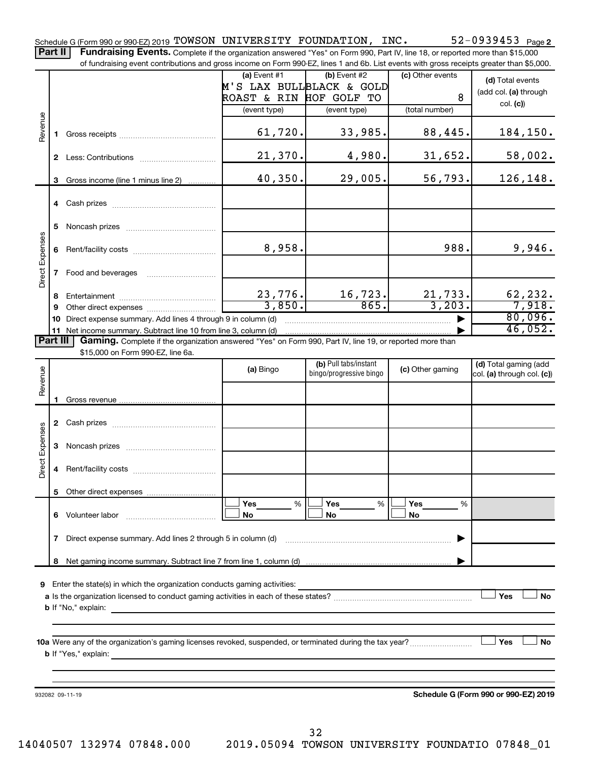52-0939453 Page 2 Schedule G (Form 990 or 990-EZ) 2019 Page TOWSON UNIVERSITY FOUNDATION, INC. 52-0939453 Part II | Fundraising Events. Complete if the organization answered "Yes" on Form 990, Part IV, line 18, or reported more than \$15,000

of fundraising event contributions and gross income on Form 990-EZ, lines 1 and 6b. List events with gross receipts greater than \$5,000.

|                        |    |                                                                                                          | $(a)$ Event #1           | $(b)$ Event #2          | (c) Other events | (d) Total events                     |
|------------------------|----|----------------------------------------------------------------------------------------------------------|--------------------------|-------------------------|------------------|--------------------------------------|
|                        |    |                                                                                                          | M'S LAX BULLBLACK & GOLD |                         |                  | (add col. (a) through                |
|                        |    |                                                                                                          | ROAST & RIN HOF GOLF TO  |                         | 8                | col. (c)                             |
|                        |    |                                                                                                          | (event type)             | (event type)            | (total number)   |                                      |
| Revenue                |    |                                                                                                          |                          |                         |                  |                                      |
|                        |    |                                                                                                          | 61,720.                  | 33,985.                 | 88,445.          | 184,150.                             |
|                        |    |                                                                                                          |                          |                         |                  |                                      |
|                        |    |                                                                                                          | 21,370.                  | 4,980.                  | 31,652.          | 58,002.                              |
|                        |    |                                                                                                          |                          |                         |                  |                                      |
|                        |    | 3 Gross income (line 1 minus line 2)                                                                     | 40,350.                  | 29,005.                 | 56,793.          | 126,148.                             |
|                        |    |                                                                                                          |                          |                         |                  |                                      |
|                        |    |                                                                                                          |                          |                         |                  |                                      |
|                        |    |                                                                                                          |                          |                         |                  |                                      |
|                        |    |                                                                                                          |                          |                         |                  |                                      |
|                        | 5. |                                                                                                          |                          |                         |                  |                                      |
|                        |    |                                                                                                          |                          |                         |                  |                                      |
|                        |    |                                                                                                          | 8,958.                   |                         | 988.             | 9,946.                               |
|                        |    |                                                                                                          |                          |                         |                  |                                      |
| <b>Direct Expenses</b> |    | 7 Food and beverages                                                                                     |                          |                         |                  |                                      |
|                        |    |                                                                                                          |                          |                         |                  |                                      |
|                        | 8. |                                                                                                          | 23,776.                  | 16, 723.                | 21, 733.         | 62,232.                              |
|                        | 9  |                                                                                                          | 3,850.                   | 865.                    | 3, 203.          | 7,918.                               |
|                        |    | 10 Direct expense summary. Add lines 4 through 9 in column (d)                                           |                          |                         |                  | 80,096.                              |
|                        |    |                                                                                                          |                          |                         |                  | 46,052.                              |
| <b>Part III</b>        |    | Gaming. Complete if the organization answered "Yes" on Form 990, Part IV, line 19, or reported more than |                          |                         |                  |                                      |
|                        |    | \$15,000 on Form 990-EZ, line 6a.                                                                        |                          |                         |                  |                                      |
|                        |    |                                                                                                          |                          | (b) Pull tabs/instant   |                  | (d) Total gaming (add                |
| Revenue                |    |                                                                                                          | (a) Bingo                | bingo/progressive bingo | (c) Other gaming | col. (a) through col. (c))           |
|                        |    |                                                                                                          |                          |                         |                  |                                      |
|                        |    |                                                                                                          |                          |                         |                  |                                      |
|                        |    |                                                                                                          |                          |                         |                  |                                      |
|                        |    |                                                                                                          |                          |                         |                  |                                      |
|                        |    |                                                                                                          |                          |                         |                  |                                      |
| <b>Direct Expenses</b> |    |                                                                                                          |                          |                         |                  |                                      |
|                        |    |                                                                                                          |                          |                         |                  |                                      |
|                        |    |                                                                                                          |                          |                         |                  |                                      |
|                        |    |                                                                                                          |                          |                         |                  |                                      |
|                        |    |                                                                                                          |                          |                         |                  |                                      |
|                        |    |                                                                                                          |                          |                         |                  |                                      |
|                        |    |                                                                                                          |                          |                         |                  |                                      |
|                        |    |                                                                                                          | Yes<br>%                 | Yes<br>%                | Yes<br>℅         |                                      |
|                        | 6. | Volunteer labor                                                                                          | No                       | No                      | No               |                                      |
|                        |    |                                                                                                          |                          |                         |                  |                                      |
|                        | 7  | Direct expense summary. Add lines 2 through 5 in column (d)                                              |                          |                         |                  |                                      |
|                        |    |                                                                                                          |                          |                         |                  |                                      |
|                        | 8  |                                                                                                          |                          |                         |                  |                                      |
|                        |    |                                                                                                          |                          |                         |                  |                                      |
| 9                      |    | Enter the state(s) in which the organization conducts gaming activities:                                 |                          |                         |                  |                                      |
|                        |    |                                                                                                          |                          |                         |                  | Yes<br><b>No</b>                     |
|                        |    | <b>b</b> If "No," explain:                                                                               |                          |                         |                  |                                      |
|                        |    |                                                                                                          |                          |                         |                  |                                      |
|                        |    |                                                                                                          |                          |                         |                  |                                      |
|                        |    |                                                                                                          |                          |                         |                  | Yes<br>No                            |
|                        |    |                                                                                                          |                          |                         |                  |                                      |
|                        |    | <b>b</b> If "Yes," explain:                                                                              |                          |                         |                  |                                      |
|                        |    |                                                                                                          |                          |                         |                  |                                      |
|                        |    |                                                                                                          |                          |                         |                  |                                      |
|                        |    | 932082 09-11-19                                                                                          |                          |                         |                  | Schedule G (Form 990 or 990-EZ) 2019 |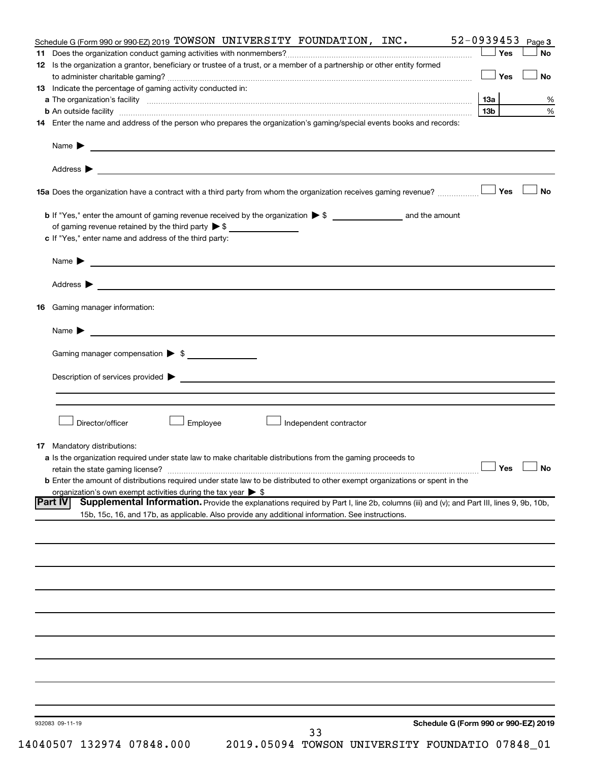| Schedule G (Form 990 or 990-EZ) 2019 TOWSON UNIVERSITY FOUNDATION, INC.                                                                                  | 52-0939453           | Page 3    |
|----------------------------------------------------------------------------------------------------------------------------------------------------------|----------------------|-----------|
|                                                                                                                                                          | ∣ Yes                | <b>No</b> |
| 12 Is the organization a grantor, beneficiary or trustee of a trust, or a member of a partnership or other entity formed                                 |                      |           |
|                                                                                                                                                          | <b>」Yes</b>          | <b>No</b> |
| <b>13</b> Indicate the percentage of gaming activity conducted in:                                                                                       |                      |           |
|                                                                                                                                                          |                      | %<br>%    |
|                                                                                                                                                          | 13 <sub>b</sub>      |           |
| 14 Enter the name and address of the person who prepares the organization's gaming/special events books and records:                                     |                      |           |
|                                                                                                                                                          |                      |           |
| Address ><br><u> 1989 - Johann Stein, marwolaethau a bhann an t-Amhainn an t-Amhainn an t-Amhainn an t-Amhainn an t-Amhainn an</u>                       |                      |           |
|                                                                                                                                                          |                      | <b>No</b> |
|                                                                                                                                                          |                      |           |
| of gaming revenue retained by the third party $\triangleright$ \$                                                                                        |                      |           |
| c If "Yes," enter name and address of the third party:                                                                                                   |                      |           |
|                                                                                                                                                          |                      |           |
|                                                                                                                                                          |                      |           |
|                                                                                                                                                          |                      |           |
| 16 Gaming manager information:                                                                                                                           |                      |           |
| Name $\triangleright$                                                                                                                                    |                      |           |
| Gaming manager compensation > \$                                                                                                                         |                      |           |
|                                                                                                                                                          |                      |           |
|                                                                                                                                                          |                      |           |
|                                                                                                                                                          |                      |           |
| Director/officer<br>Employee<br>Independent contractor                                                                                                   |                      |           |
|                                                                                                                                                          |                      |           |
| <b>17</b> Mandatory distributions:                                                                                                                       |                      |           |
| a Is the organization required under state law to make charitable distributions from the gaming proceeds to                                              | $\Box$ Yes $\Box$ No |           |
| <b>b</b> Enter the amount of distributions required under state law to be distributed to other exempt organizations or spent in the                      |                      |           |
| organization's own exempt activities during the tax year $\triangleright$ \$                                                                             |                      |           |
| Supplemental Information. Provide the explanations required by Part I, line 2b, columns (iii) and (v); and Part III, lines 9, 9b, 10b,<br><b>Part IV</b> |                      |           |
| 15b, 15c, 16, and 17b, as applicable. Also provide any additional information. See instructions.                                                         |                      |           |
|                                                                                                                                                          |                      |           |
|                                                                                                                                                          |                      |           |
|                                                                                                                                                          |                      |           |
|                                                                                                                                                          |                      |           |
|                                                                                                                                                          |                      |           |
|                                                                                                                                                          |                      |           |
|                                                                                                                                                          |                      |           |
|                                                                                                                                                          |                      |           |
|                                                                                                                                                          |                      |           |
|                                                                                                                                                          |                      |           |
|                                                                                                                                                          |                      |           |
|                                                                                                                                                          |                      |           |
|                                                                                                                                                          |                      |           |
|                                                                                                                                                          |                      |           |
| Schedule G (Form 990 or 990-EZ) 2019<br>932083 09-11-19<br>33                                                                                            |                      |           |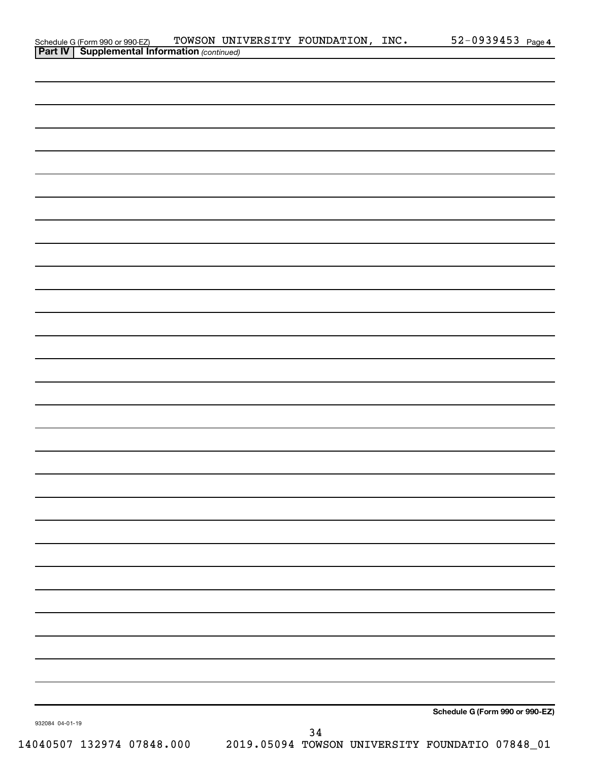|                 | Schedule G (Form 990 or 990-EZ) TOWSON UNI<br><b>Part IV   Supplemental Information</b> (continued) |  | TOWSON UNIVERSITY FOUNDATION, INC. | $52 - 0939453$ Page 4           |  |
|-----------------|-----------------------------------------------------------------------------------------------------|--|------------------------------------|---------------------------------|--|
|                 |                                                                                                     |  |                                    |                                 |  |
|                 |                                                                                                     |  |                                    |                                 |  |
|                 |                                                                                                     |  |                                    |                                 |  |
|                 |                                                                                                     |  |                                    |                                 |  |
|                 |                                                                                                     |  |                                    |                                 |  |
|                 |                                                                                                     |  |                                    |                                 |  |
|                 |                                                                                                     |  |                                    |                                 |  |
|                 |                                                                                                     |  |                                    |                                 |  |
|                 |                                                                                                     |  |                                    |                                 |  |
|                 |                                                                                                     |  |                                    |                                 |  |
|                 |                                                                                                     |  |                                    |                                 |  |
|                 |                                                                                                     |  |                                    |                                 |  |
|                 |                                                                                                     |  |                                    |                                 |  |
|                 |                                                                                                     |  |                                    |                                 |  |
|                 |                                                                                                     |  |                                    |                                 |  |
|                 |                                                                                                     |  |                                    |                                 |  |
|                 |                                                                                                     |  |                                    |                                 |  |
|                 |                                                                                                     |  |                                    |                                 |  |
|                 |                                                                                                     |  |                                    |                                 |  |
|                 |                                                                                                     |  |                                    |                                 |  |
|                 |                                                                                                     |  |                                    |                                 |  |
|                 |                                                                                                     |  |                                    |                                 |  |
|                 |                                                                                                     |  |                                    |                                 |  |
|                 |                                                                                                     |  |                                    |                                 |  |
|                 |                                                                                                     |  |                                    |                                 |  |
|                 |                                                                                                     |  |                                    |                                 |  |
|                 |                                                                                                     |  |                                    |                                 |  |
|                 |                                                                                                     |  |                                    |                                 |  |
|                 |                                                                                                     |  |                                    |                                 |  |
|                 |                                                                                                     |  |                                    |                                 |  |
|                 |                                                                                                     |  |                                    |                                 |  |
|                 |                                                                                                     |  |                                    |                                 |  |
|                 |                                                                                                     |  |                                    |                                 |  |
|                 |                                                                                                     |  |                                    |                                 |  |
|                 |                                                                                                     |  |                                    |                                 |  |
|                 |                                                                                                     |  |                                    |                                 |  |
|                 |                                                                                                     |  |                                    |                                 |  |
|                 |                                                                                                     |  |                                    |                                 |  |
|                 |                                                                                                     |  |                                    |                                 |  |
|                 |                                                                                                     |  |                                    |                                 |  |
|                 |                                                                                                     |  |                                    |                                 |  |
|                 |                                                                                                     |  |                                    |                                 |  |
|                 |                                                                                                     |  |                                    |                                 |  |
|                 |                                                                                                     |  |                                    |                                 |  |
|                 |                                                                                                     |  |                                    |                                 |  |
|                 |                                                                                                     |  |                                    |                                 |  |
|                 |                                                                                                     |  |                                    |                                 |  |
|                 |                                                                                                     |  |                                    |                                 |  |
|                 |                                                                                                     |  |                                    |                                 |  |
|                 |                                                                                                     |  |                                    |                                 |  |
|                 |                                                                                                     |  |                                    |                                 |  |
|                 |                                                                                                     |  |                                    | Schedule G (Form 990 or 990-EZ) |  |
| 932084 04-01-19 |                                                                                                     |  | 34                                 |                                 |  |
|                 |                                                                                                     |  |                                    |                                 |  |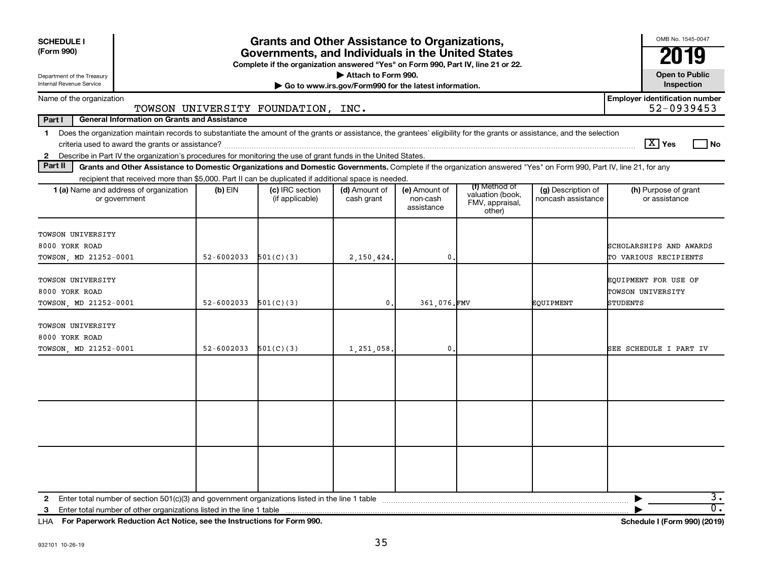| <b>SCHEDULE I</b><br>(Form 990)                                                                                                                                                                                                                                                                            | <b>Grants and Other Assistance to Organizations,</b><br>Governments, and Individuals in the United States<br>Complete if the organization answered "Yes" on Form 990, Part IV, line 21 or 22. |                                    |                             |                                         |                                                                |                                          |                                                       |  |  |  |
|------------------------------------------------------------------------------------------------------------------------------------------------------------------------------------------------------------------------------------------------------------------------------------------------------------|-----------------------------------------------------------------------------------------------------------------------------------------------------------------------------------------------|------------------------------------|-----------------------------|-----------------------------------------|----------------------------------------------------------------|------------------------------------------|-------------------------------------------------------|--|--|--|
| Attach to Form 990.<br><b>Open to Public</b><br>Department of the Treasury<br>Internal Revenue Service<br>Go to www.irs.gov/Form990 for the latest information.                                                                                                                                            |                                                                                                                                                                                               |                                    |                             |                                         |                                                                |                                          |                                                       |  |  |  |
| Name of the organization                                                                                                                                                                                                                                                                                   |                                                                                                                                                                                               | TOWSON UNIVERSITY FOUNDATION, INC. |                             |                                         |                                                                |                                          | <b>Employer identification number</b><br>52-0939453   |  |  |  |
| Part I<br><b>General Information on Grants and Assistance</b>                                                                                                                                                                                                                                              |                                                                                                                                                                                               |                                    |                             |                                         |                                                                |                                          |                                                       |  |  |  |
| Does the organization maintain records to substantiate the amount of the grants or assistance, the grantees' eligibility for the grants or assistance, and the selection<br>$\mathbf 1$<br>2 Describe in Part IV the organization's procedures for monitoring the use of grant funds in the United States. |                                                                                                                                                                                               |                                    |                             |                                         |                                                                |                                          | $\lceil \text{X} \rceil$ Yes<br>l No                  |  |  |  |
| Part II<br>Grants and Other Assistance to Domestic Organizations and Domestic Governments. Complete if the organization answered "Yes" on Form 990, Part IV, line 21, for any                                                                                                                              |                                                                                                                                                                                               |                                    |                             |                                         |                                                                |                                          |                                                       |  |  |  |
| recipient that received more than \$5,000. Part II can be duplicated if additional space is needed.                                                                                                                                                                                                        |                                                                                                                                                                                               |                                    |                             |                                         |                                                                |                                          |                                                       |  |  |  |
| <b>1 (a)</b> Name and address of organization<br>or government                                                                                                                                                                                                                                             | (b) EIN                                                                                                                                                                                       | (c) IRC section<br>(if applicable) | (d) Amount of<br>cash grant | (e) Amount of<br>non-cash<br>assistance | (f) Method of<br>valuation (book,<br>FMV, appraisal,<br>other) | (g) Description of<br>noncash assistance | (h) Purpose of grant<br>or assistance                 |  |  |  |
| TOWSON UNIVERSITY<br>8000 YORK ROAD<br>TOWSON, MD 21252-0001                                                                                                                                                                                                                                               | 52-6002033                                                                                                                                                                                    | 501(C)(3)                          | 2,150,424.                  | $\mathbf 0$                             |                                                                |                                          | SCHOLARSHIPS AND AWARDS<br>TO VARIOUS RECIPIENTS      |  |  |  |
| TOWSON UNIVERSITY<br>8000 YORK ROAD<br>TOWSON, MD 21252-0001                                                                                                                                                                                                                                               | $52 - 6002033$                                                                                                                                                                                | 501(C)(3)                          | $\mathbf{0}$ .              | 361.076.FMV                             |                                                                | EOUIPMENT                                | EQUIPMENT FOR USE OF<br>TOWSON UNIVERSITY<br>STUDENTS |  |  |  |
| TOWSON UNIVERSITY<br>8000 YORK ROAD<br>TOWSON, MD 21252-0001                                                                                                                                                                                                                                               | $52 - 6002033$                                                                                                                                                                                | 501(C)(3)                          | 1,251,058.                  | $\mathbf{0}$ .                          |                                                                |                                          | SEE SCHEDULE I PART IV                                |  |  |  |
|                                                                                                                                                                                                                                                                                                            |                                                                                                                                                                                               |                                    |                             |                                         |                                                                |                                          |                                                       |  |  |  |
|                                                                                                                                                                                                                                                                                                            |                                                                                                                                                                                               |                                    |                             |                                         |                                                                |                                          |                                                       |  |  |  |
|                                                                                                                                                                                                                                                                                                            |                                                                                                                                                                                               |                                    |                             |                                         |                                                                |                                          |                                                       |  |  |  |
| Enter total number of other organizations listed in the line 1 table<br>3                                                                                                                                                                                                                                  |                                                                                                                                                                                               |                                    |                             |                                         |                                                                |                                          | $\overline{3}$ .<br>$\overline{0}$ .                  |  |  |  |

**For Paperwork Reduction Act Notice, see the Instructions for Form 990. Schedule I (Form 990) (2019)** LHA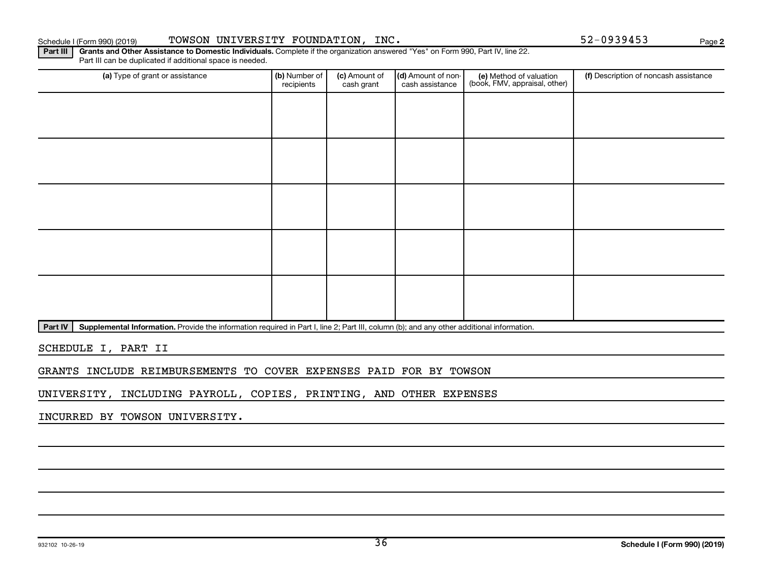### Schedule I (Form 990) (2019) TOWSON UNIVERSITY FOUNDATION, INC.  $52-0939453$  Page

**2**

Part III | Grants and Other Assistance to Domestic Individuals. Complete if the organization answered "Yes" on Form 990, Part IV, line 22. Part III can be duplicated if additional space is needed.

| (a) Type of grant or assistance | (b) Number of<br>recipients | (c) Amount of<br>cash grant | (d) Amount of non-<br>cash assistance | (e) Method of valuation<br>(book, FMV, appraisal, other) | (f) Description of noncash assistance |
|---------------------------------|-----------------------------|-----------------------------|---------------------------------------|----------------------------------------------------------|---------------------------------------|
|                                 |                             |                             |                                       |                                                          |                                       |
|                                 |                             |                             |                                       |                                                          |                                       |
|                                 |                             |                             |                                       |                                                          |                                       |
|                                 |                             |                             |                                       |                                                          |                                       |
|                                 |                             |                             |                                       |                                                          |                                       |
|                                 |                             |                             |                                       |                                                          |                                       |
|                                 |                             |                             |                                       |                                                          |                                       |
|                                 |                             |                             |                                       |                                                          |                                       |
|                                 |                             |                             |                                       |                                                          |                                       |
|                                 |                             |                             |                                       |                                                          |                                       |

Part IV | Supplemental Information. Provide the information required in Part I, line 2; Part III, column (b); and any other additional information.

SCHEDULE I, PART II

GRANTS INCLUDE REIMBURSEMENTS TO COVER EXPENSES PAID FOR BY TOWSON

UNIVERSITY, INCLUDING PAYROLL, COPIES, PRINTING, AND OTHER EXPENSES

INCURRED BY TOWSON UNIVERSITY.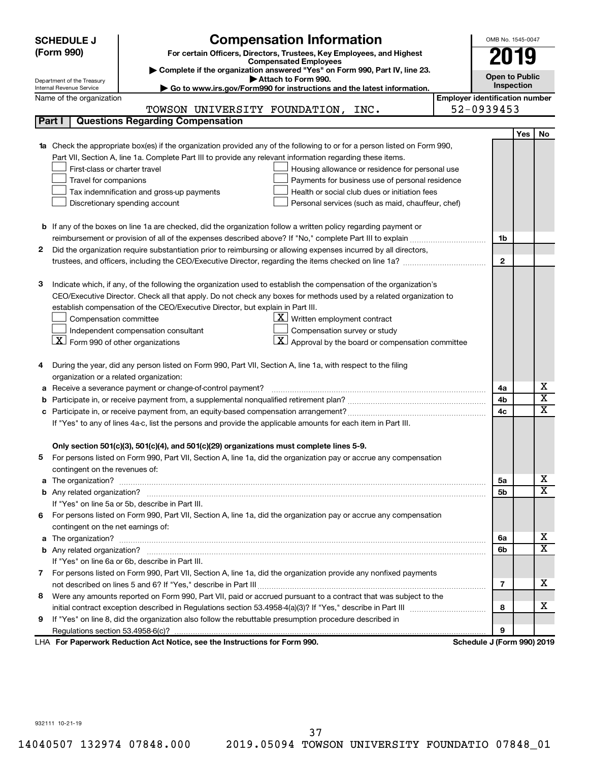| <b>SCHEDULE J</b>                                      | <b>Compensation Information</b>                                                                                                                                                                      |                                       | OMB No. 1545-0047     |                             |
|--------------------------------------------------------|------------------------------------------------------------------------------------------------------------------------------------------------------------------------------------------------------|---------------------------------------|-----------------------|-----------------------------|
| (Form 990)                                             | 019                                                                                                                                                                                                  |                                       |                       |                             |
|                                                        | For certain Officers, Directors, Trustees, Key Employees, and Highest<br><b>Compensated Employees</b>                                                                                                |                                       |                       |                             |
|                                                        | Complete if the organization answered "Yes" on Form 990, Part IV, line 23.<br>Attach to Form 990.                                                                                                    |                                       | <b>Open to Public</b> |                             |
| Department of the Treasury<br>Internal Revenue Service | Go to www.irs.gov/Form990 for instructions and the latest information.                                                                                                                               |                                       | Inspection            |                             |
|                                                        | Name of the organization                                                                                                                                                                             | <b>Employer identification number</b> |                       |                             |
|                                                        | TOWSON UNIVERSITY FOUNDATION, INC.                                                                                                                                                                   | 52-0939453                            |                       |                             |
| Part I                                                 | <b>Questions Regarding Compensation</b>                                                                                                                                                              |                                       |                       |                             |
|                                                        |                                                                                                                                                                                                      |                                       | <b>Yes</b>            | No                          |
|                                                        | Check the appropriate box(es) if the organization provided any of the following to or for a person listed on Form 990,                                                                               |                                       |                       |                             |
|                                                        | Part VII, Section A, line 1a. Complete Part III to provide any relevant information regarding these items.                                                                                           |                                       |                       |                             |
|                                                        | First-class or charter travel<br>Housing allowance or residence for personal use                                                                                                                     |                                       |                       |                             |
|                                                        | Travel for companions<br>Payments for business use of personal residence                                                                                                                             |                                       |                       |                             |
|                                                        | Tax indemnification and gross-up payments<br>Health or social club dues or initiation fees                                                                                                           |                                       |                       |                             |
|                                                        | Discretionary spending account<br>Personal services (such as maid, chauffeur, chef)                                                                                                                  |                                       |                       |                             |
|                                                        |                                                                                                                                                                                                      |                                       |                       |                             |
|                                                        | <b>b</b> If any of the boxes on line 1a are checked, did the organization follow a written policy regarding payment or                                                                               |                                       |                       |                             |
|                                                        | reimbursement or provision of all of the expenses described above? If "No," complete Part III to explain                                                                                             | 1b                                    |                       |                             |
| 2                                                      | Did the organization require substantiation prior to reimbursing or allowing expenses incurred by all directors,                                                                                     |                                       |                       |                             |
|                                                        |                                                                                                                                                                                                      | $\mathbf{2}$                          |                       |                             |
|                                                        |                                                                                                                                                                                                      |                                       |                       |                             |
| З                                                      | Indicate which, if any, of the following the organization used to establish the compensation of the organization's                                                                                   |                                       |                       |                             |
|                                                        | CEO/Executive Director. Check all that apply. Do not check any boxes for methods used by a related organization to<br>establish compensation of the CEO/Executive Director, but explain in Part III. |                                       |                       |                             |
|                                                        | $\underline{\mathbf{X}}$ Written employment contract                                                                                                                                                 |                                       |                       |                             |
|                                                        | Compensation committee<br>Compensation survey or study<br>Independent compensation consultant                                                                                                        |                                       |                       |                             |
|                                                        | $\mathbf{X}$<br>$\lfloor \underline{X} \rfloor$ Form 990 of other organizations<br>Approval by the board or compensation committee                                                                   |                                       |                       |                             |
|                                                        |                                                                                                                                                                                                      |                                       |                       |                             |
| 4                                                      | During the year, did any person listed on Form 990, Part VII, Section A, line 1a, with respect to the filing                                                                                         |                                       |                       |                             |
|                                                        | organization or a related organization:                                                                                                                                                              |                                       |                       |                             |
| а                                                      | Receive a severance payment or change-of-control payment?                                                                                                                                            | 4a                                    |                       | х                           |
| b                                                      |                                                                                                                                                                                                      | 4b                                    |                       | $\overline{\text{x}}$       |
| с                                                      |                                                                                                                                                                                                      | 4c                                    |                       | $\overline{\textnormal{x}}$ |
|                                                        | If "Yes" to any of lines 4a-c, list the persons and provide the applicable amounts for each item in Part III.                                                                                        |                                       |                       |                             |
|                                                        |                                                                                                                                                                                                      |                                       |                       |                             |
|                                                        | Only section 501(c)(3), 501(c)(4), and 501(c)(29) organizations must complete lines 5-9.                                                                                                             |                                       |                       |                             |
|                                                        | For persons listed on Form 990, Part VII, Section A, line 1a, did the organization pay or accrue any compensation                                                                                    |                                       |                       |                             |
|                                                        | contingent on the revenues of:                                                                                                                                                                       |                                       |                       |                             |
| a                                                      |                                                                                                                                                                                                      | 5a                                    |                       | х                           |
|                                                        |                                                                                                                                                                                                      | 5b                                    |                       | $\overline{\mathbf{X}}$     |
|                                                        | If "Yes" on line 5a or 5b, describe in Part III.                                                                                                                                                     |                                       |                       |                             |
| 6.                                                     | For persons listed on Form 990, Part VII, Section A, line 1a, did the organization pay or accrue any compensation                                                                                    |                                       |                       |                             |
|                                                        | contingent on the net earnings of:                                                                                                                                                                   |                                       |                       |                             |
| a                                                      |                                                                                                                                                                                                      | 6а                                    |                       | х                           |
|                                                        |                                                                                                                                                                                                      | 6b                                    |                       | $\overline{\mathbf{X}}$     |
|                                                        | If "Yes" on line 6a or 6b, describe in Part III.                                                                                                                                                     |                                       |                       |                             |
|                                                        | 7 For persons listed on Form 990, Part VII, Section A, line 1a, did the organization provide any nonfixed payments                                                                                   |                                       |                       |                             |
|                                                        |                                                                                                                                                                                                      | 7                                     |                       | x                           |
| 8                                                      | Were any amounts reported on Form 990, Part VII, paid or accrued pursuant to a contract that was subject to the                                                                                      |                                       |                       |                             |
|                                                        |                                                                                                                                                                                                      | 8                                     |                       | х                           |
| 9                                                      | If "Yes" on line 8, did the organization also follow the rebuttable presumption procedure described in                                                                                               |                                       |                       |                             |
|                                                        |                                                                                                                                                                                                      | 9                                     |                       |                             |
|                                                        | LHA For Paperwork Reduction Act Notice, see the Instructions for Form 990.                                                                                                                           | Schedule J (Form 990) 2019            |                       |                             |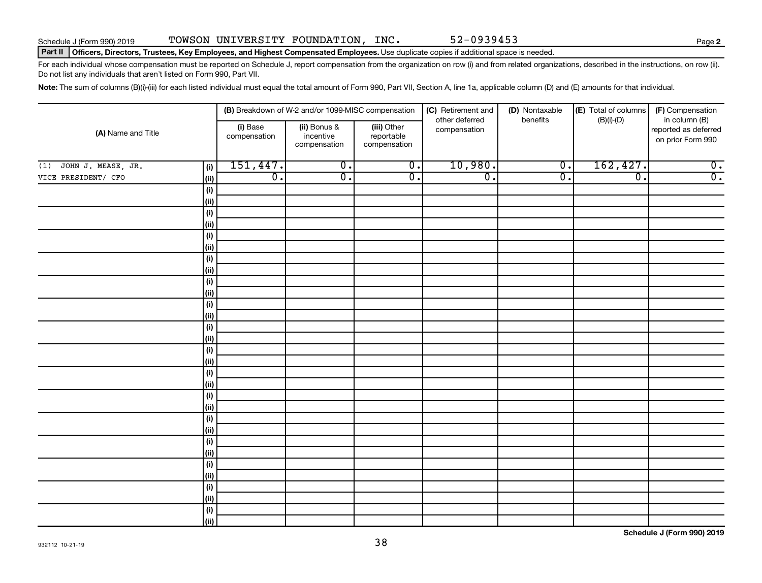### Part II | Officers, Directors, Trustees, Key Employees, and Highest Compensated Employees. Use duplicate copies if additional space is needed.

For each individual whose compensation must be reported on Schedule J, report compensation from the organization on row (i) and from related organizations, described in the instructions, on row (ii). Do not list any individuals that aren't listed on Form 990, Part VII.

Note: The sum of columns (B)(i)-(iii) for each listed individual must equal the total amount of Form 990, Part VII, Section A, line 1a, applicable column (D) and (E) amounts for that individual.

| (A) Name and Title        |                                      |                          | (B) Breakdown of W-2 and/or 1099-MISC compensation |                                           | (C) Retirement and<br>other deferred | (D) Nontaxable<br>benefits | (E) Total of columns | (F) Compensation<br>in column (B)         |
|---------------------------|--------------------------------------|--------------------------|----------------------------------------------------|-------------------------------------------|--------------------------------------|----------------------------|----------------------|-------------------------------------------|
|                           |                                      | (i) Base<br>compensation | (ii) Bonus &<br>incentive<br>compensation          | (iii) Other<br>reportable<br>compensation | compensation                         |                            | $(B)(i)$ - $(D)$     | reported as deferred<br>on prior Form 990 |
| JOHN J. MEASE, JR.<br>(1) | (i)                                  | 151,447.                 | $\overline{0}$ .                                   | $\overline{\mathfrak{o}}$ .               | 10,980.                              | $\overline{0}$ .           | 162, 427.            | $\overline{0}$ .                          |
| VICE PRESIDENT/ CFO       | (ii)                                 | $\overline{0}$ .         | σ.                                                 | $\overline{0}$ .                          | $\overline{\mathfrak{o}}$ .          | $\overline{0}$ .           | $\overline{0}$ .     | $\overline{0}$ .                          |
|                           | (i)                                  |                          |                                                    |                                           |                                      |                            |                      |                                           |
|                           | (ii)                                 |                          |                                                    |                                           |                                      |                            |                      |                                           |
|                           | (i)                                  |                          |                                                    |                                           |                                      |                            |                      |                                           |
|                           | (ii)                                 |                          |                                                    |                                           |                                      |                            |                      |                                           |
|                           | $(\sf{i})$                           |                          |                                                    |                                           |                                      |                            |                      |                                           |
|                           | (ii)                                 |                          |                                                    |                                           |                                      |                            |                      |                                           |
|                           | $(\sf{i})$                           |                          |                                                    |                                           |                                      |                            |                      |                                           |
|                           | (ii)                                 |                          |                                                    |                                           |                                      |                            |                      |                                           |
|                           | (i)                                  |                          |                                                    |                                           |                                      |                            |                      |                                           |
|                           | (ii)                                 |                          |                                                    |                                           |                                      |                            |                      |                                           |
|                           | (i)                                  |                          |                                                    |                                           |                                      |                            |                      |                                           |
|                           | (ii)                                 |                          |                                                    |                                           |                                      |                            |                      |                                           |
|                           | $(\sf{i})$                           |                          |                                                    |                                           |                                      |                            |                      |                                           |
|                           | (ii)                                 |                          |                                                    |                                           |                                      |                            |                      |                                           |
|                           | $(\sf{i})$                           |                          |                                                    |                                           |                                      |                            |                      |                                           |
|                           | (ii)                                 |                          |                                                    |                                           |                                      |                            |                      |                                           |
|                           | $\qquad \qquad \textbf{(i)}$<br>(ii) |                          |                                                    |                                           |                                      |                            |                      |                                           |
|                           | (i)                                  |                          |                                                    |                                           |                                      |                            |                      |                                           |
|                           | (ii)                                 |                          |                                                    |                                           |                                      |                            |                      |                                           |
|                           | $(\sf{i})$                           |                          |                                                    |                                           |                                      |                            |                      |                                           |
|                           | (ii)                                 |                          |                                                    |                                           |                                      |                            |                      |                                           |
|                           | $(\sf{i})$                           |                          |                                                    |                                           |                                      |                            |                      |                                           |
|                           | (ii)                                 |                          |                                                    |                                           |                                      |                            |                      |                                           |
|                           | $\qquad \qquad \textbf{(i)}$         |                          |                                                    |                                           |                                      |                            |                      |                                           |
|                           | (ii)                                 |                          |                                                    |                                           |                                      |                            |                      |                                           |
|                           | $\qquad \qquad \textbf{(i)}$         |                          |                                                    |                                           |                                      |                            |                      |                                           |
|                           | (ii)                                 |                          |                                                    |                                           |                                      |                            |                      |                                           |
|                           | $(\sf{i})$                           |                          |                                                    |                                           |                                      |                            |                      |                                           |
|                           | (ii)                                 |                          |                                                    |                                           |                                      |                            |                      |                                           |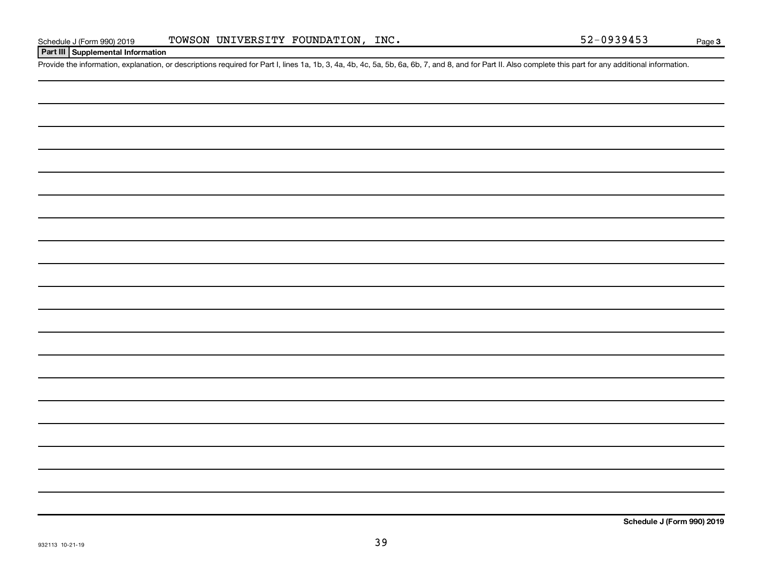### **Part III Supplemental Information**

Provide the information, explanation, or descriptions required for Part I, lines 1a, 1b, 3, 4a, 4b, 4c, 5a, 5b, 6a, 6b, 7, and 8, and for Part II. Also complete this part for any additional information.

**Schedule J (Form 990) 2019**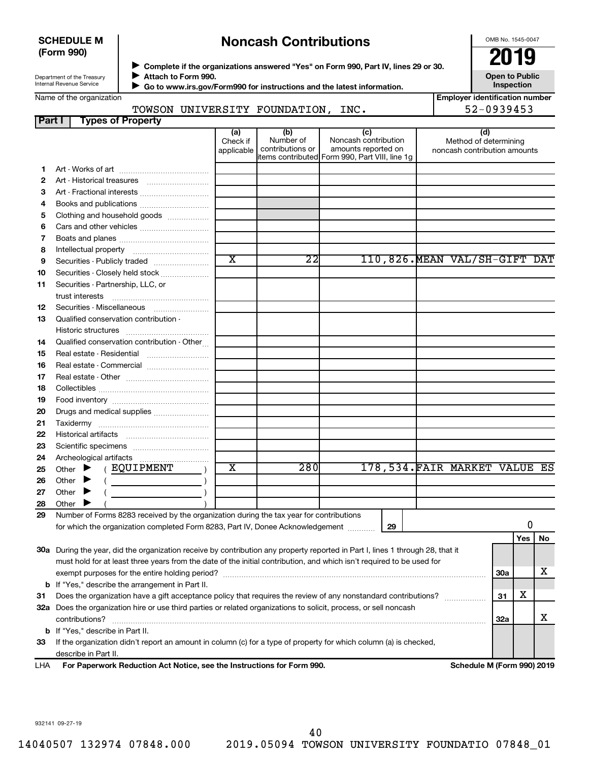### **SCHEDULE M (Form 990)**

### **Noncash Contributions**

OMB No. 1545-0047

Department of the Treasury Internal Revenue Service

Name of the organization

◆ Complete if the organizations answered "Yes" on Form 990, Part IV, lines 29 or 30.<br>▶ Complete if the organizations answered "Yes" on Form 990, Part IV, lines 29 or 30. **Attach to Form 990.**  $\blacktriangleright$ 

 **Go to www.irs.gov/Form990 for instructions and the latest information.** J

**Inspection Employer identification number**

**Open to Public**

| TOWSON UNIVERSITY FOUNDATION, | INC. | $52 - 0939453$ |
|-------------------------------|------|----------------|
|                               |      |                |

| Part I | <b>Types of Property</b>                                                                                                       |                               |                                      |                                                    |    |                                                              |            |     |    |  |
|--------|--------------------------------------------------------------------------------------------------------------------------------|-------------------------------|--------------------------------------|----------------------------------------------------|----|--------------------------------------------------------------|------------|-----|----|--|
|        |                                                                                                                                | (a)<br>Check if<br>applicable | (b)<br>Number of<br>contributions or | (c)<br>Noncash contribution<br>amounts reported on |    | (d)<br>Method of determining<br>noncash contribution amounts |            |     |    |  |
|        |                                                                                                                                |                               |                                      | items contributed Form 990, Part VIII, line 1g     |    |                                                              |            |     |    |  |
| 1.     |                                                                                                                                |                               |                                      |                                                    |    |                                                              |            |     |    |  |
| 2      |                                                                                                                                |                               |                                      |                                                    |    |                                                              |            |     |    |  |
| З      | Art - Fractional interests                                                                                                     |                               |                                      |                                                    |    |                                                              |            |     |    |  |
| 4      |                                                                                                                                |                               |                                      |                                                    |    |                                                              |            |     |    |  |
| 5      | Clothing and household goods                                                                                                   |                               |                                      |                                                    |    |                                                              |            |     |    |  |
| 6      | Cars and other vehicles                                                                                                        |                               |                                      |                                                    |    |                                                              |            |     |    |  |
| 7      |                                                                                                                                |                               |                                      |                                                    |    |                                                              |            |     |    |  |
| 8      |                                                                                                                                |                               |                                      |                                                    |    |                                                              |            |     |    |  |
| 9      | Securities - Publicly traded                                                                                                   | $\overline{\texttt{x}}$       | $\overline{22}$                      |                                                    |    | 110,826. MEAN VAL/SH-GIFT DAT                                |            |     |    |  |
| 10     | Securities - Closely held stock                                                                                                |                               |                                      |                                                    |    |                                                              |            |     |    |  |
| 11     | Securities - Partnership, LLC, or                                                                                              |                               |                                      |                                                    |    |                                                              |            |     |    |  |
|        | trust interests                                                                                                                |                               |                                      |                                                    |    |                                                              |            |     |    |  |
| 12     | Securities - Miscellaneous                                                                                                     |                               |                                      |                                                    |    |                                                              |            |     |    |  |
| 13     | Qualified conservation contribution -                                                                                          |                               |                                      |                                                    |    |                                                              |            |     |    |  |
|        |                                                                                                                                |                               |                                      |                                                    |    |                                                              |            |     |    |  |
| 14     | Qualified conservation contribution - Other                                                                                    |                               |                                      |                                                    |    |                                                              |            |     |    |  |
| 15     | Real estate - Residential                                                                                                      |                               |                                      |                                                    |    |                                                              |            |     |    |  |
| 16     | Real estate - Commercial                                                                                                       |                               |                                      |                                                    |    |                                                              |            |     |    |  |
| 17     | Real estate - Other contracts and the state of the state of the state of the state of the state of the state o                 |                               |                                      |                                                    |    |                                                              |            |     |    |  |
| 18     |                                                                                                                                |                               |                                      |                                                    |    |                                                              |            |     |    |  |
| 19     |                                                                                                                                |                               |                                      |                                                    |    |                                                              |            |     |    |  |
| 20     | Drugs and medical supplies                                                                                                     |                               |                                      |                                                    |    |                                                              |            |     |    |  |
| 21     |                                                                                                                                |                               |                                      |                                                    |    |                                                              |            |     |    |  |
| 22     |                                                                                                                                |                               |                                      |                                                    |    |                                                              |            |     |    |  |
| 23     |                                                                                                                                |                               |                                      |                                                    |    |                                                              |            |     |    |  |
| 24     |                                                                                                                                |                               |                                      |                                                    |    |                                                              |            |     |    |  |
| 25     | ( EQUIPMENT<br>Other $\blacktriangleright$                                                                                     | X                             | 280                                  |                                                    |    | 178,534. FAIR MARKET VALUE ES                                |            |     |    |  |
| 26     | Other $\blacktriangleright$                                                                                                    |                               |                                      |                                                    |    |                                                              |            |     |    |  |
| 27     | Other $\blacktriangleright$                                                                                                    |                               |                                      |                                                    |    |                                                              |            |     |    |  |
| 28     | Other $\blacktriangleright$                                                                                                    |                               |                                      |                                                    |    |                                                              |            |     |    |  |
| 29     | Number of Forms 8283 received by the organization during the tax year for contributions                                        |                               |                                      |                                                    |    |                                                              |            |     |    |  |
|        | for which the organization completed Form 8283, Part IV, Donee Acknowledgement [10001]                                         |                               |                                      |                                                    | 29 |                                                              |            | 0   |    |  |
|        |                                                                                                                                |                               |                                      |                                                    |    |                                                              |            | Yes | No |  |
|        | 30a During the year, did the organization receive by contribution any property reported in Part I, lines 1 through 28, that it |                               |                                      |                                                    |    |                                                              |            |     |    |  |
|        | must hold for at least three years from the date of the initial contribution, and which isn't required to be used for          |                               |                                      |                                                    |    |                                                              |            |     |    |  |
|        |                                                                                                                                |                               |                                      |                                                    |    |                                                              | <b>30a</b> |     | x  |  |
|        | <b>b</b> If "Yes," describe the arrangement in Part II.                                                                        |                               |                                      |                                                    |    |                                                              |            |     |    |  |
| 31     | Does the organization have a gift acceptance policy that requires the review of any nonstandard contributions?                 |                               |                                      |                                                    |    |                                                              | 31         | х   |    |  |
|        | 32a Does the organization hire or use third parties or related organizations to solicit, process, or sell noncash              |                               |                                      |                                                    |    |                                                              |            |     |    |  |
|        | contributions?                                                                                                                 |                               |                                      |                                                    |    |                                                              | 32a        |     | х  |  |
|        | <b>b</b> If "Yes," describe in Part II.                                                                                        |                               |                                      |                                                    |    |                                                              |            |     |    |  |
| 33     | If the organization didn't report an amount in column (c) for a type of property for which column (a) is checked,              |                               |                                      |                                                    |    |                                                              |            |     |    |  |
|        | describe in Part II.                                                                                                           |                               |                                      |                                                    |    |                                                              |            |     |    |  |
| LHA    | For Paperwork Reduction Act Notice, see the Instructions for Form 990.<br>Schedule M (Form 990) 2019                           |                               |                                      |                                                    |    |                                                              |            |     |    |  |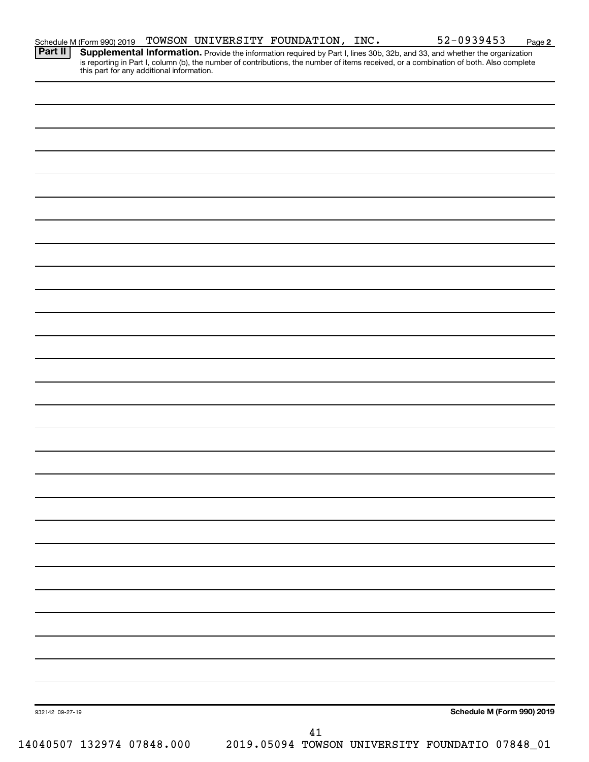| Schedule M (Form 990) 2019 |  | TOWSON UNIVERSITY FOUNDATION, | INC. | 1-0939453<br>JA | Page |
|----------------------------|--|-------------------------------|------|-----------------|------|
|                            |  |                               |      |                 |      |

**2**

Provide the information required by Part I, lines 30b, 32b, and 33, and whether the organization is reporting in Part I, column (b), the number of contributions, the number of items received, or a combination of both. Also complete this part for any additional information. **Part II Supplemental Information.** 

| 932142 09-27-19           | Schedule M (Form 990) 2019                      |
|---------------------------|-------------------------------------------------|
|                           |                                                 |
|                           | 41                                              |
| 14040507 132974 07848.000 | 2019.05094 TOWSON UNIVERSITY FOUNDATIO 07848_01 |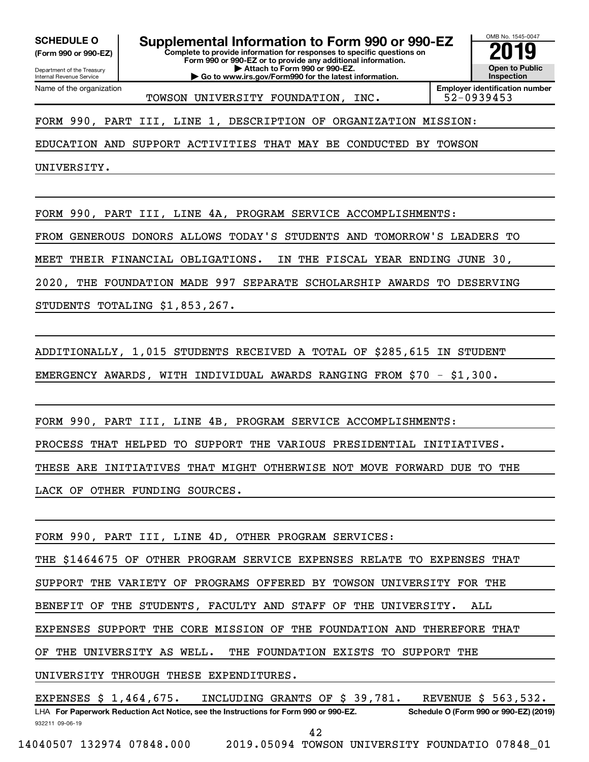**(Form 990 or 990-EZ)**

Department of the Treasury Internal Revenue Service Name of the organization

**Complete to provide information for responses to specific questions on Form 990 or 990-EZ or to provide any additional information. | Attach to Form 990 or 990-EZ. | Go to www.irs.gov/Form990 for the latest information. SCHEDULE O Supplemental Information to Form 990 or 990-EZ 2019** 

OMB No. 1545-0047 **Open to Public Inspection**

TOWSON UNIVERSITY FOUNDATION, INC. 52-0939453

**Employer identification number**

FORM 990, PART III, LINE 1, DESCRIPTION OF ORGANIZATION MISSION:

EDUCATION AND SUPPORT ACTIVITIES THAT MAY BE CONDUCTED BY TOWSON

UNIVERSITY.

FORM 990, PART III, LINE 4A, PROGRAM SERVICE ACCOMPLISHMENTS:

FROM GENEROUS DONORS ALLOWS TODAY'S STUDENTS AND TOMORROW'S LEADERS TO

MEET THEIR FINANCIAL OBLIGATIONS. IN THE FISCAL YEAR ENDING JUNE 30,

2020, THE FOUNDATION MADE 997 SEPARATE SCHOLARSHIP AWARDS TO DESERVING

STUDENTS TOTALING \$1,853,267.

ADDITIONALLY, 1,015 STUDENTS RECEIVED A TOTAL OF \$285,615 IN STUDENT

EMERGENCY AWARDS, WITH INDIVIDUAL AWARDS RANGING FROM \$70 - \$1,300.

FORM 990, PART III, LINE 4B, PROGRAM SERVICE ACCOMPLISHMENTS:

PROCESS THAT HELPED TO SUPPORT THE VARIOUS PRESIDENTIAL INITIATIVES.

THESE ARE INITIATIVES THAT MIGHT OTHERWISE NOT MOVE FORWARD DUE TO THE

LACK OF OTHER FUNDING SOURCES.

FORM 990, PART III, LINE 4D, OTHER PROGRAM SERVICES:

THE \$1464675 OF OTHER PROGRAM SERVICE EXPENSES RELATE TO EXPENSES THAT

SUPPORT THE VARIETY OF PROGRAMS OFFERED BY TOWSON UNIVERSITY FOR THE

BENEFIT OF THE STUDENTS, FACULTY AND STAFF OF THE UNIVERSITY. ALL

EXPENSES SUPPORT THE CORE MISSION OF THE FOUNDATION AND THEREFORE THAT

OF THE UNIVERSITY AS WELL. THE FOUNDATION EXISTS TO SUPPORT THE

UNIVERSITY THROUGH THESE EXPENDITURES.

932211 09-06-19 LHA For Paperwork Reduction Act Notice, see the Instructions for Form 990 or 990-EZ. Schedule O (Form 990 or 990-EZ) (2019) EXPENSES \$ 1,464,675. INCLUDING GRANTS OF \$ 39,781. REVENUE \$ 563,532.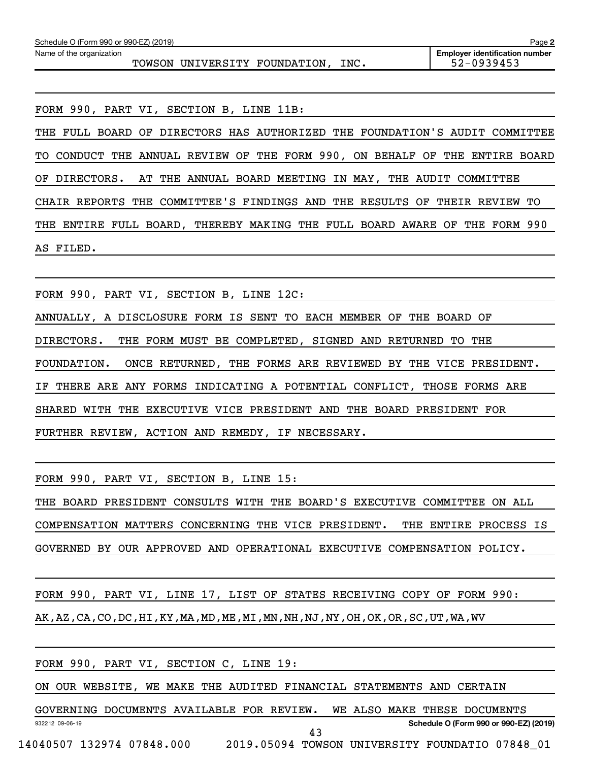| Schedule O (Form 990 or 990-EZ) (2019)<br>Page 2                  |                                                     |  |  |  |  |  |  |  |  |
|-------------------------------------------------------------------|-----------------------------------------------------|--|--|--|--|--|--|--|--|
| Name of the organization<br>TNC.<br>TOWSON UNIVERSITY FOUNDATION, | <b>Emplover identification number</b><br>52-0939453 |  |  |  |  |  |  |  |  |
|                                                                   |                                                     |  |  |  |  |  |  |  |  |

FORM 990, PART VI, SECTION B, LINE 11B:

THE FULL BOARD OF DIRECTORS HAS AUTHORIZED THE FOUNDATION'S AUDIT COMMITTEE TO CONDUCT THE ANNUAL REVIEW OF THE FORM 990, ON BEHALF OF THE ENTIRE BOARD OF DIRECTORS. AT THE ANNUAL BOARD MEETING IN MAY, THE AUDIT COMMITTEE CHAIR REPORTS THE COMMITTEE'S FINDINGS AND THE RESULTS OF THEIR REVIEW TO THE ENTIRE FULL BOARD, THEREBY MAKING THE FULL BOARD AWARE OF THE FORM 990 AS FILED.

FORM 990, PART VI, SECTION B, LINE 12C:

ANNUALLY, A DISCLOSURE FORM IS SENT TO EACH MEMBER OF THE BOARD OF DIRECTORS. THE FORM MUST BE COMPLETED, SIGNED AND RETURNED TO THE FOUNDATION. ONCE RETURNED, THE FORMS ARE REVIEWED BY THE VICE PRESIDENT. IF THERE ARE ANY FORMS INDICATING A POTENTIAL CONFLICT, THOSE FORMS ARE SHARED WITH THE EXECUTIVE VICE PRESIDENT AND THE BOARD PRESIDENT FOR FURTHER REVIEW, ACTION AND REMEDY, IF NECESSARY.

FORM 990, PART VI, SECTION B, LINE 15:

THE BOARD PRESIDENT CONSULTS WITH THE BOARD'S EXECUTIVE COMMITTEE ON ALL COMPENSATION MATTERS CONCERNING THE VICE PRESIDENT. THE ENTIRE PROCESS IS GOVERNED BY OUR APPROVED AND OPERATIONAL EXECUTIVE COMPENSATION POLICY.

FORM 990, PART VI, LINE 17, LIST OF STATES RECEIVING COPY OF FORM 990:

AK,AZ,CA,CO,DC,HI,KY,MA,MD,ME,MI,MN,NH,NJ,NY,OH,OK,OR,SC,UT,WA,WV

|  |                 |  | FORM 990, PART VI, SECTION C, LINE 19: |  |  |    |                                                                        |                                        |  |  |
|--|-----------------|--|----------------------------------------|--|--|----|------------------------------------------------------------------------|----------------------------------------|--|--|
|  |                 |  |                                        |  |  |    | ON OUR WEBSITE, WE MAKE THE AUDITED FINANCIAL STATEMENTS AND CERTAIN   |                                        |  |  |
|  |                 |  |                                        |  |  |    | GOVERNING DOCUMENTS AVAILABLE FOR REVIEW. WE ALSO MAKE THESE DOCUMENTS |                                        |  |  |
|  | 932212 09-06-19 |  |                                        |  |  |    |                                                                        | Schedule O (Form 990 or 990-EZ) (2019) |  |  |
|  |                 |  | 14040507 132974 07848.000              |  |  | 43 | 2019.05094 TOWSON UNIVERSITY FOUNDATIO 07848 01                        |                                        |  |  |